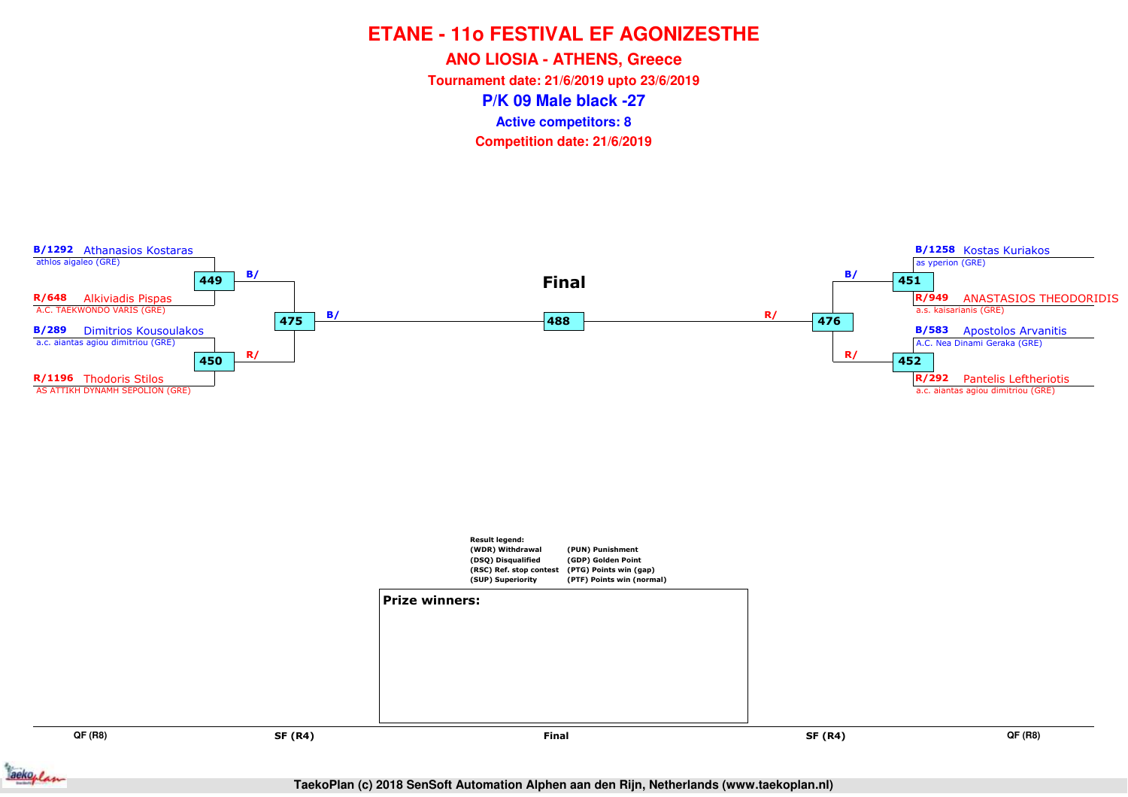**ANO LIOSIA - ATHENS, Greece**

**Tournament date: 21/6/2019 upto 23/6/2019**

**P/K 09 Male black -27**

**Active competitors: 8**



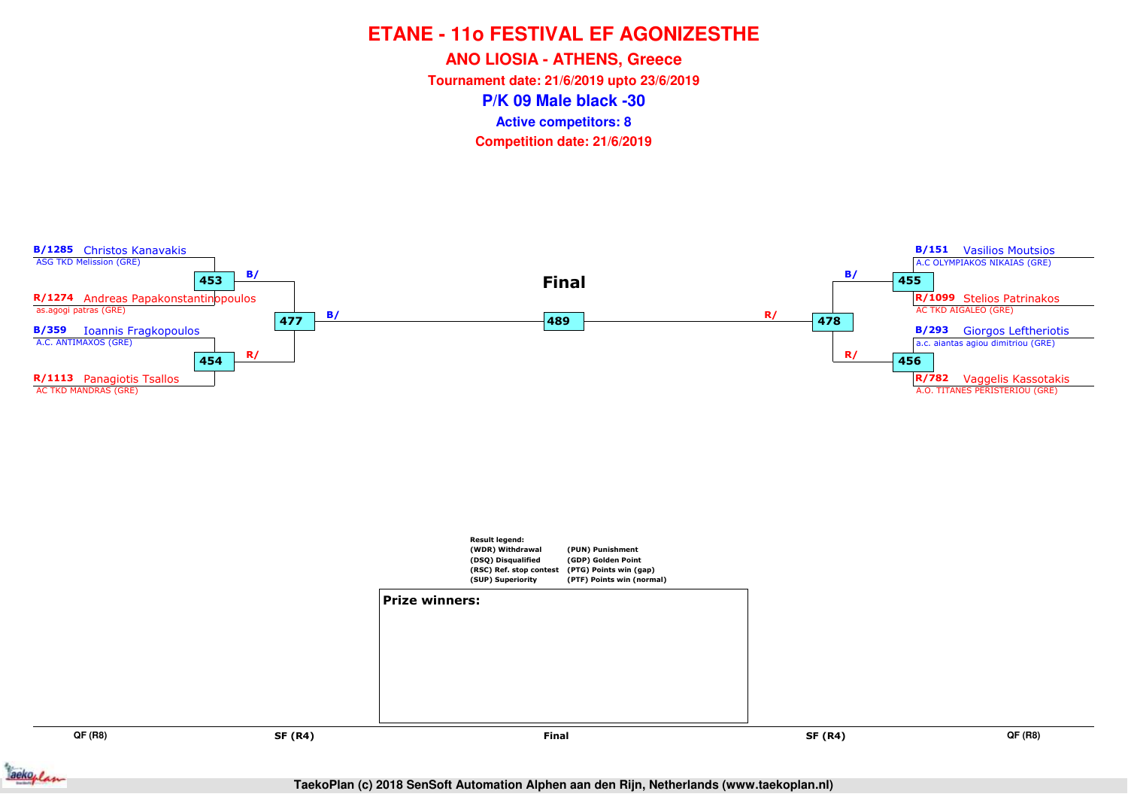**ANO LIOSIA - ATHENS, Greece**

**Tournament date: 21/6/2019 upto 23/6/2019**

**P/K 09 Male black -30**

**Active competitors: 8**



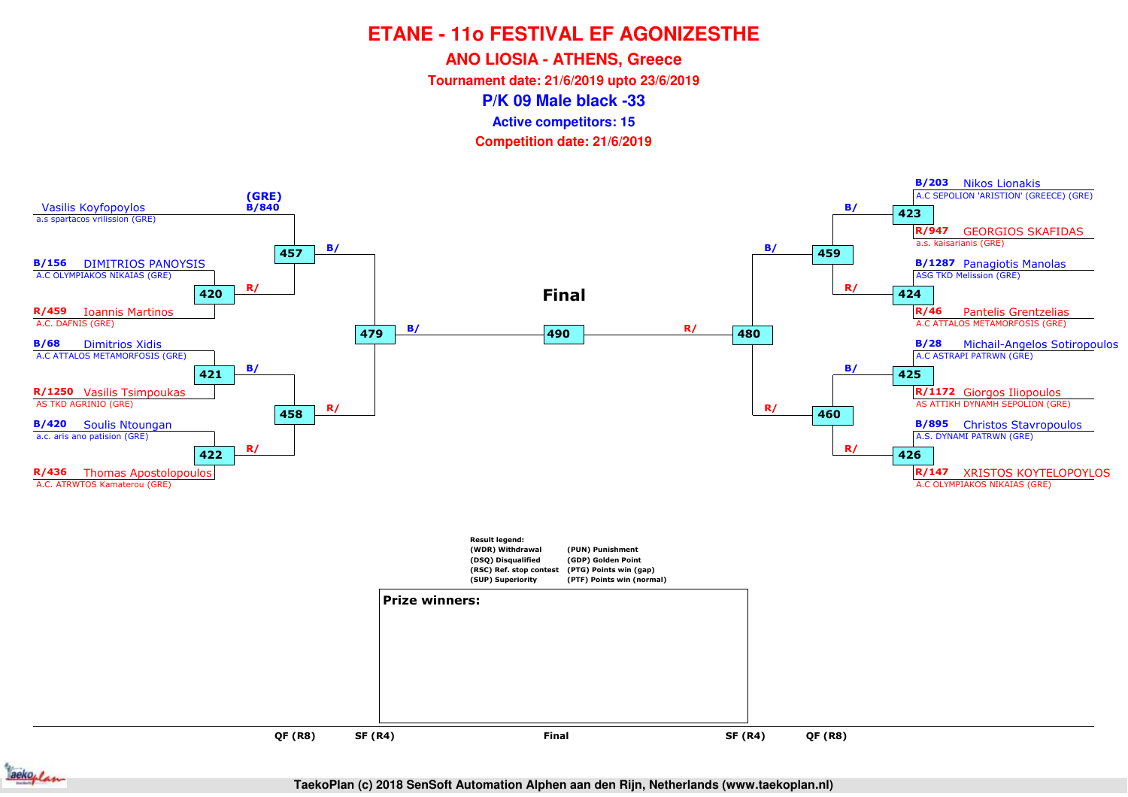**ANO LIOSIA - ATHENS, Greece**

**Tournament date: 21/6/2019 upto 23/6/2019**

**P/K 09 Male black -33**

**Active competitors: 15**

**Competition date: 21/6/2019**



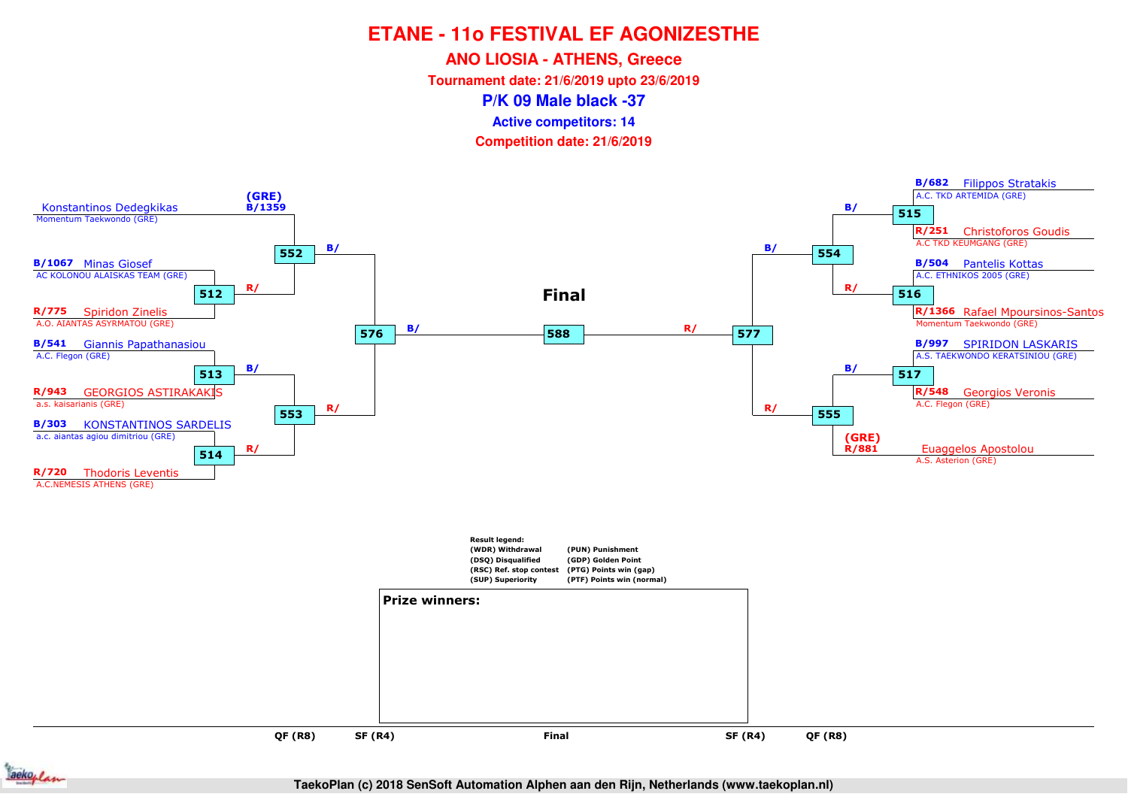**ANO LIOSIA - ATHENS, Greece**

**Tournament date: 21/6/2019 upto 23/6/2019**

**P/K 09 Male black -37**

**Active competitors: 14**

**Competition date: 21/6/2019**



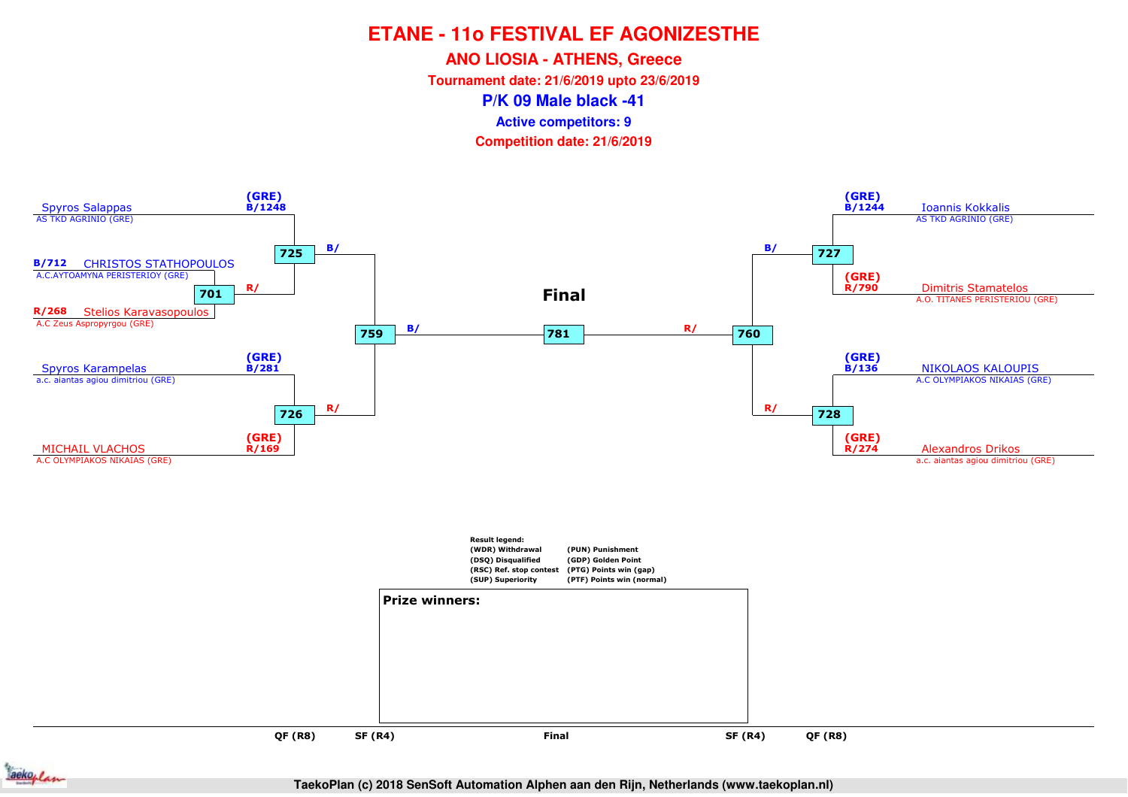**ANO LIOSIA - ATHENS, Greece**

**Tournament date: 21/6/2019 upto 23/6/2019**

**P/K 09 Male black -41**

**Active competitors: 9**

**Competition date: 21/6/2019**



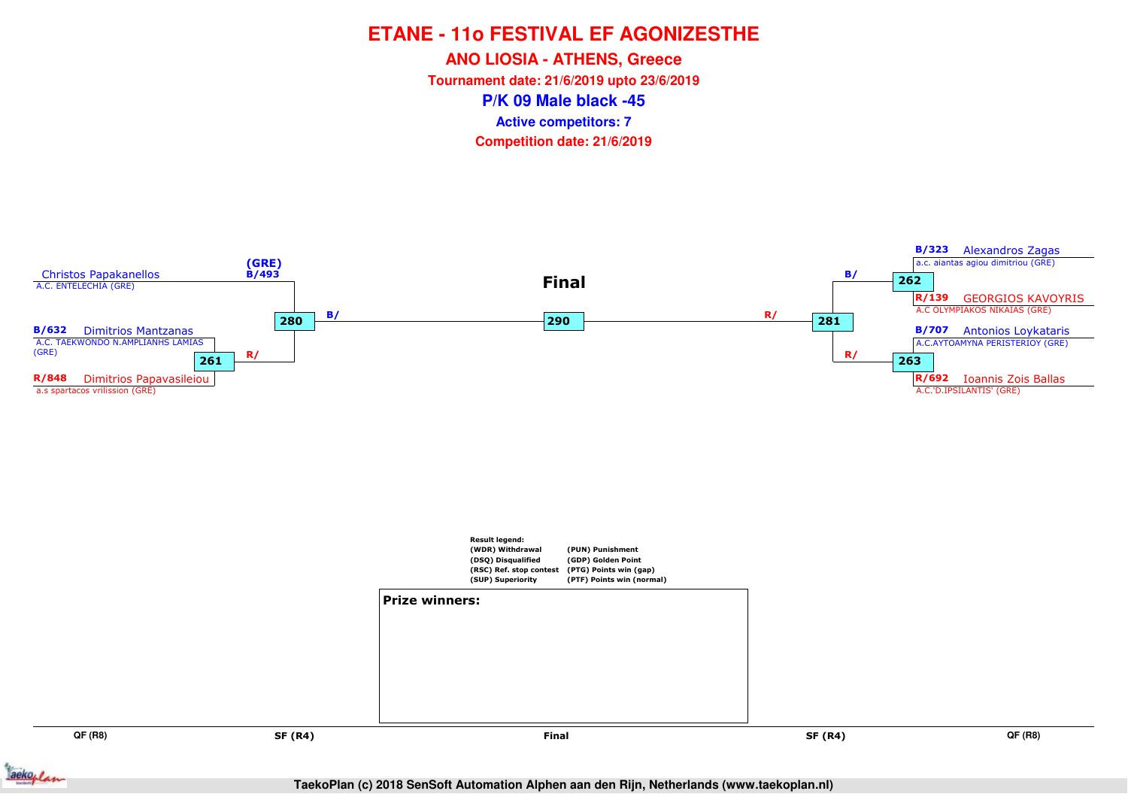**ANO LIOSIA - ATHENS, Greece**

**Tournament date: 21/6/2019 upto 23/6/2019**

**P/K 09 Male black -45**

**Active competitors: 7**



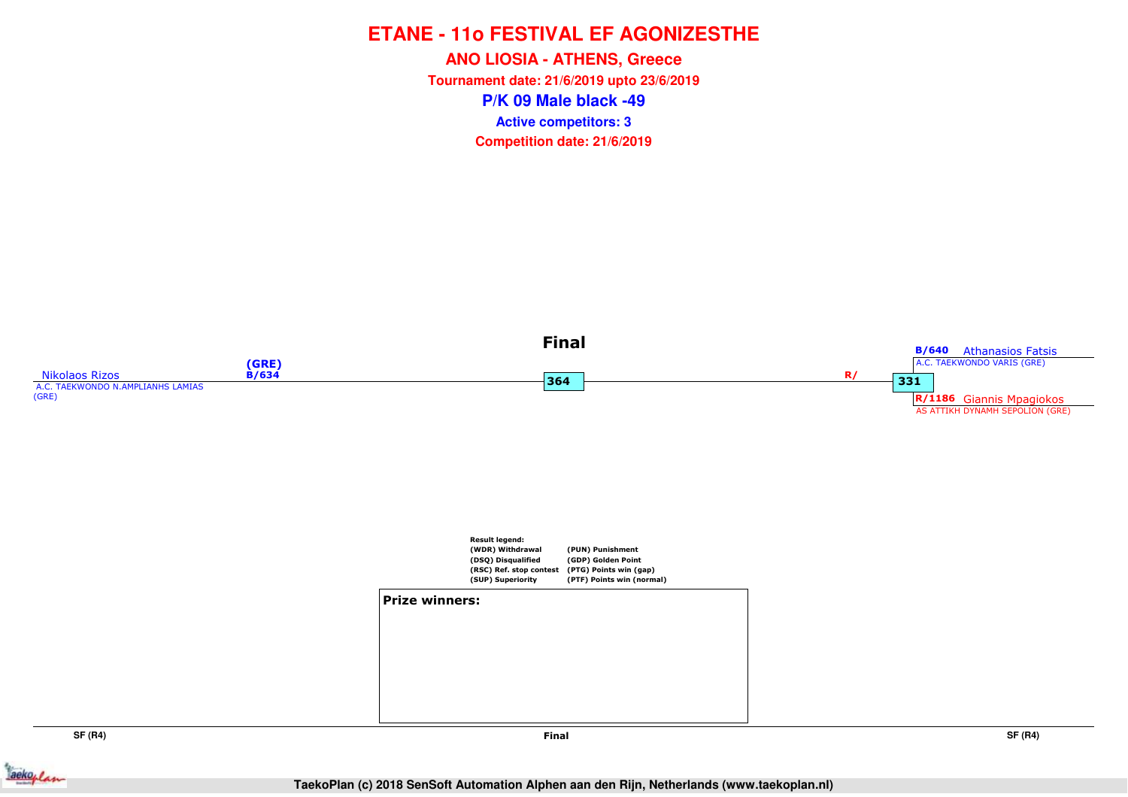**P/K 09 Male black -49ANO LIOSIA - ATHENS, Greece Tournament date: 21/6/2019 upto 23/6/2019Competition date: 21/6/2019 Active competitors: 3**



**SF (R4)**



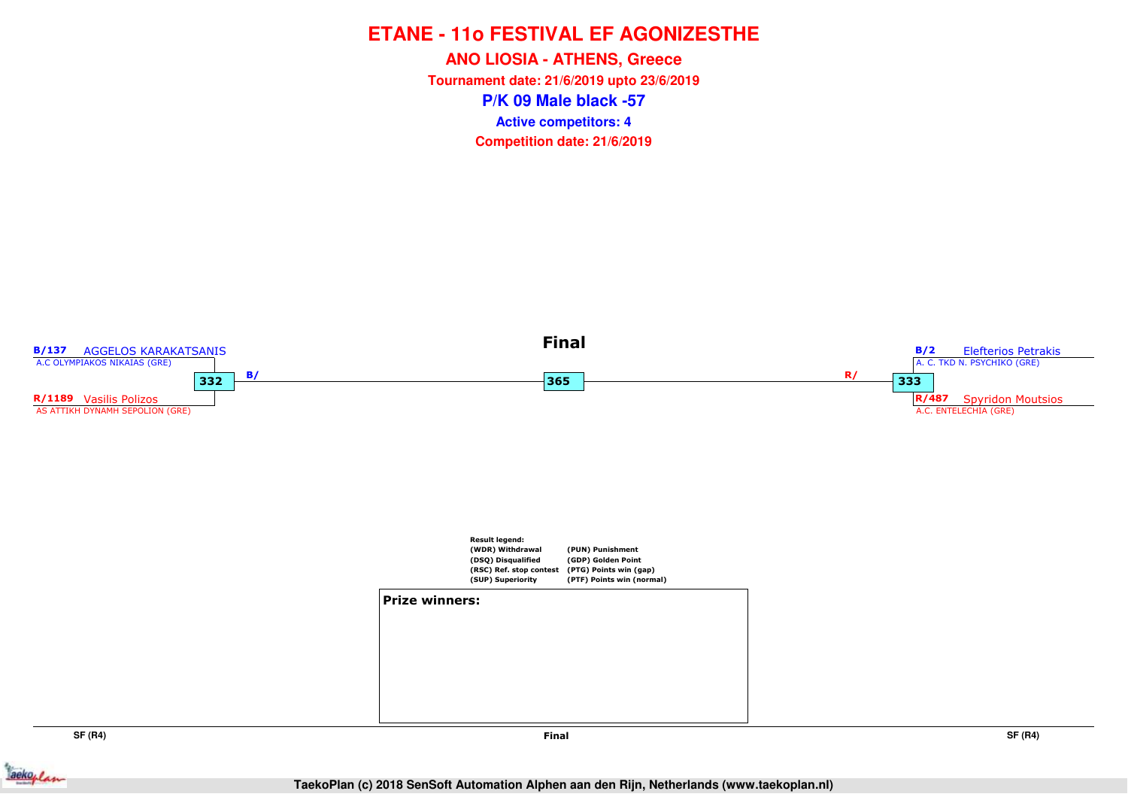**P/K 09 Male black -57ANO LIOSIA - ATHENS, Greece Tournament date: 21/6/2019 upto 23/6/2019Competition date: 21/6/2019 Active competitors: 4**



**SF (R4)**

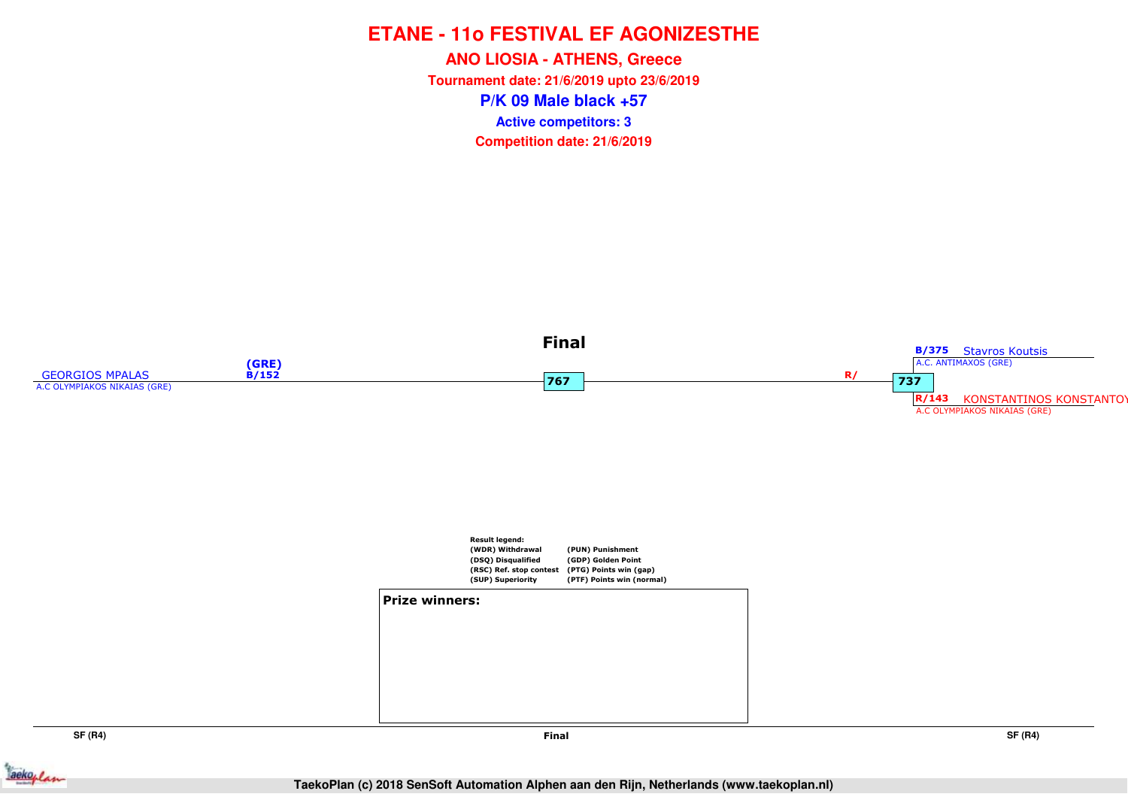**P/K 09 Male black +57ANO LIOSIA - ATHENS, Greece Tournament date: 21/6/2019 upto 23/6/2019Competition date: 21/6/2019 Active competitors: 3**



ackoplan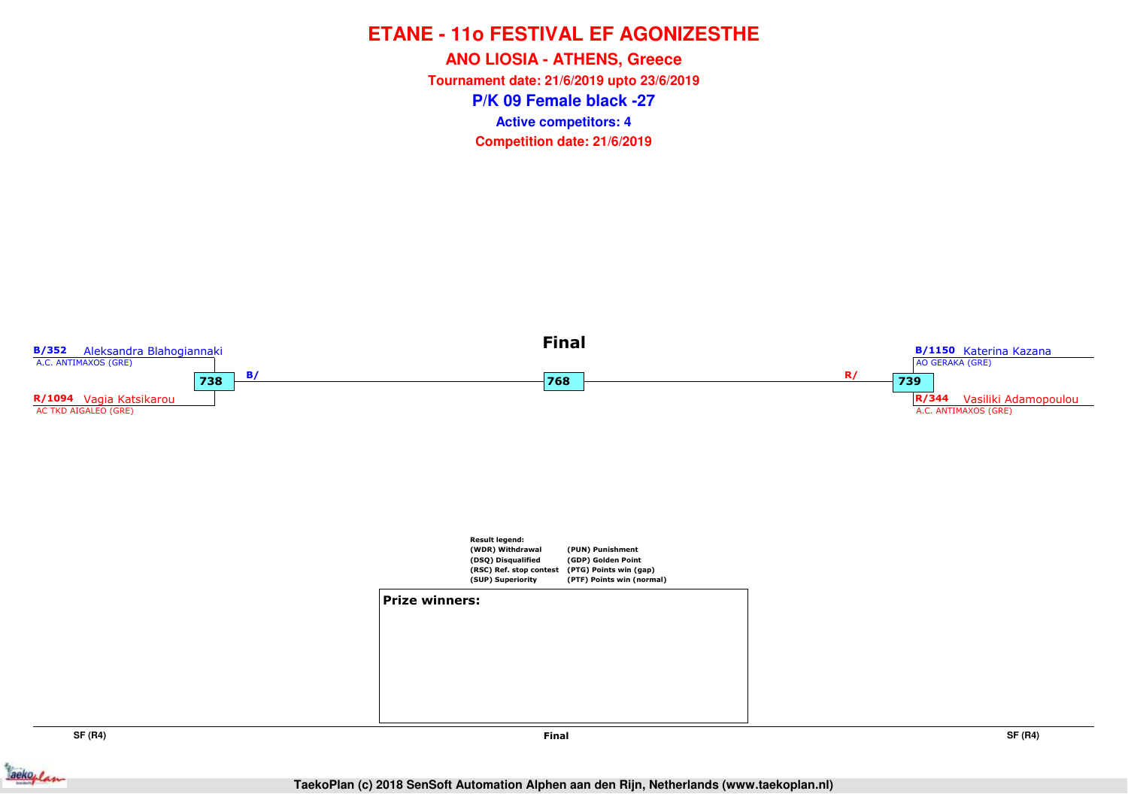**P/K 09 Female black -27ANO LIOSIA - ATHENS, Greece Tournament date: 21/6/2019 upto 23/6/2019Competition date: 21/6/2019 Active competitors: 4**



**SF (R4)**

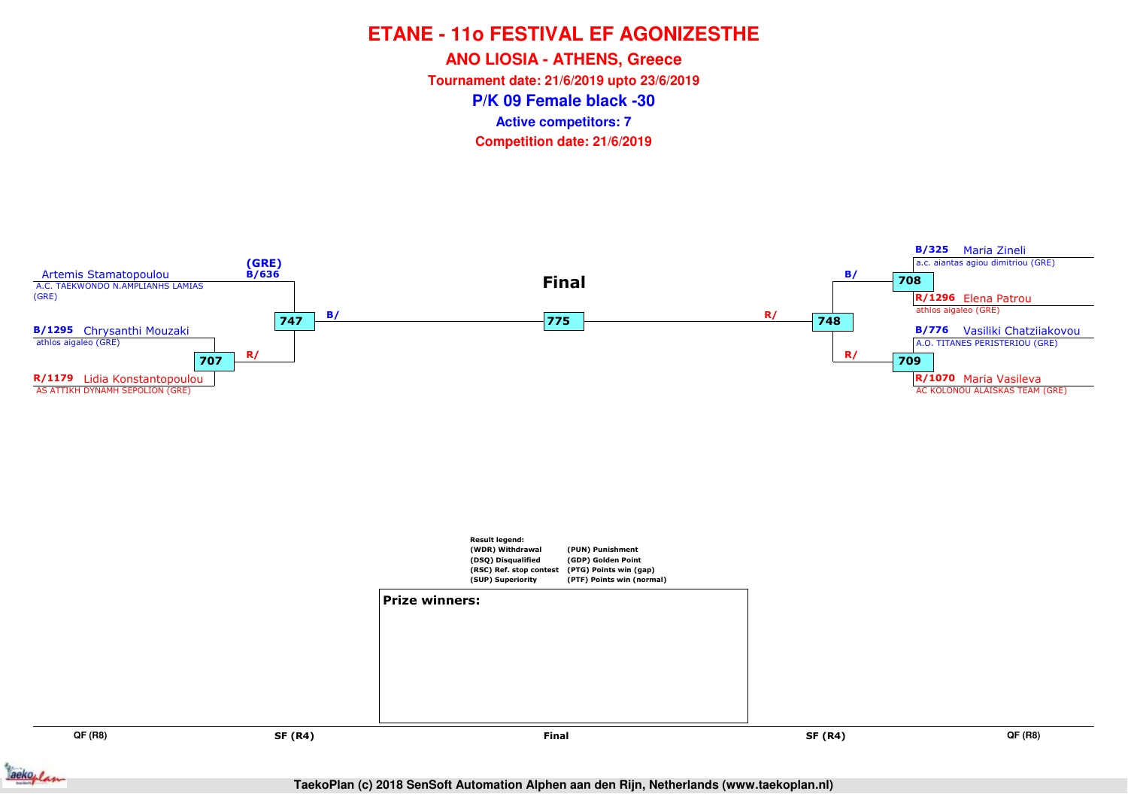**ANO LIOSIA - ATHENS, Greece**

**Tournament date: 21/6/2019 upto 23/6/2019**

**P/K 09 Female black -30**

**Active competitors: 7**



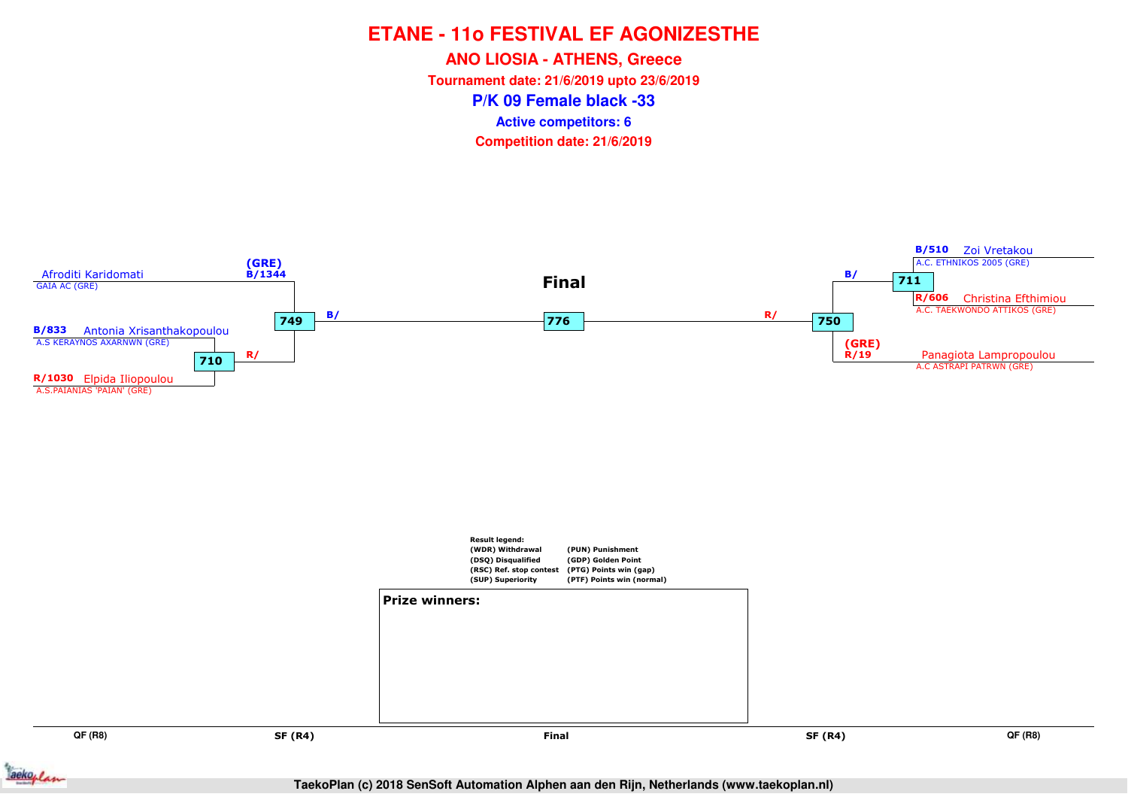**ANO LIOSIA - ATHENS, Greece**

**Tournament date: 21/6/2019 upto 23/6/2019**

**P/K 09 Female black -33**

**Active competitors: 6**



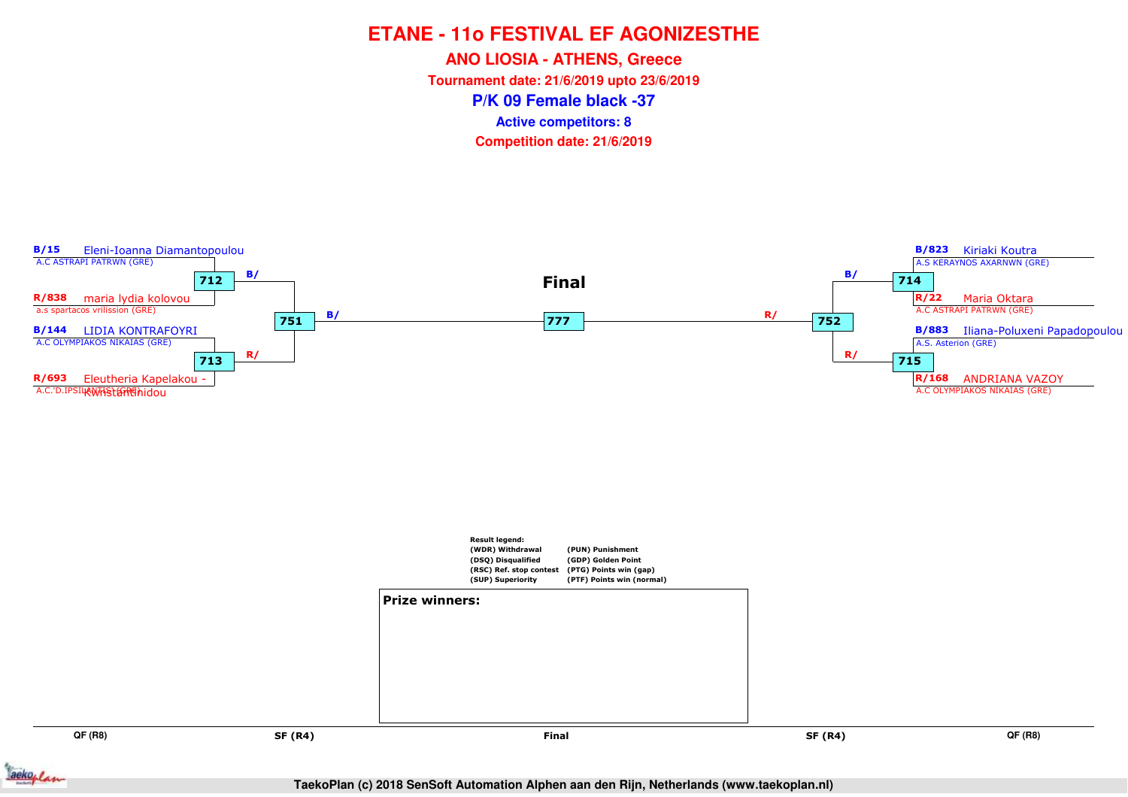**ANO LIOSIA - ATHENS, Greece**

**Tournament date: 21/6/2019 upto 23/6/2019**

**P/K 09 Female black -37**

**Active competitors: 8**



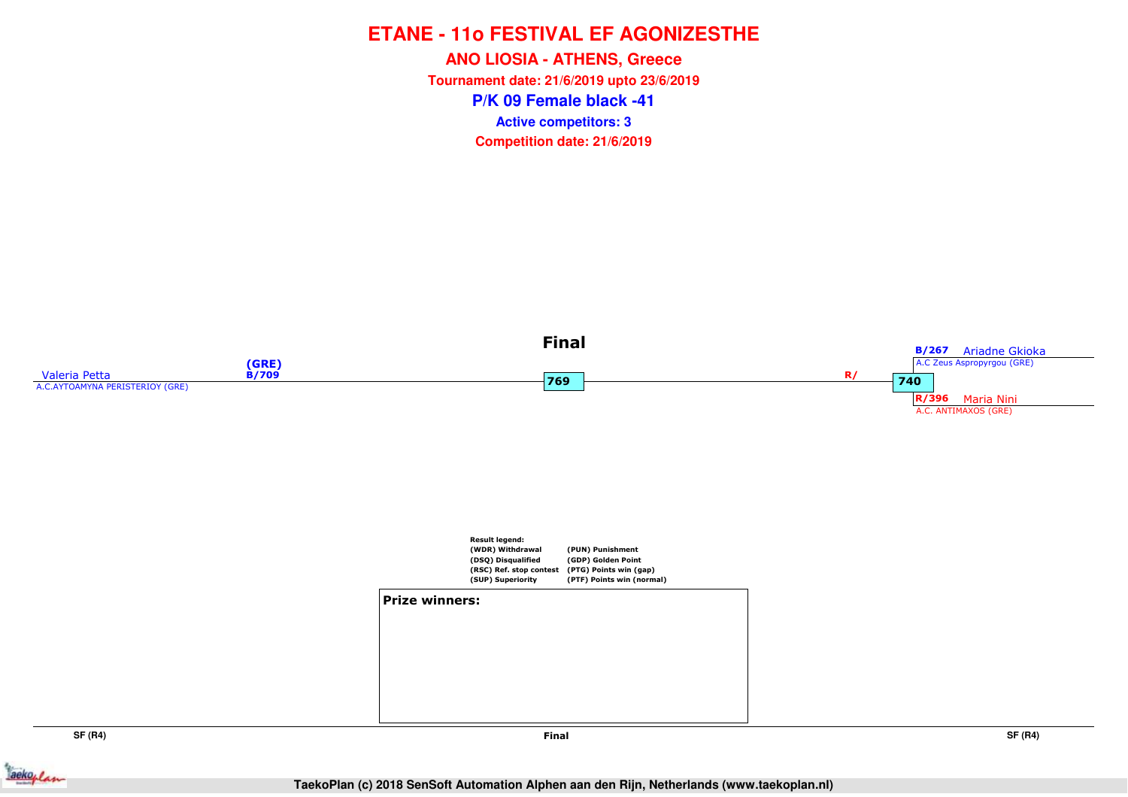**P/K 09 Female black -41ANO LIOSIA - ATHENS, Greece Tournament date: 21/6/2019 upto 23/6/2019Competition date: 21/6/2019 Active competitors: 3**



**SF (R4)**



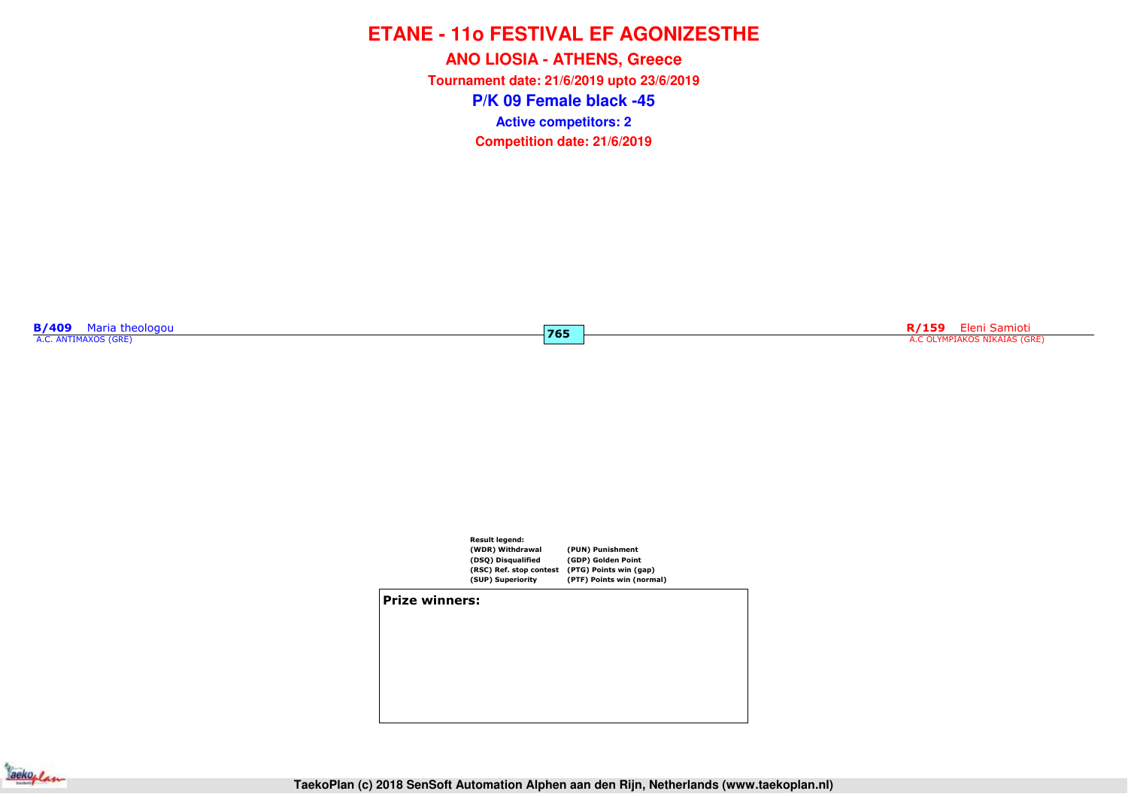**P/K 09 Female black -45ANO LIOSIA - ATHENS, Greece Tournament date: 21/6/2019 upto 23/6/2019Competition date: 21/6/2019 Active competitors: 2**

**B/409** Maria theologou<br>A.C. ANTIMAXOS (GRE)

**R/159** Eleni Samioti A.C OLYMPIAKOS NIKAIAS (GRE)



**765**

**Prize winners:**

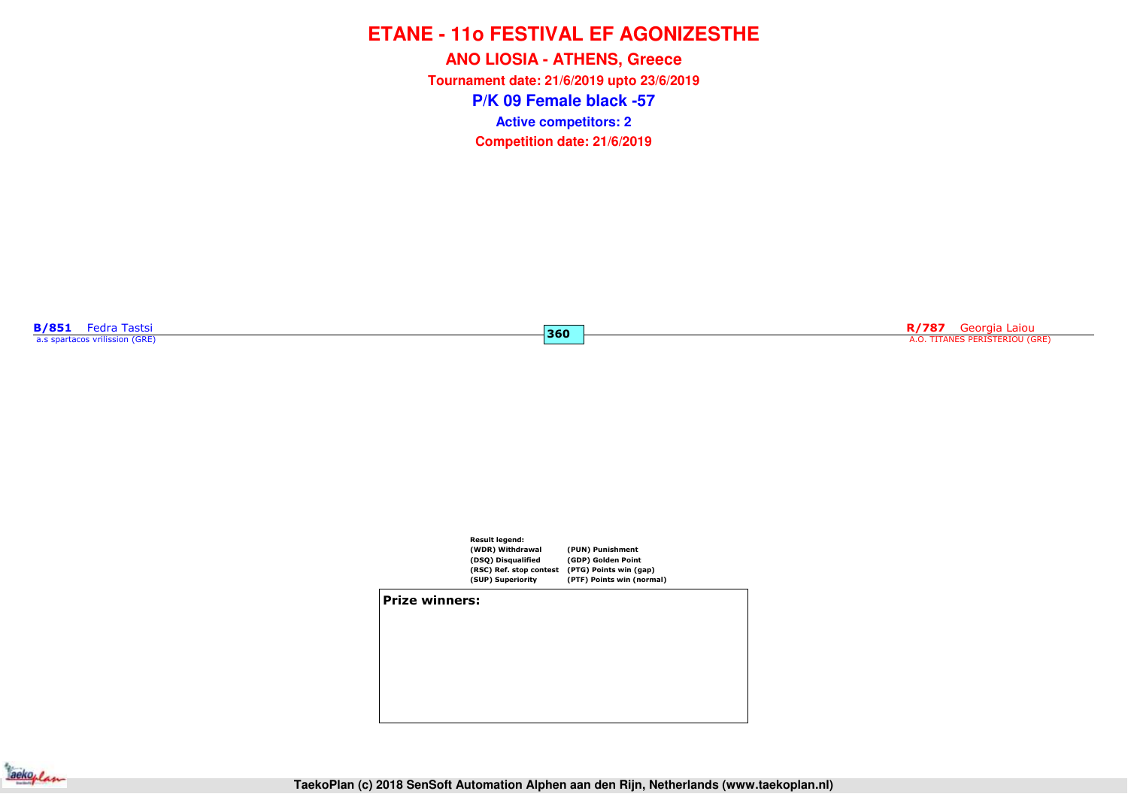**P/K 09 Female black -57ANO LIOSIA - ATHENS, Greece Tournament date: 21/6/2019 upto 23/6/2019Competition date: 21/6/2019 Active competitors: 2**

**360**

**B/851** Fedra Tastsi<br>a.s spartacos vrilission (GRE)

**R/787** Georgia Laiou<br>A.O. TITANES PERISTERIOU (GRE)



#### **Prize winners:**

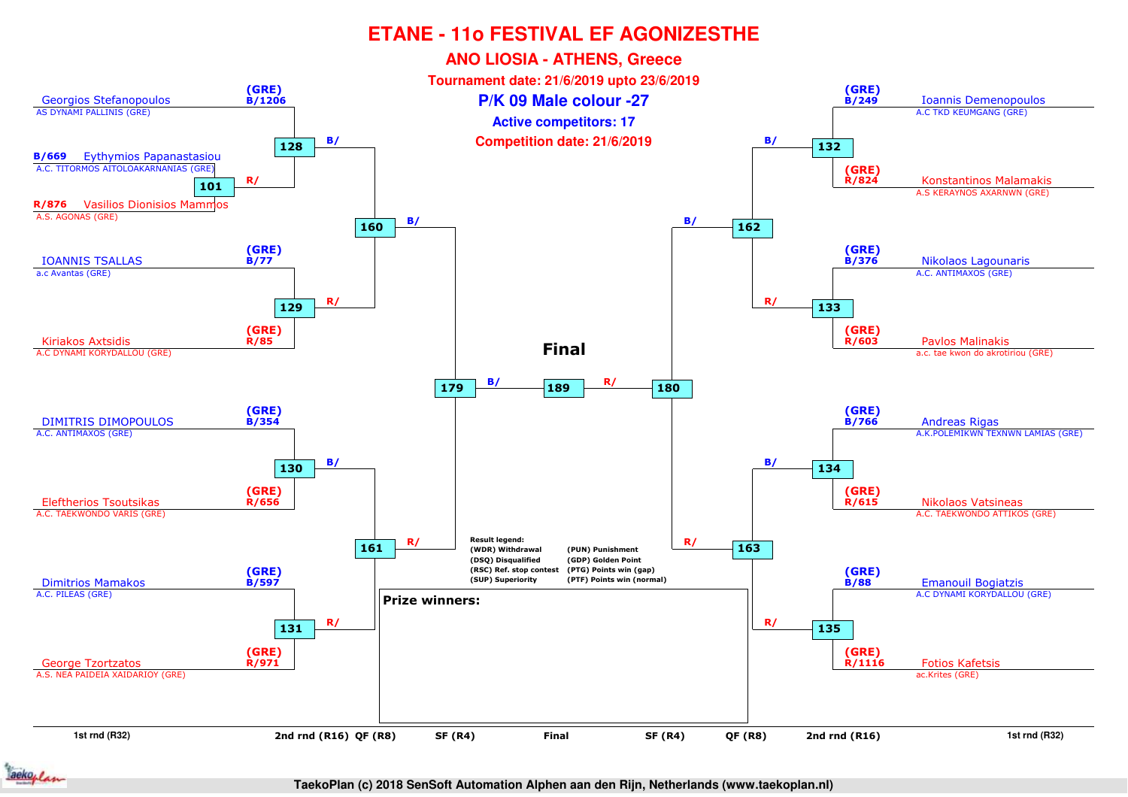

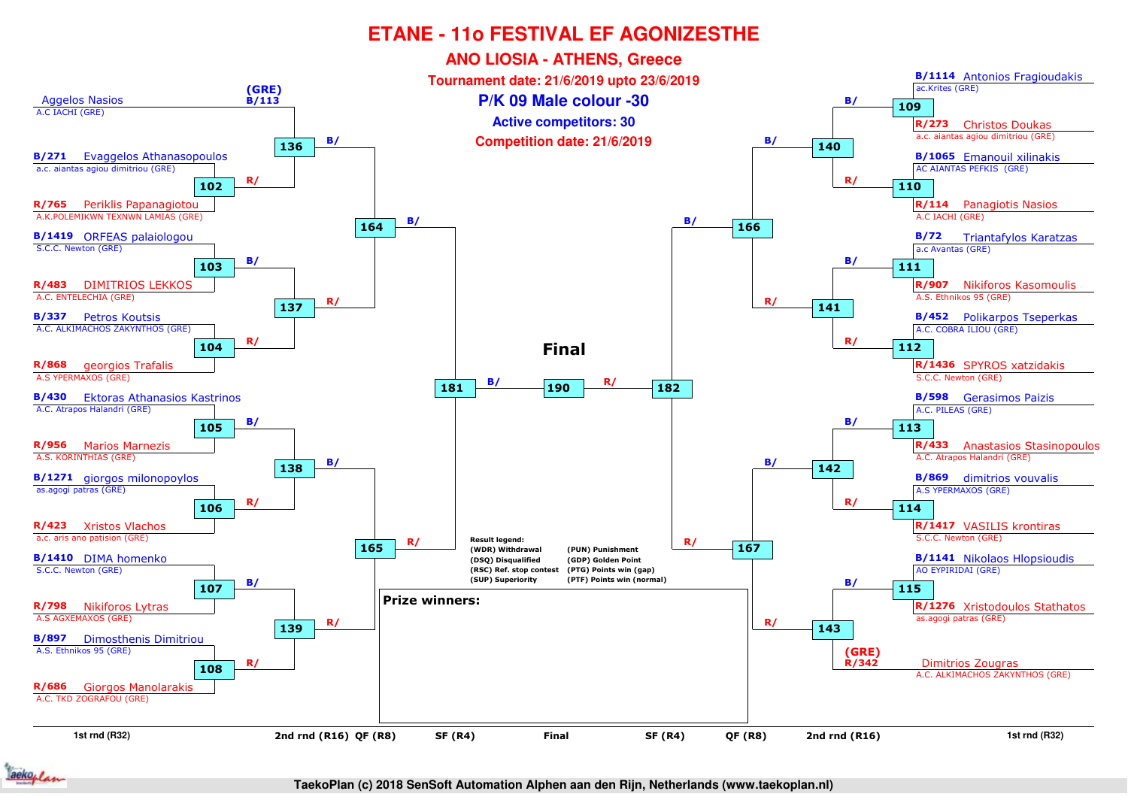

ackoflan

**TaekoPlan (c) 2018 SenSoft Automation Alphen aan den Rijn, Netherlands (www.taekoplan.nl)**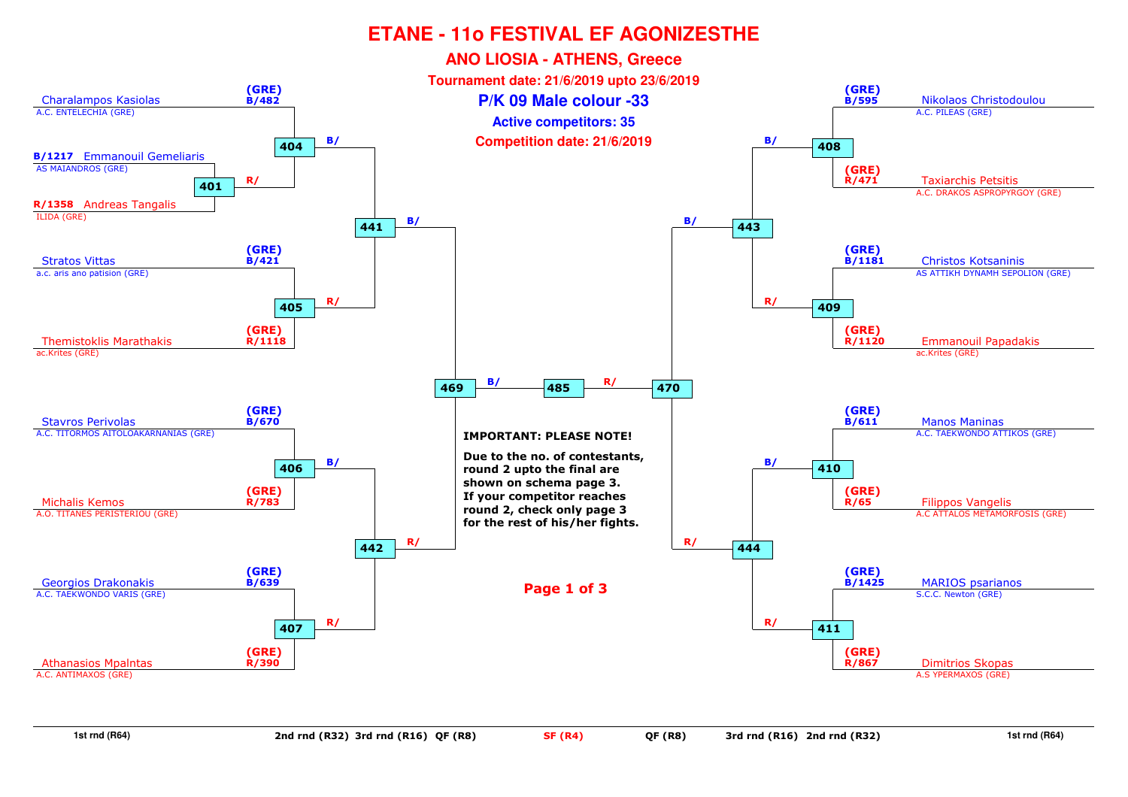

**1st rnd (R64)**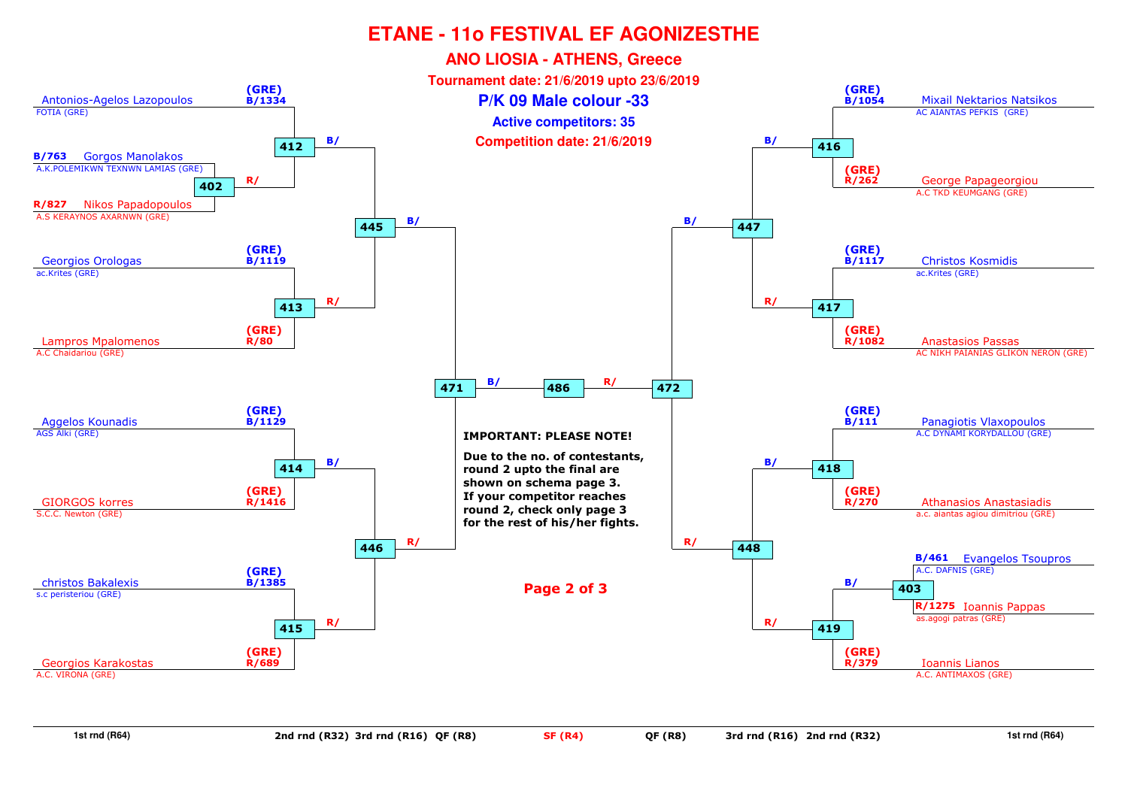

**1st rnd (R64)**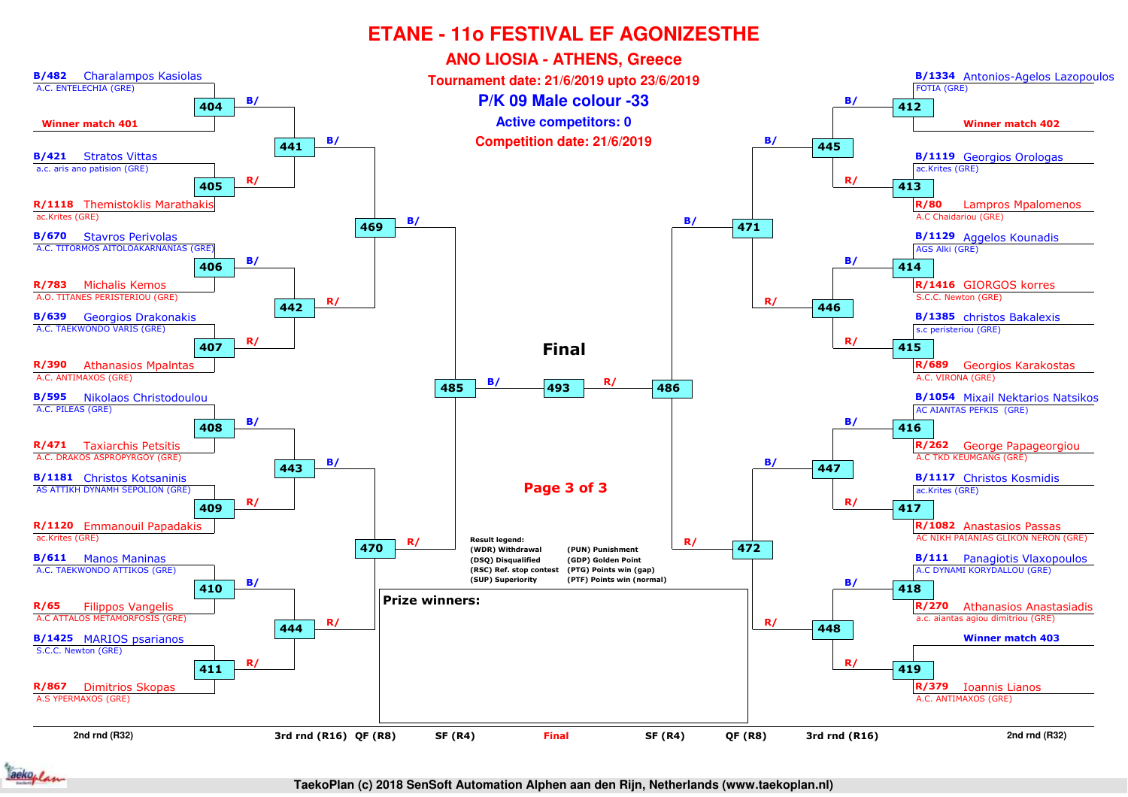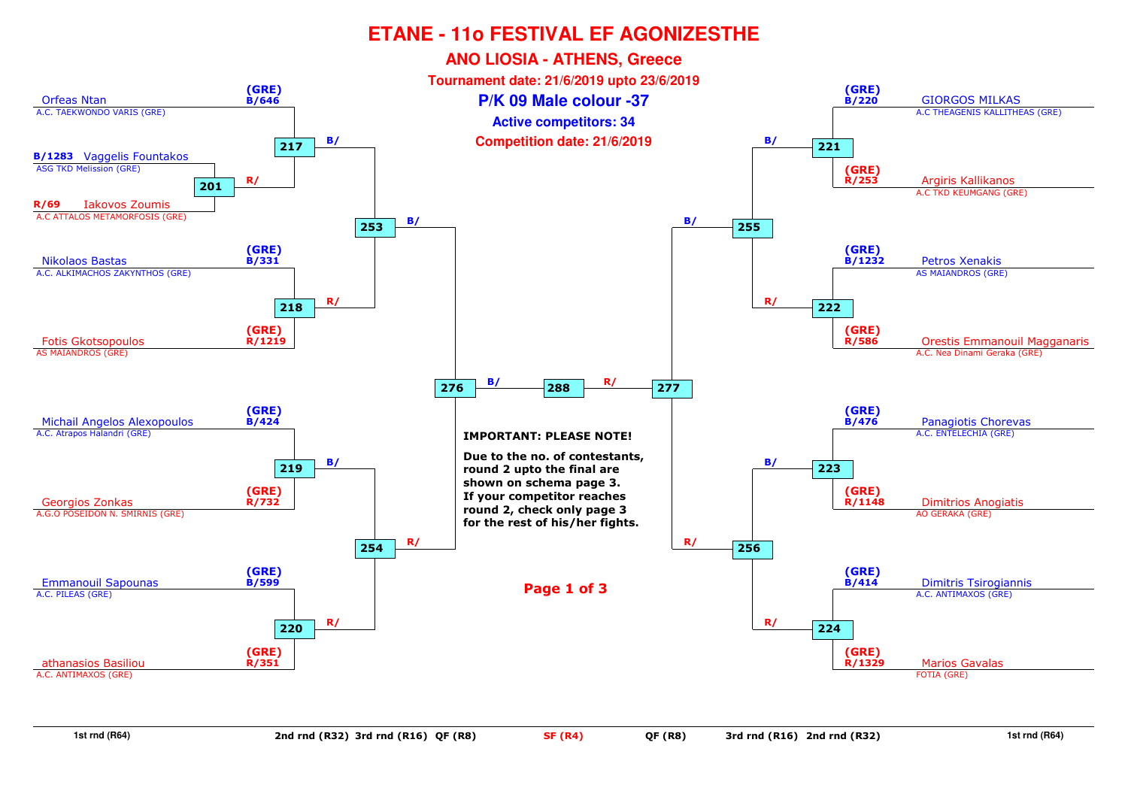

**1st rnd (R64)**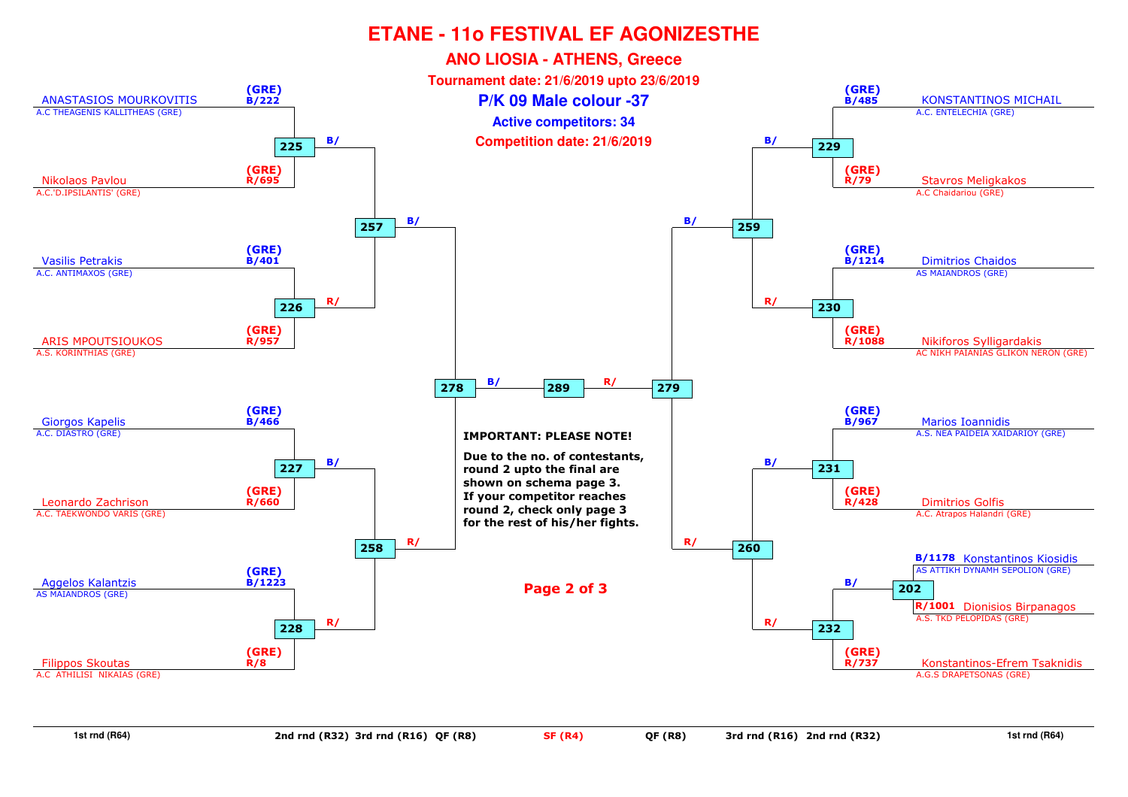

**1st rnd (R64)**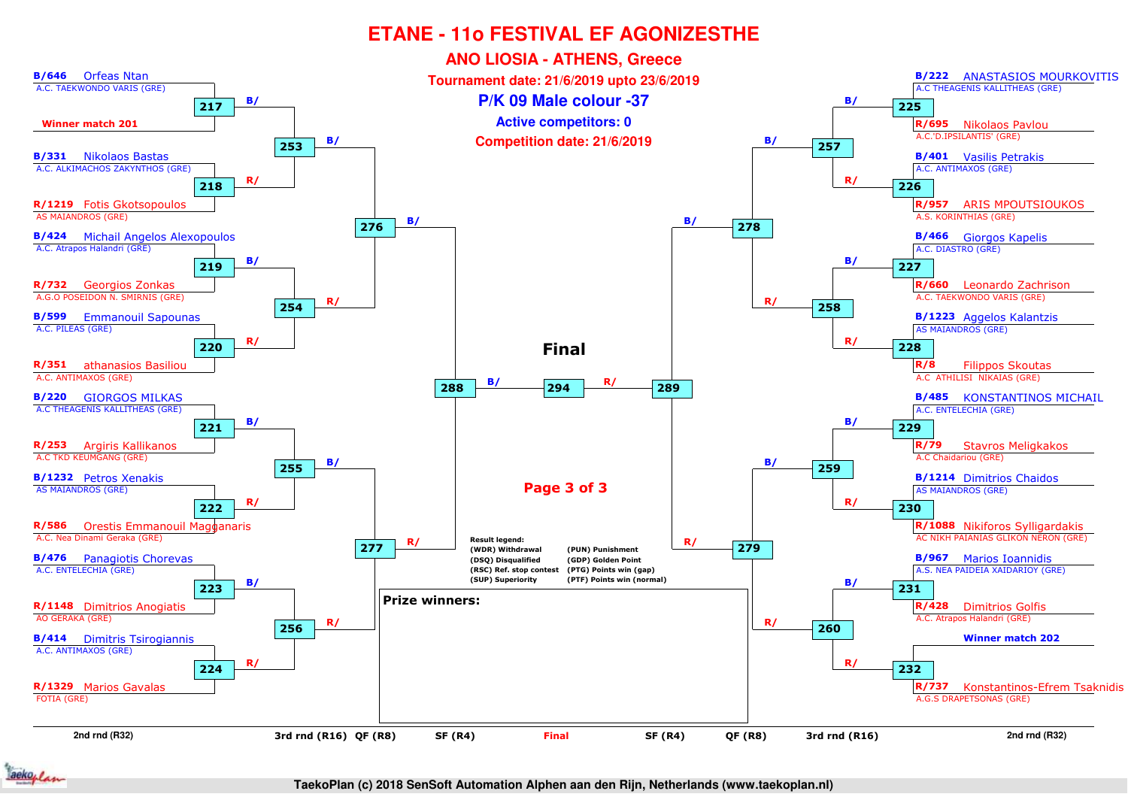

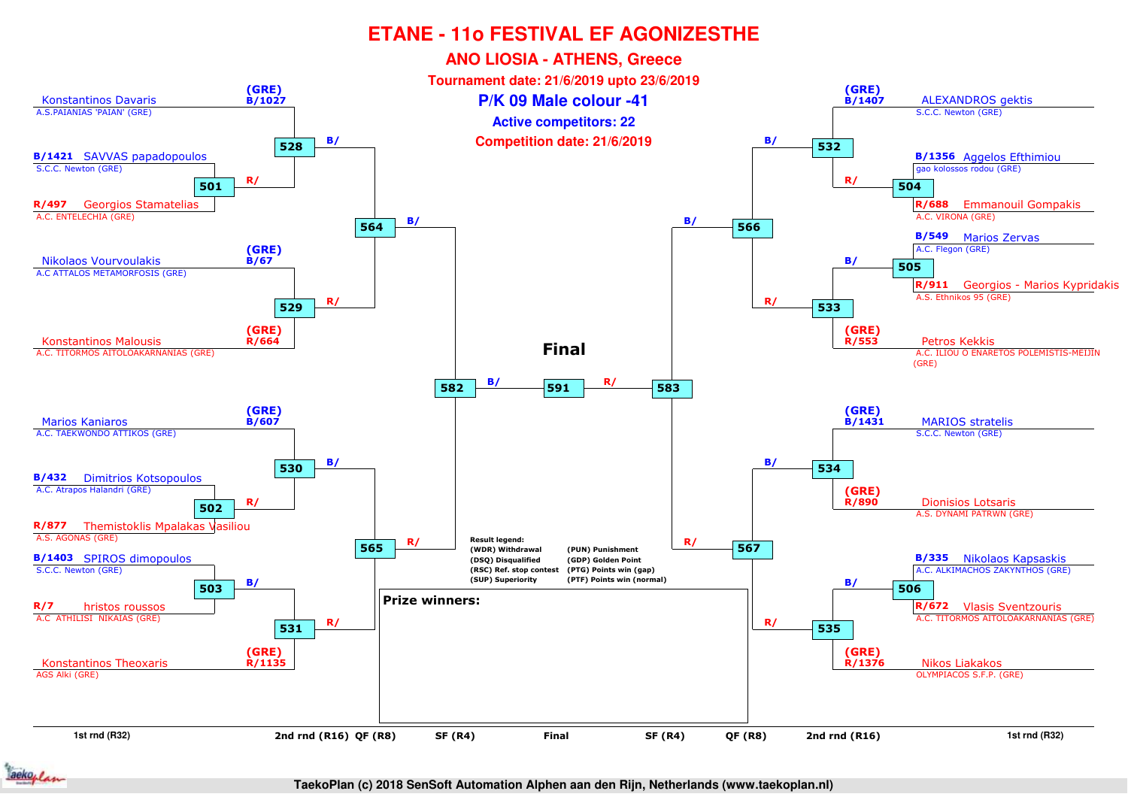

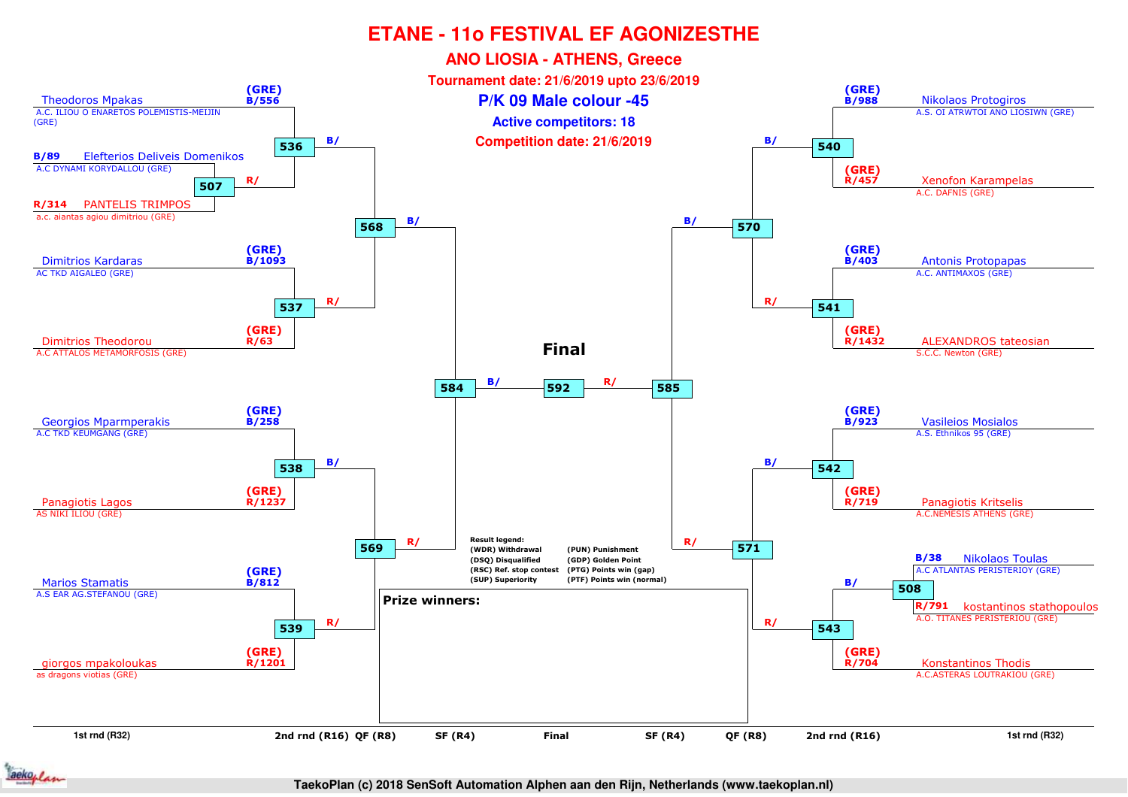

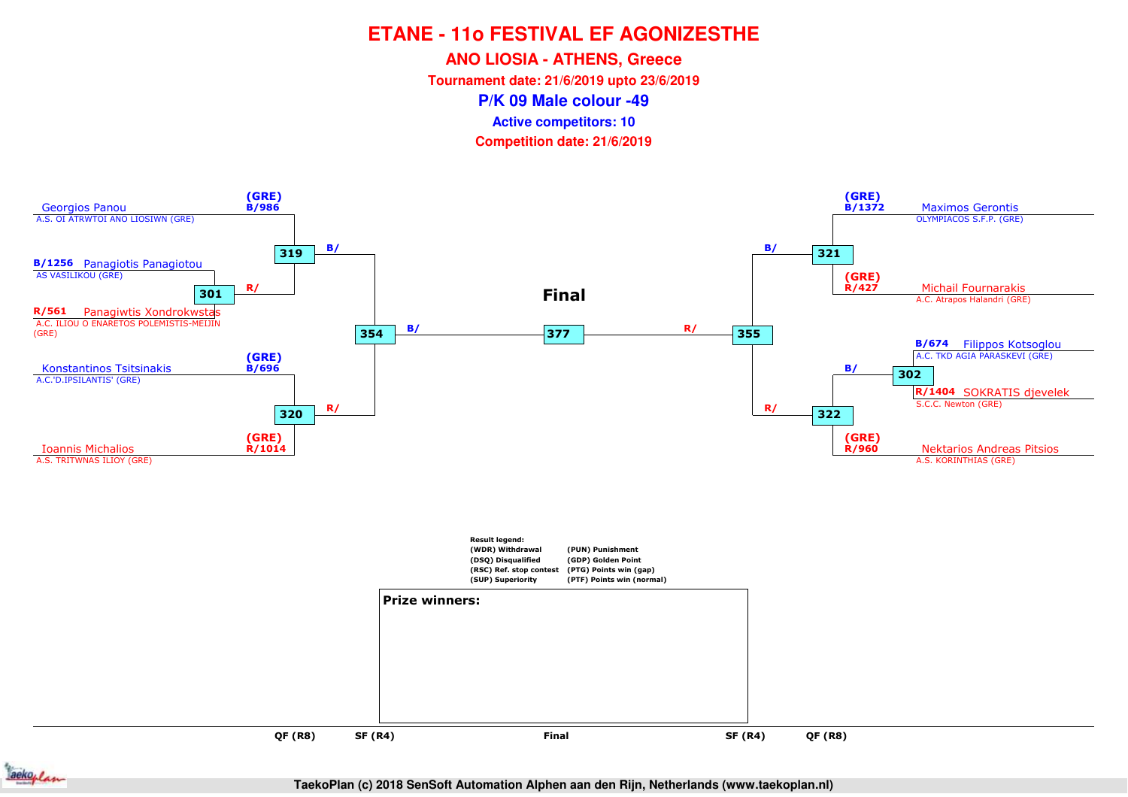**ANO LIOSIA - ATHENS, Greece**

**Tournament date: 21/6/2019 upto 23/6/2019**

**P/K 09 Male colour -49**

**Active competitors: 10**

**Competition date: 21/6/2019**



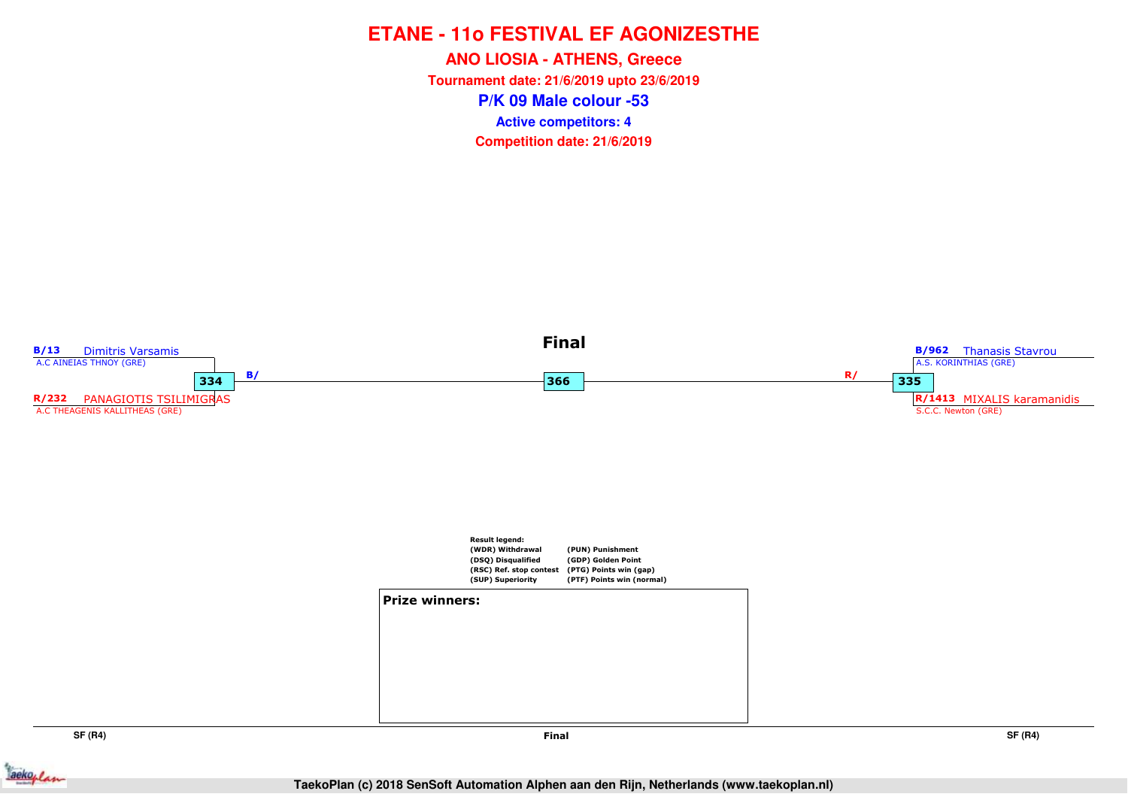**P/K 09 Male colour -53ANO LIOSIA - ATHENS, Greece Tournament date: 21/6/2019 upto 23/6/2019Competition date: 21/6/2019 Active competitors: 4**



**SF (R4)**

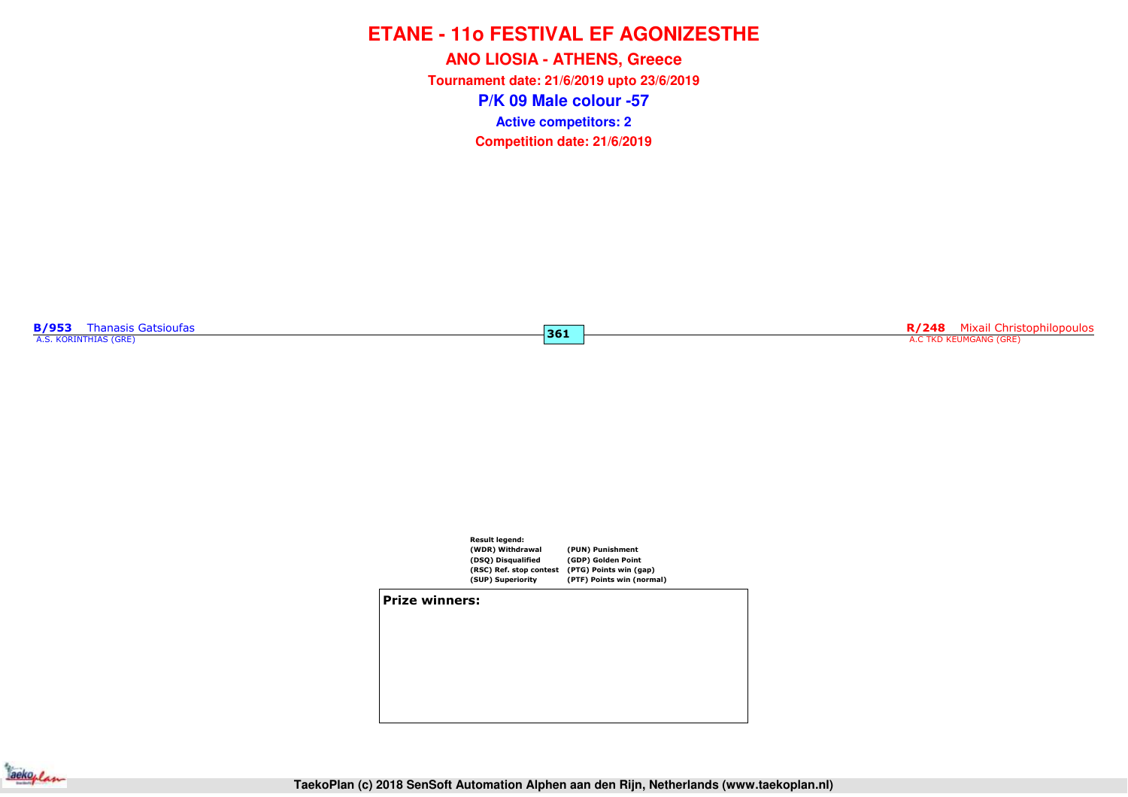**P/K 09 Male colour -57ANO LIOSIA - ATHENS, Greece Tournament date: 21/6/2019 upto 23/6/2019Competition date: 21/6/2019 Active competitors: 2**

**B/953** Thanasis Gatsioufas<br>A.S. KORINTHIAS (GRE)

**R/248** Mixail Christophilopoulos<br>A.C TKD KEUMGANG (GRE)



**361**

**Prize winners:**

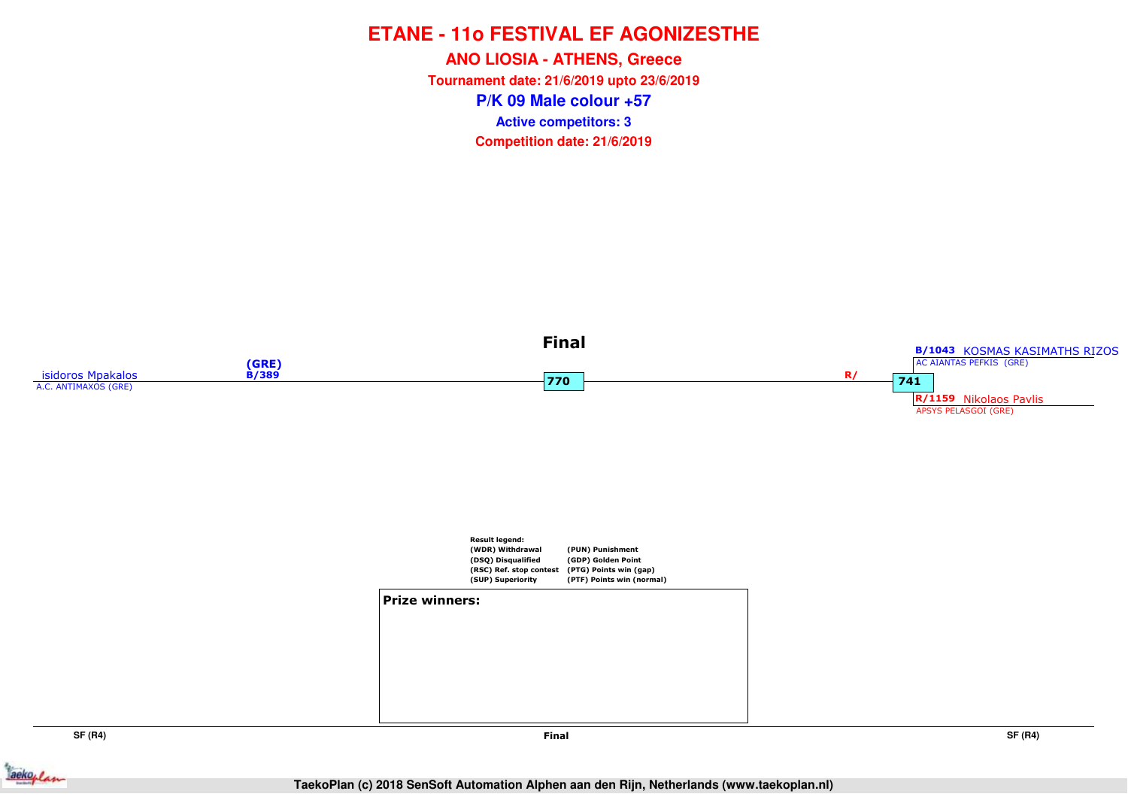**P/K 09 Male colour +57ANO LIOSIA - ATHENS, Greece Tournament date: 21/6/2019 upto 23/6/2019Competition date: 21/6/2019 Active competitors: 3**

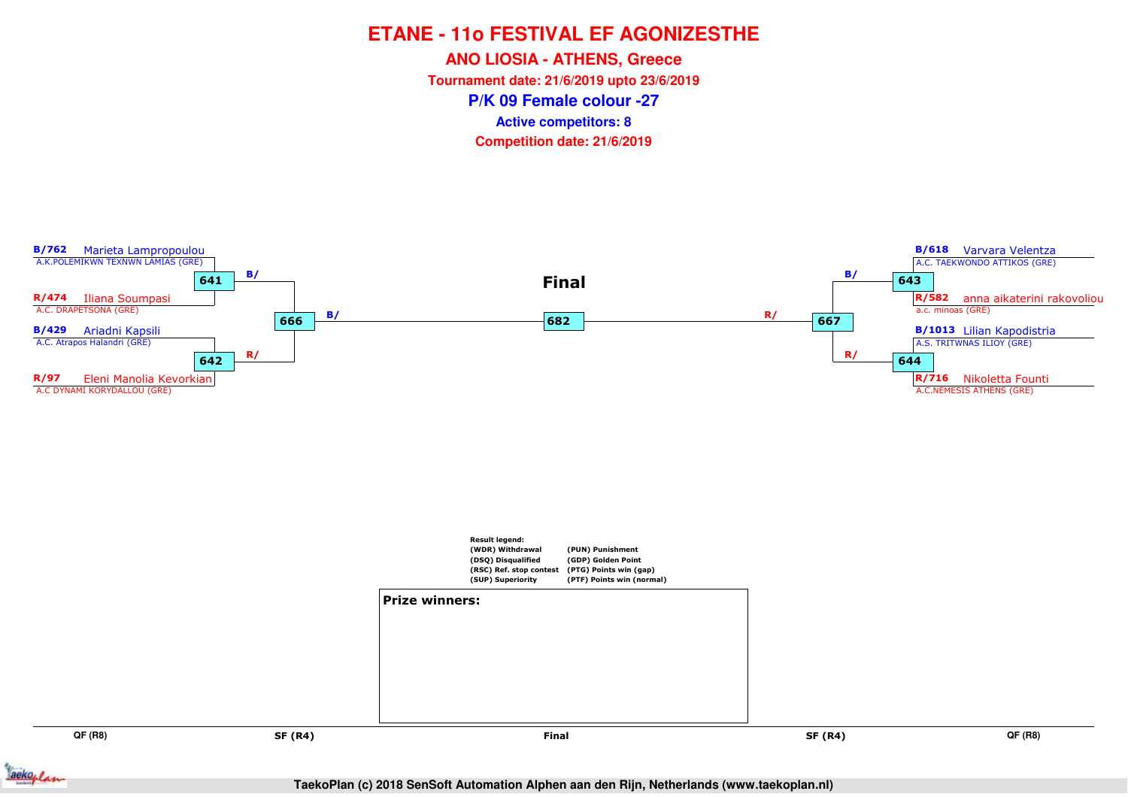**ANO LIOSIA - ATHENS, Greece**

**Tournament date: 21/6/2019 upto 23/6/2019**

**P/K 09 Female colour -27**

**Active competitors: 8**



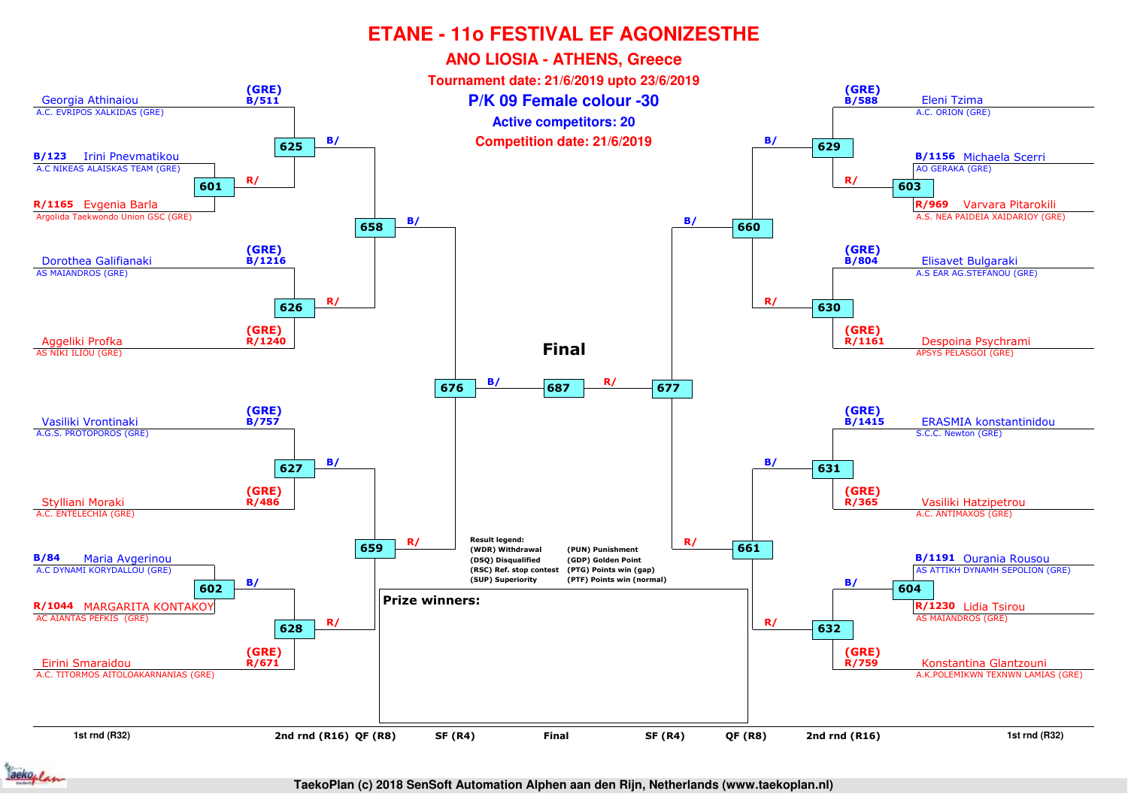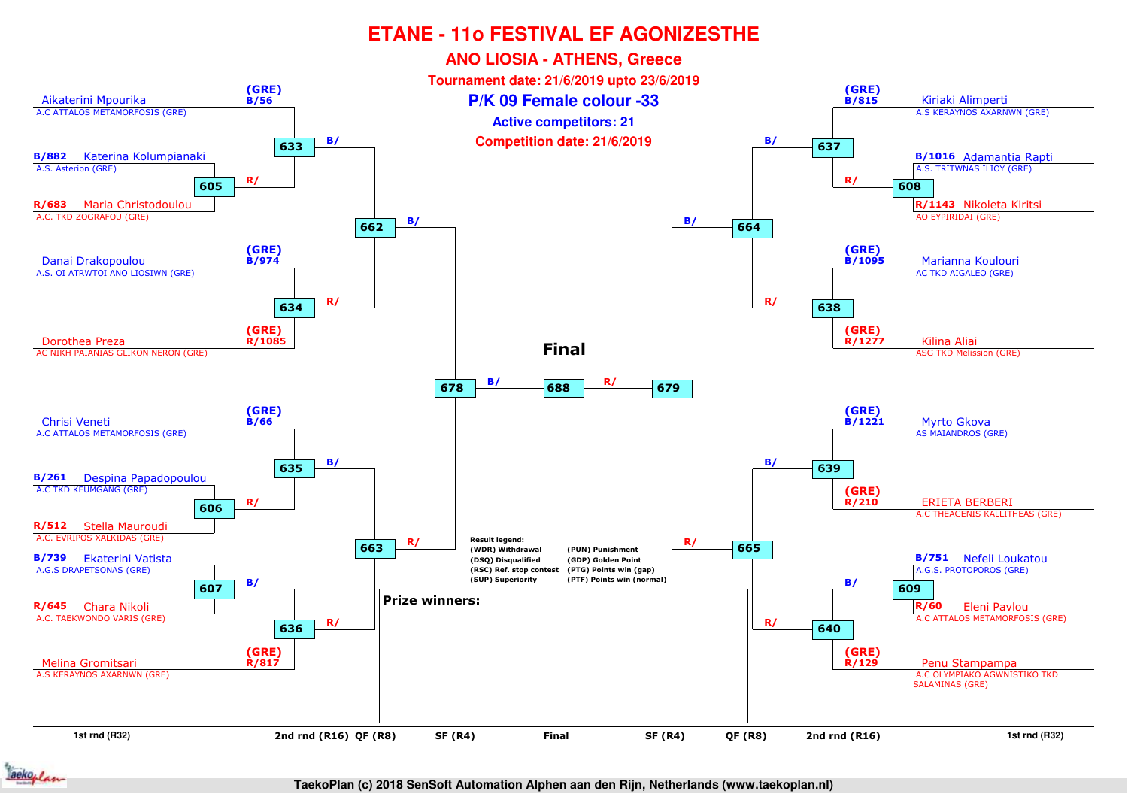

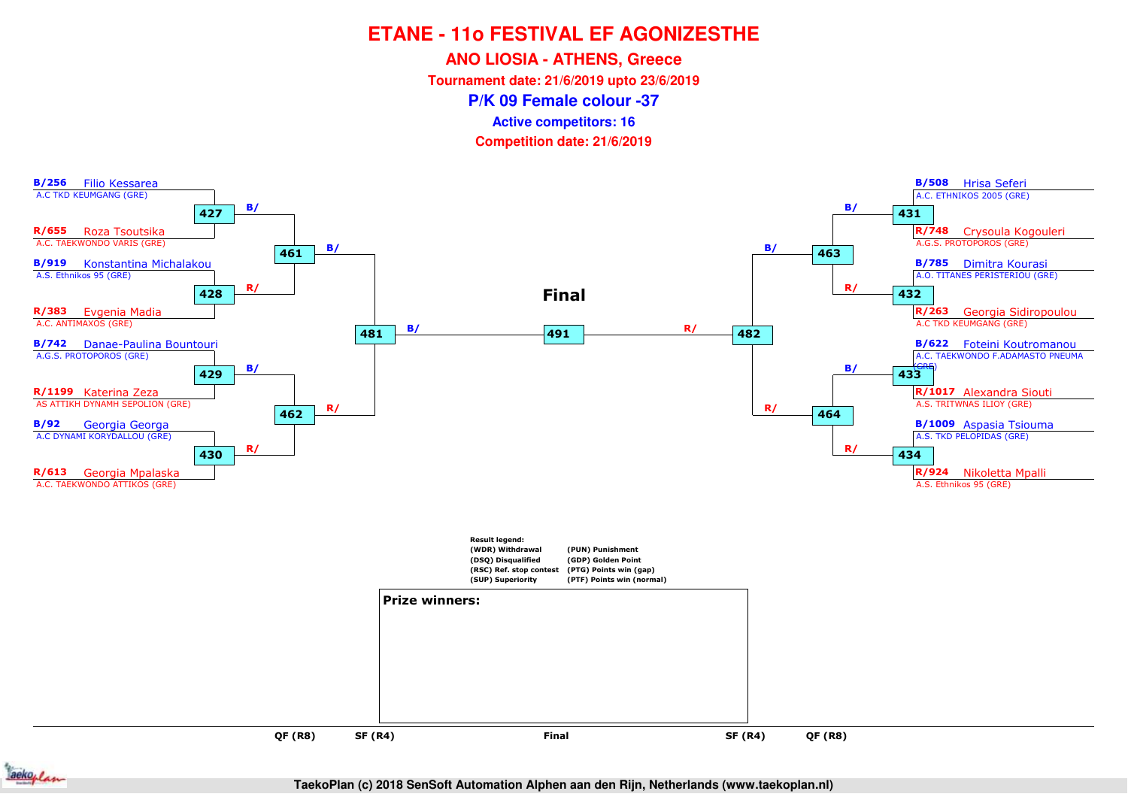**ANO LIOSIA - ATHENS, Greece**

**Tournament date: 21/6/2019 upto 23/6/2019**

**P/K 09 Female colour -37**

**Active competitors: 16**





**TaekoPlan (c) 2018 SenSoft Automation Alphen aan den Rijn, Netherlands (www.taekoplan.nl)**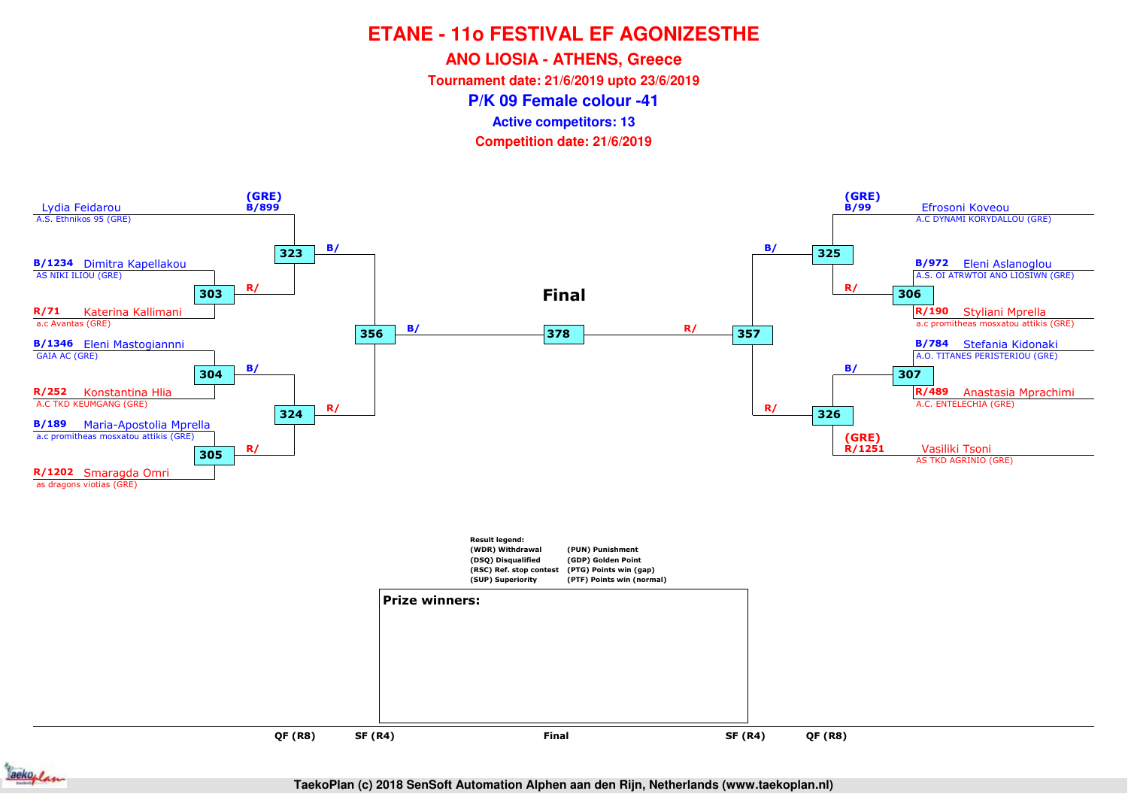**ANO LIOSIA - ATHENS, Greece**

**Tournament date: 21/6/2019 upto 23/6/2019**

**P/K 09 Female colour -41**

**Active competitors: 13**

**Competition date: 21/6/2019**



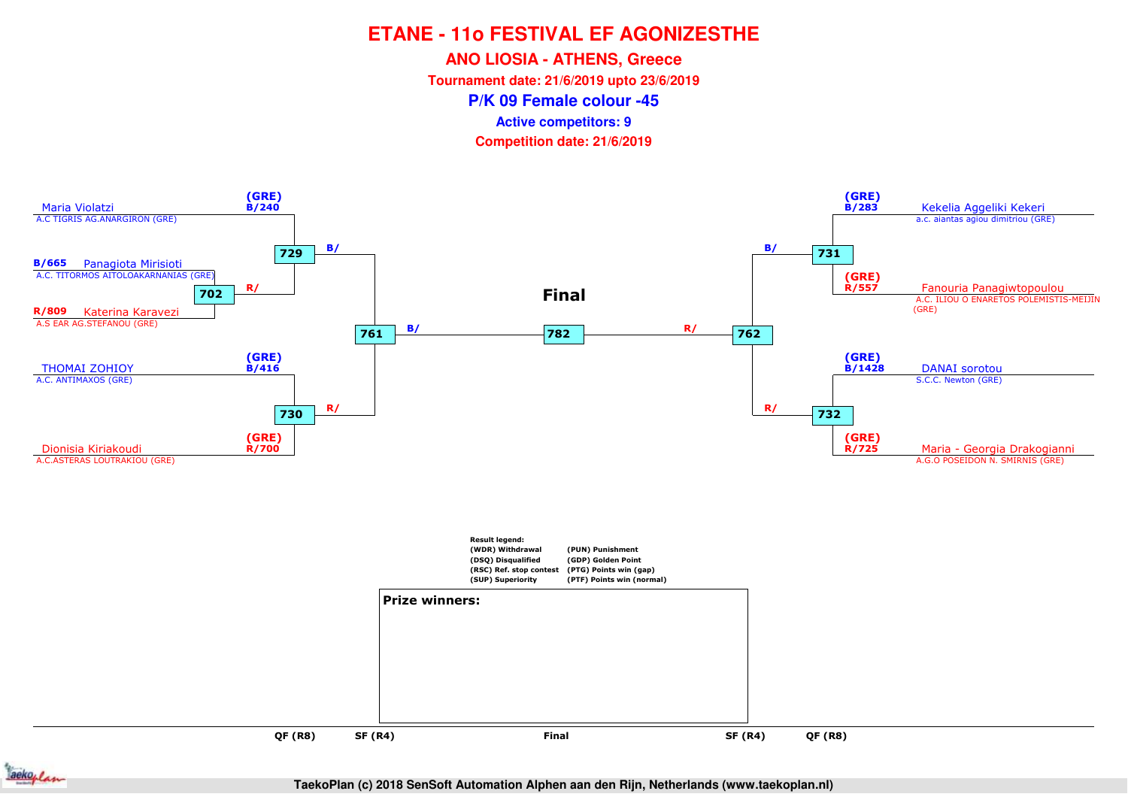**ANO LIOSIA - ATHENS, Greece**

**Tournament date: 21/6/2019 upto 23/6/2019**

**P/K 09 Female colour -45**

**Active competitors: 9**

**Competition date: 21/6/2019**



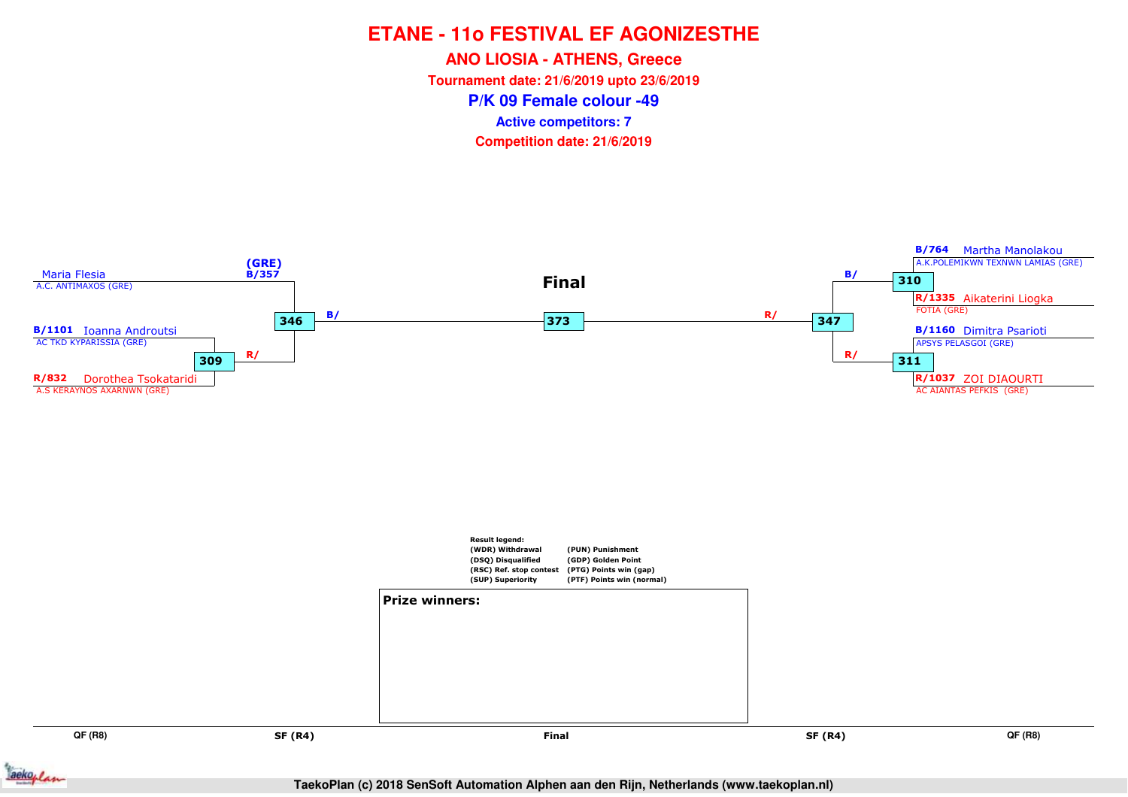**ANO LIOSIA - ATHENS, Greece**

**Tournament date: 21/6/2019 upto 23/6/2019**

**P/K 09 Female colour -49**

**Active competitors: 7**



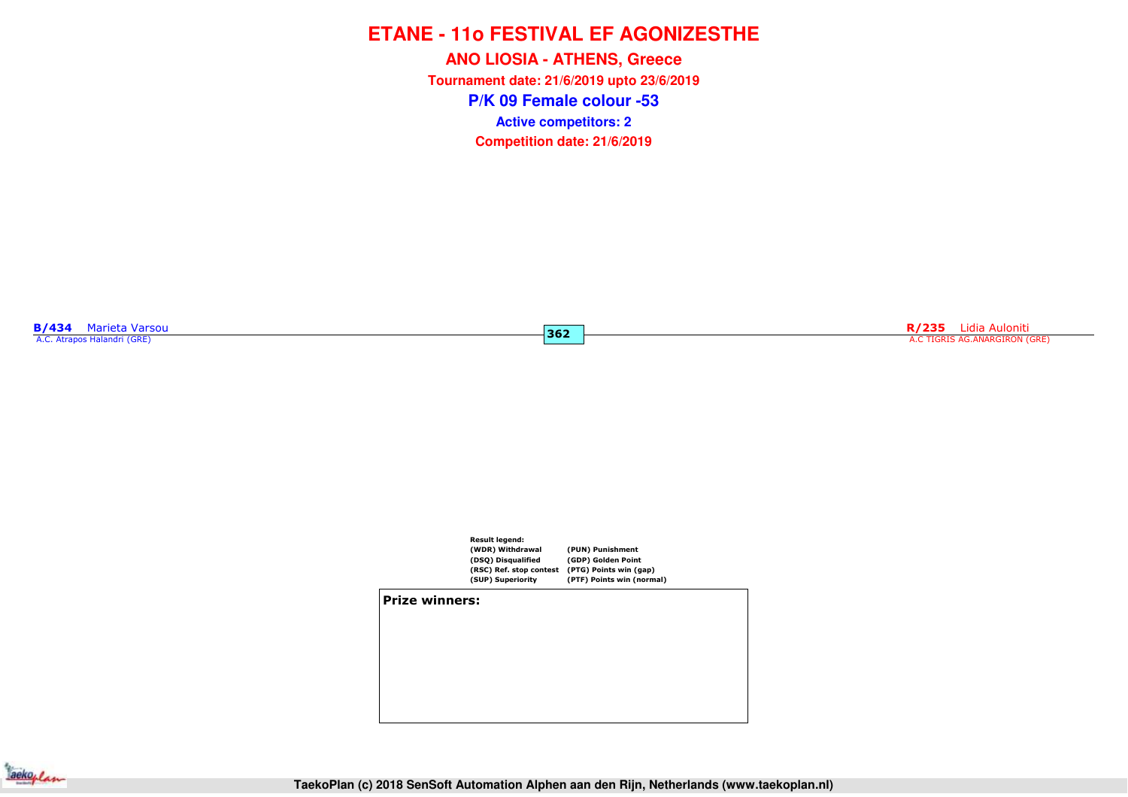**P/K 09 Female colour -53ANO LIOSIA - ATHENS, Greece Tournament date: 21/6/2019 upto 23/6/2019Competition date: 21/6/2019 Active competitors: 2**

**362**

**B/434** Marieta Varsou<br>A.C. Atrapos Halandri (GRE)

**R/235** Lidia Auloniti A.C TIGRIS AG.ANARGIRON (GRE)



#### **Prize winners:**

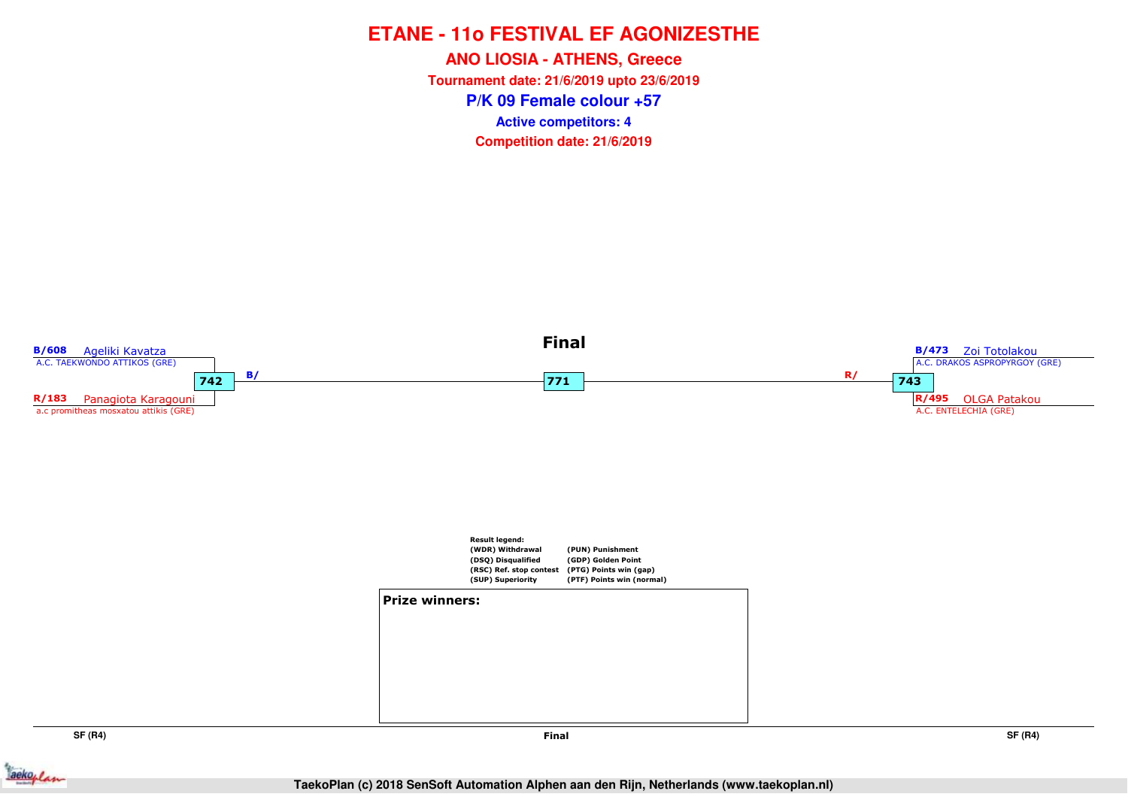**P/K 09 Female colour +57ANO LIOSIA - ATHENS, Greece Tournament date: 21/6/2019 upto 23/6/2019Competition date: 21/6/2019 Active competitors: 4**



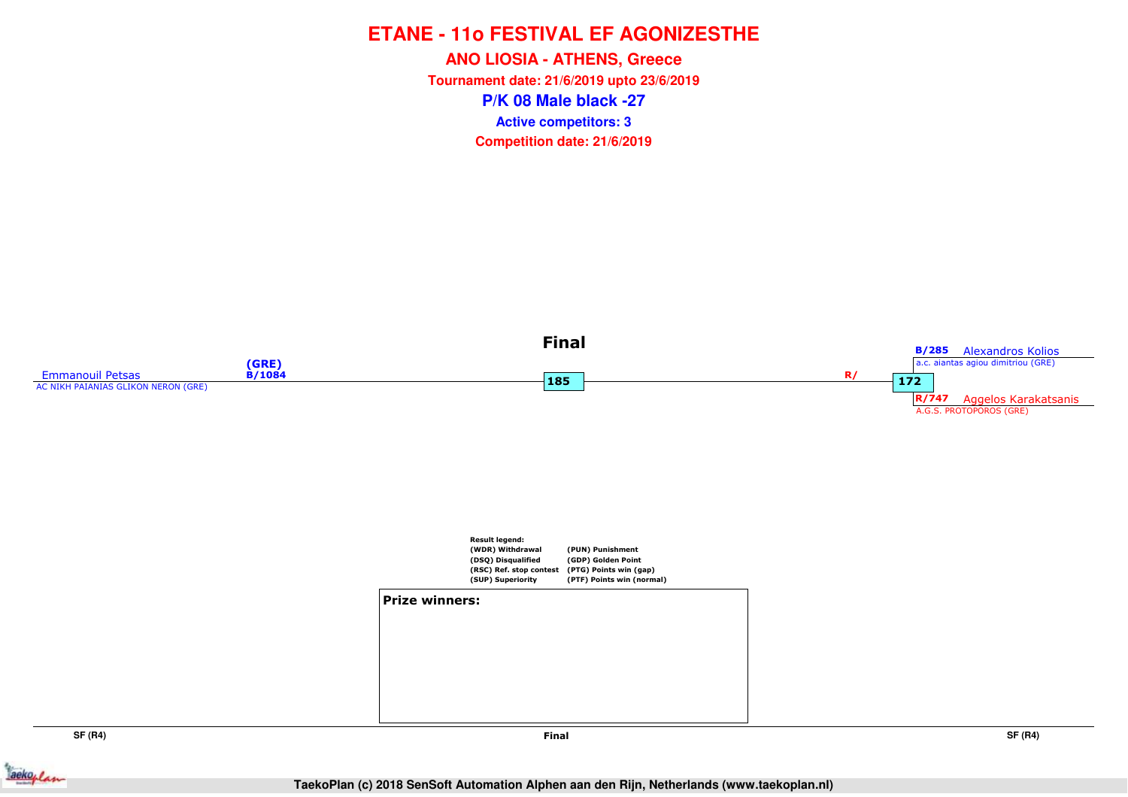**P/K 08 Male black -27ANO LIOSIA - ATHENS, Greece Tournament date: 21/6/2019 upto 23/6/2019Competition date: 21/6/2019 Active competitors: 3**





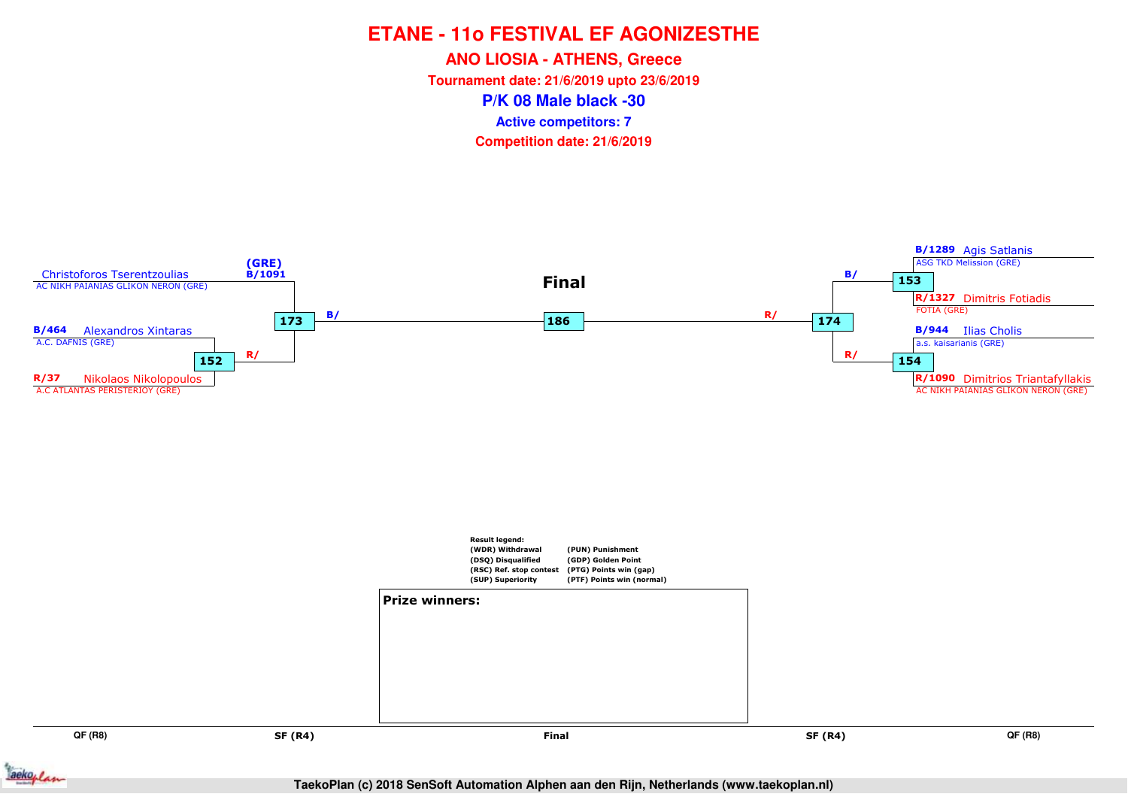**ANO LIOSIA - ATHENS, Greece**

**Tournament date: 21/6/2019 upto 23/6/2019**

**P/K 08 Male black -30**

**Active competitors: 7**



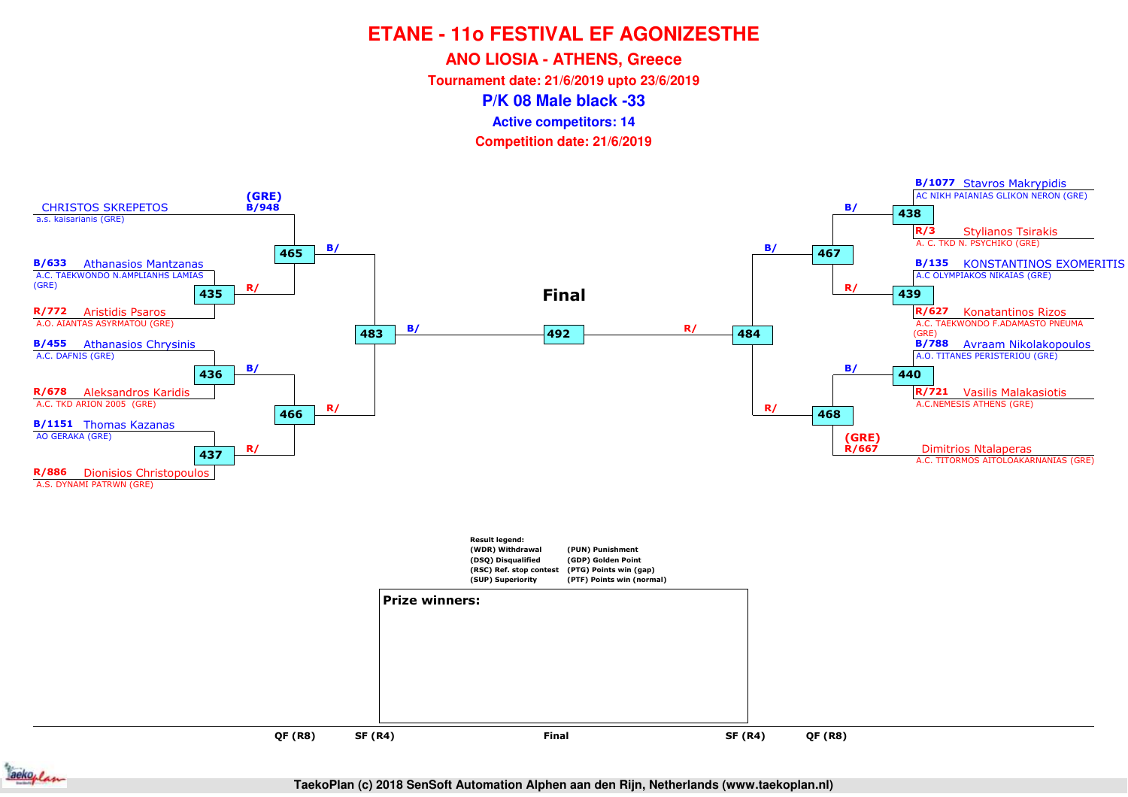**ANO LIOSIA - ATHENS, Greece**

**Tournament date: 21/6/2019 upto 23/6/2019**

**P/K 08 Male black -33**

**Active competitors: 14**



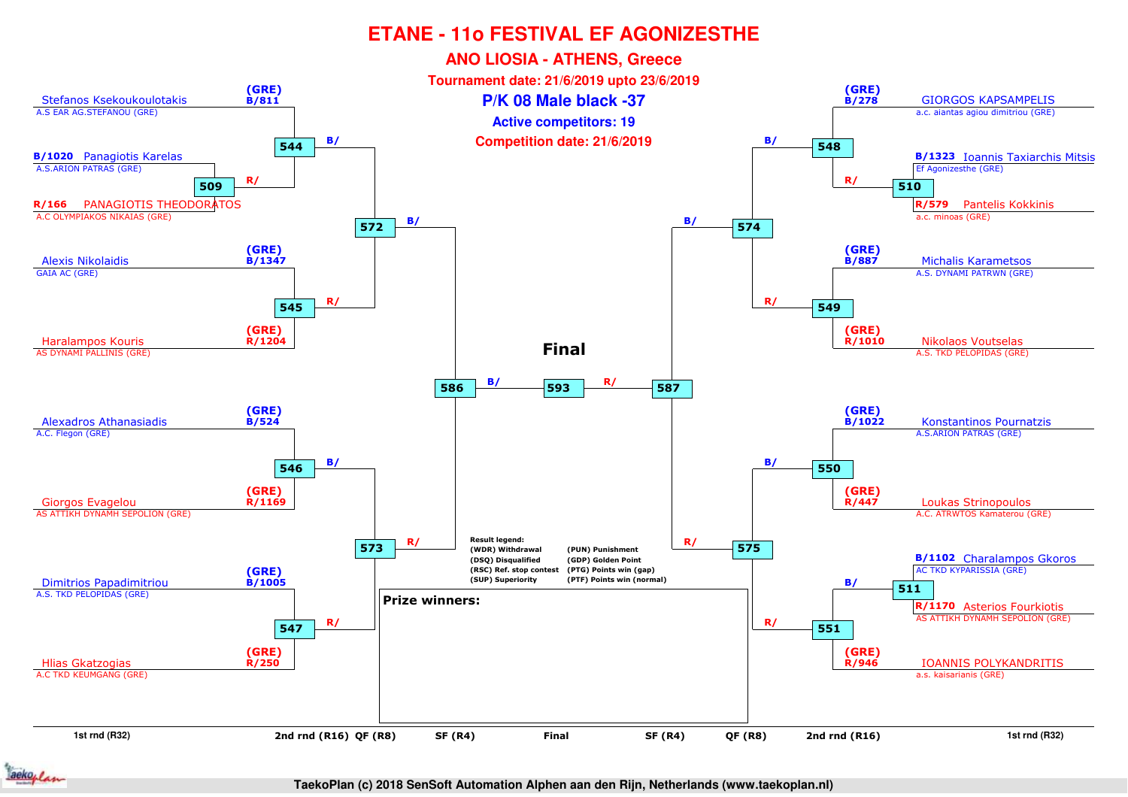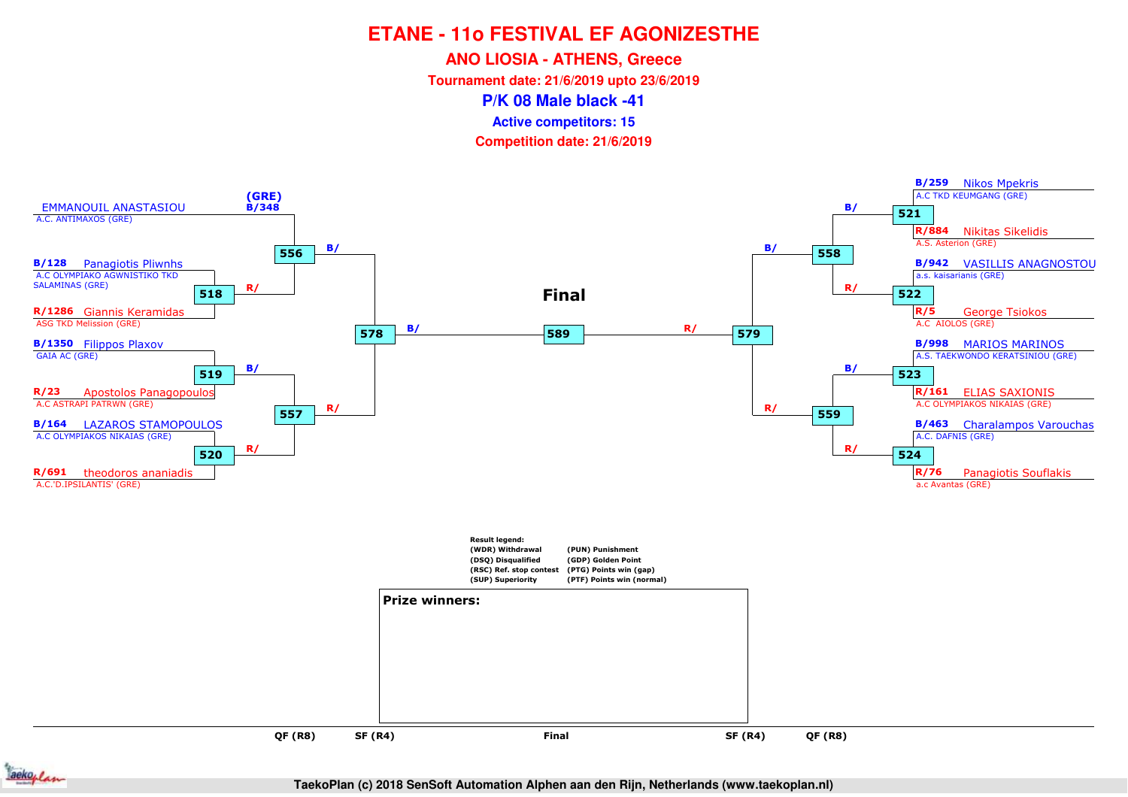**ANO LIOSIA - ATHENS, Greece**

**Tournament date: 21/6/2019 upto 23/6/2019**

**P/K 08 Male black -41**

**Active competitors: 15**

**Competition date: 21/6/2019**





**TaekoPlan (c) 2018 SenSoft Automation Alphen aan den Rijn, Netherlands (www.taekoplan.nl)**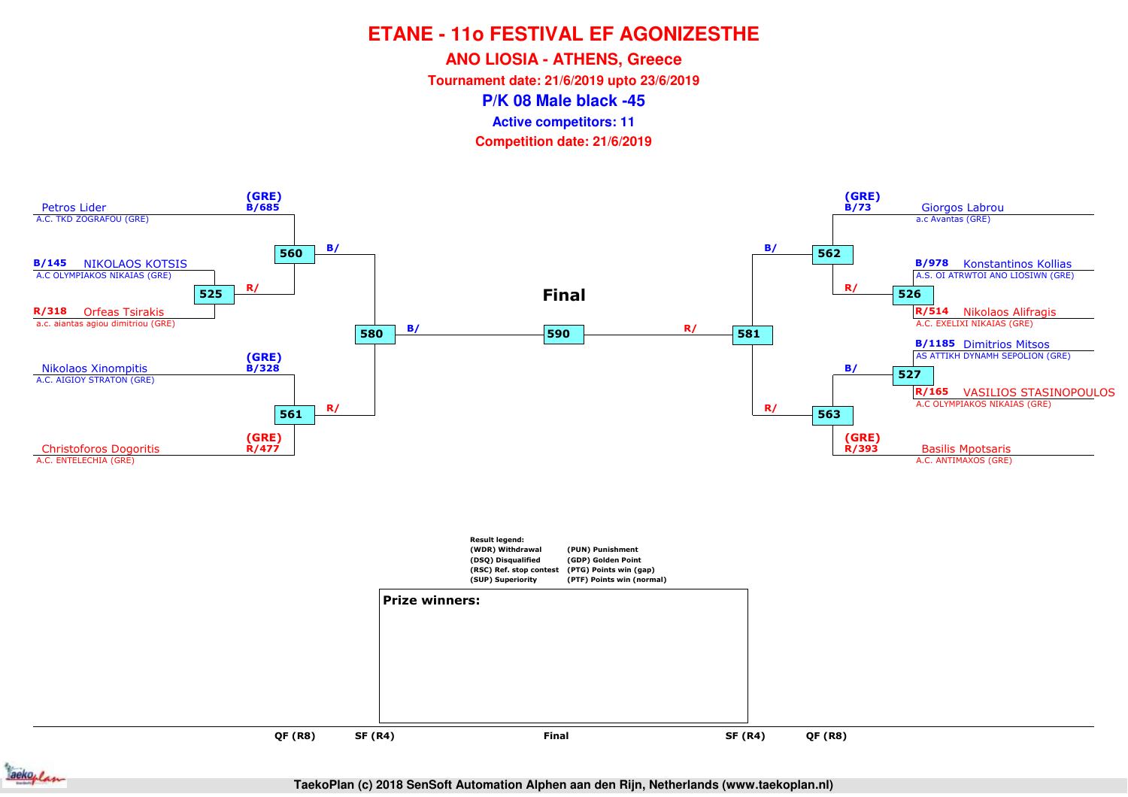**ANO LIOSIA - ATHENS, Greece**

**Tournament date: 21/6/2019 upto 23/6/2019**

**P/K 08 Male black -45**

**Active competitors: 11**





**TaekoPlan (c) 2018 SenSoft Automation Alphen aan den Rijn, Netherlands (www.taekoplan.nl)**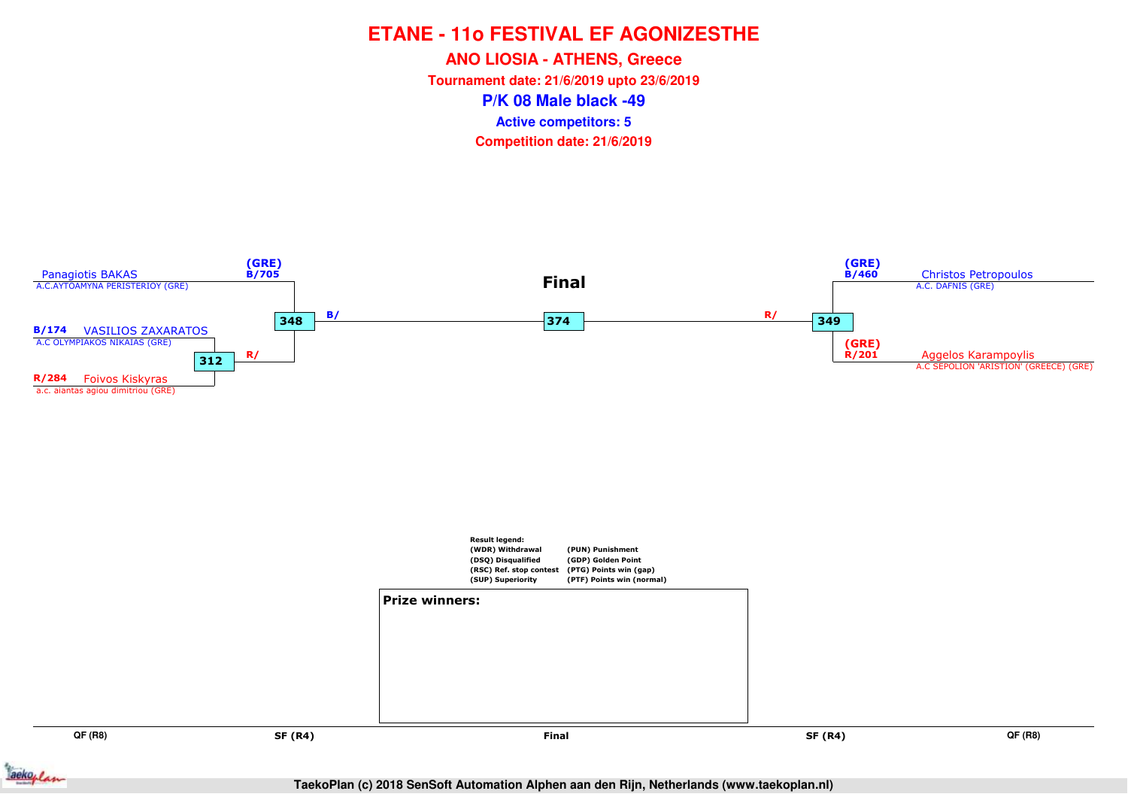**ANO LIOSIA - ATHENS, Greece**

**Tournament date: 21/6/2019 upto 23/6/2019**

**P/K 08 Male black -49**

**Active competitors: 5**



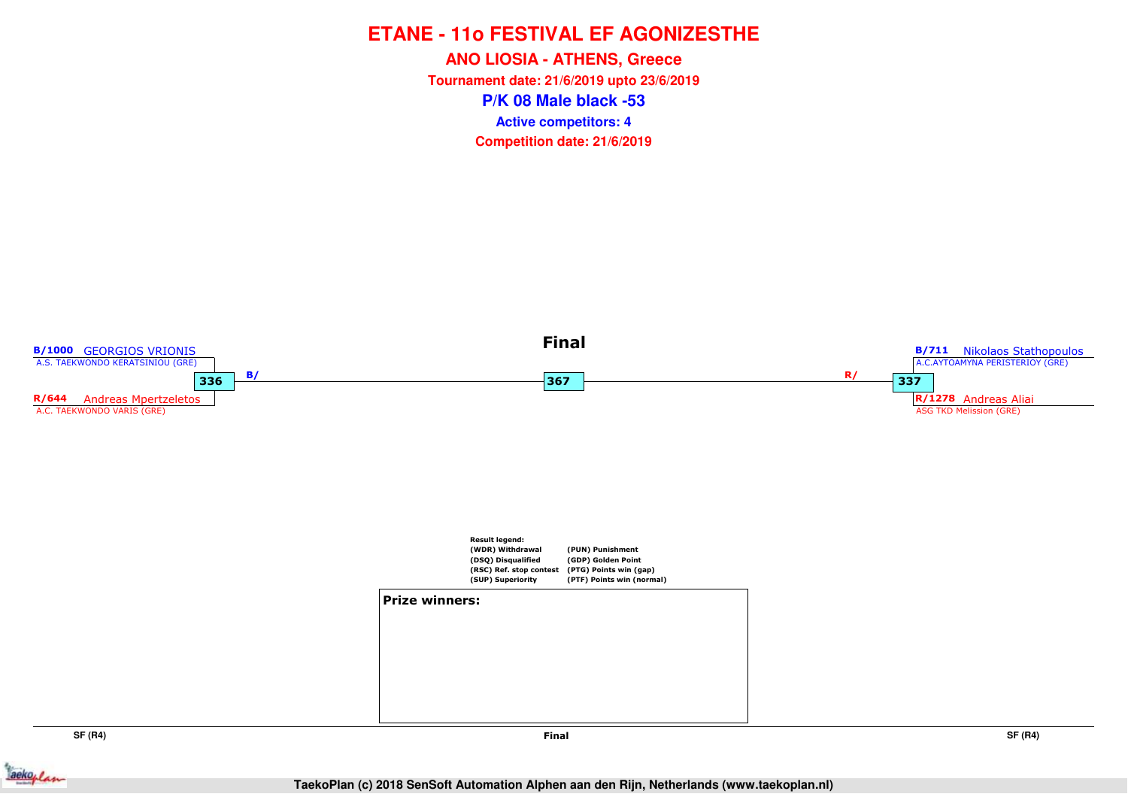**P/K 08 Male black -53ANO LIOSIA - ATHENS, Greece Tournament date: 21/6/2019 upto 23/6/2019Competition date: 21/6/2019 Active competitors: 4**



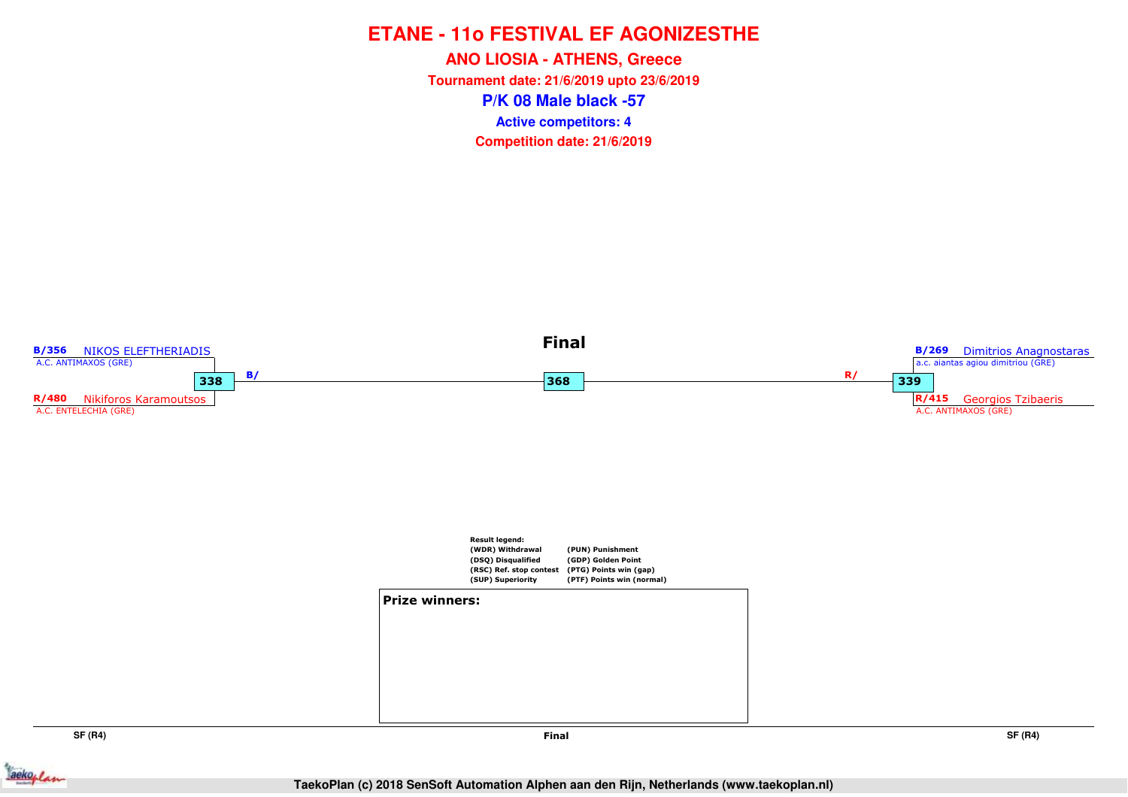**P/K 08 Male black -57ANO LIOSIA - ATHENS, Greece Tournament date: 21/6/2019 upto 23/6/2019Competition date: 21/6/2019 Active competitors: 4**



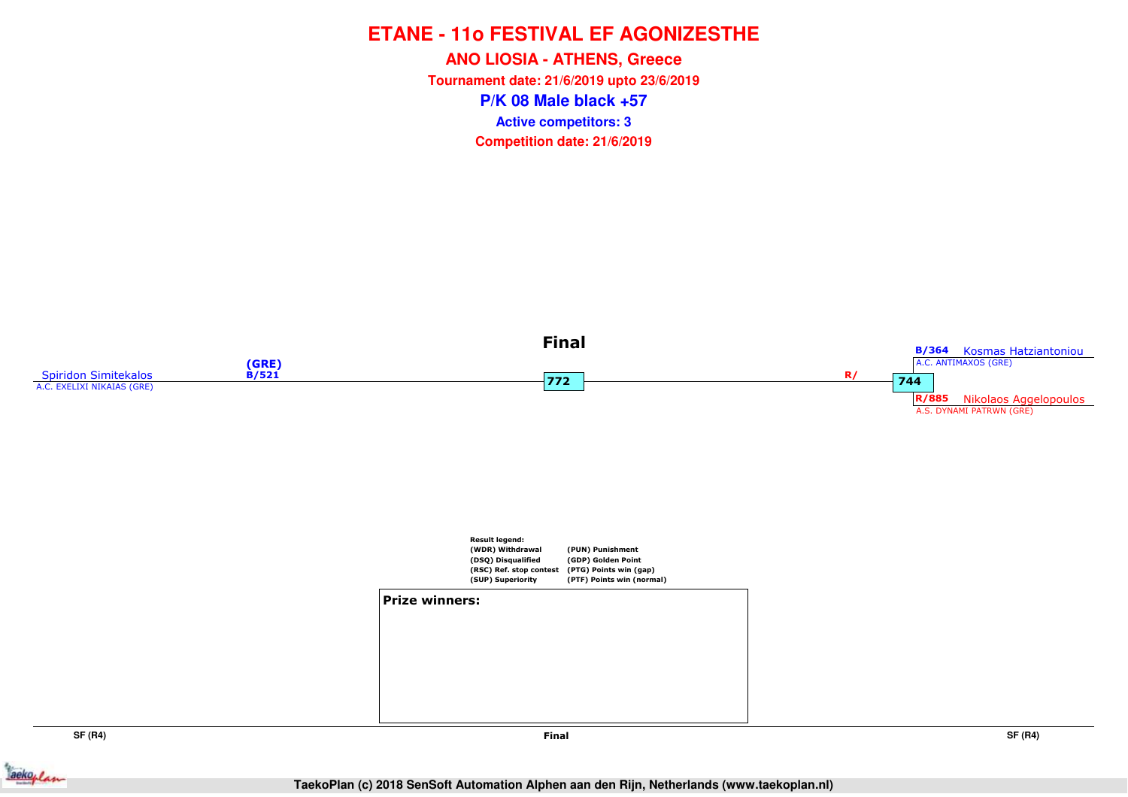**P/K 08 Male black +57ANO LIOSIA - ATHENS, Greece Tournament date: 21/6/2019 upto 23/6/2019Competition date: 21/6/2019 Active competitors: 3**





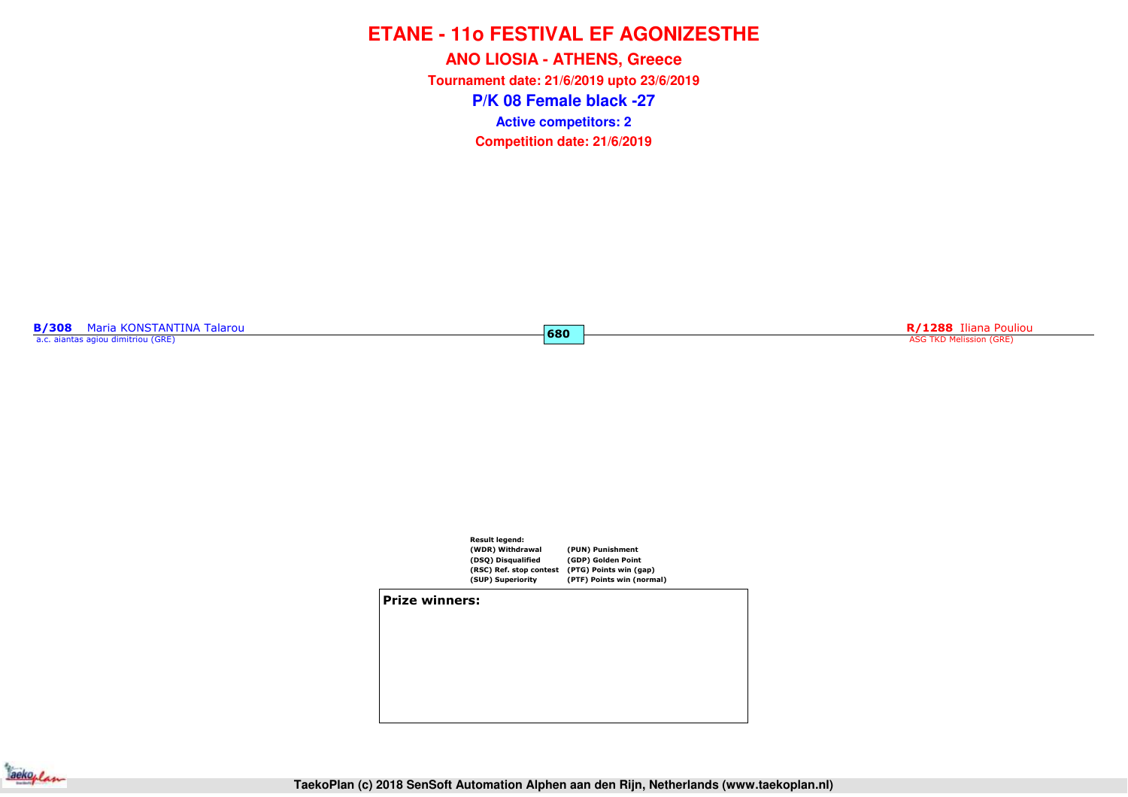**P/K 08 Female black -27ANO LIOSIA - ATHENS, Greece Tournament date: 21/6/2019 upto 23/6/2019Competition date: 21/6/2019 Active competitors: 2**

**680**

**B/308** Maria KONSTANTINA Talarou a.c. aiantas agiou dimitriou (GRE)

**R/1288** Iliana Pouliou and Security Contract to the Case of Case of Case of Case of Case of Case of Case of Case of Case of Case of Case of Case of Case of Case of Case of Case of Case of Case of Case of Case of Case of C



**Prize winners:**

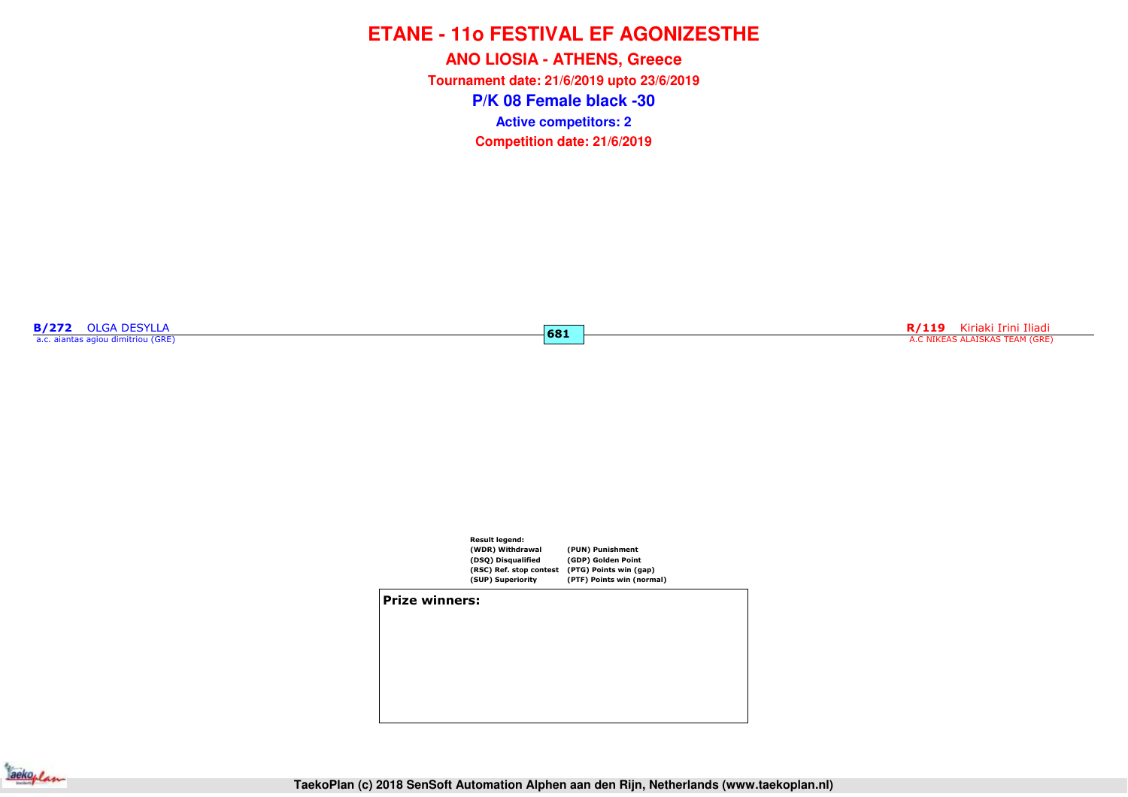**P/K 08 Female black -30ANO LIOSIA - ATHENS, Greece Tournament date: 21/6/2019 upto 23/6/2019Competition date: 21/6/2019 Active competitors: 2**

**681**

**B/272** OLGA DESYLLA a.c. aiantas agiou dimitriou (GRE)

**R/119** Kiriaki Irini Iliadi<br>A.C NIKEAS ALAISKAS TEAM (GRE)



#### **Prize winners:**

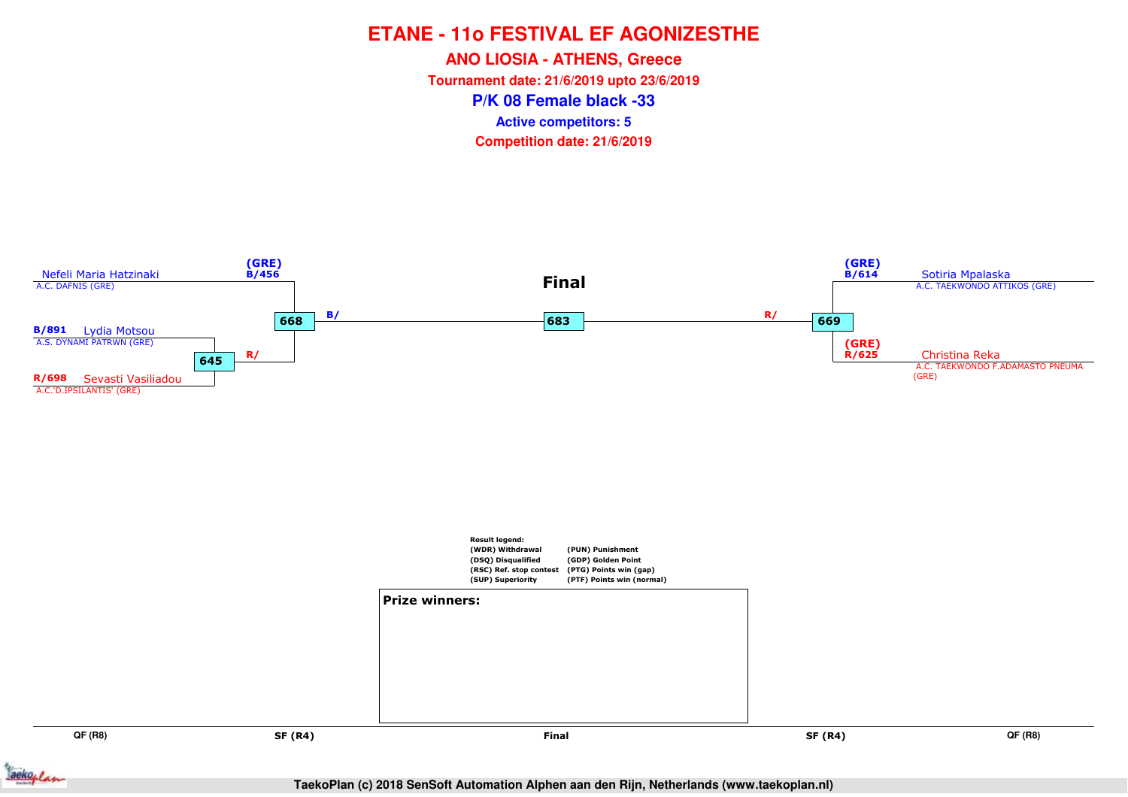**ANO LIOSIA - ATHENS, GreeceTournament date: 21/6/2019 upto 23/6/2019**

**P/K 08 Female black -33**

**Active competitors: 5**



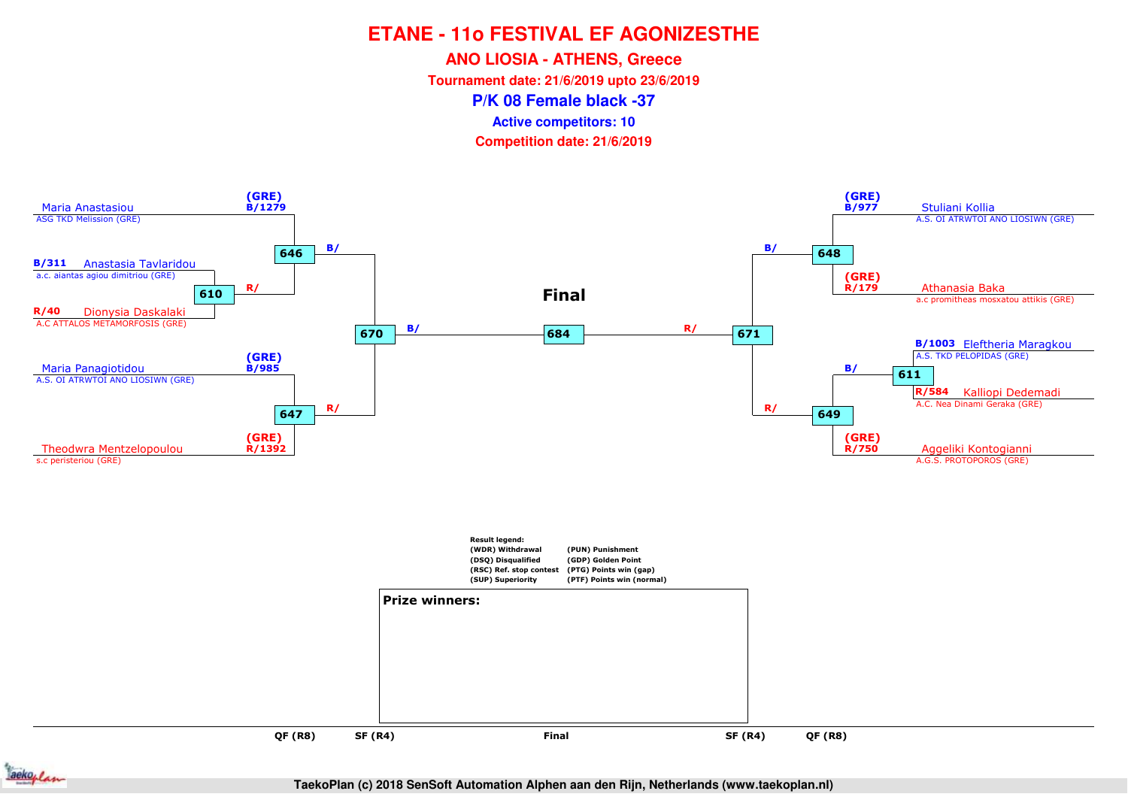**ANO LIOSIA - ATHENS, Greece**

**Tournament date: 21/6/2019 upto 23/6/2019**

**P/K 08 Female black -37**

**Active competitors: 10**

**Competition date: 21/6/2019**





**TaekoPlan (c) 2018 SenSoft Automation Alphen aan den Rijn, Netherlands (www.taekoplan.nl)**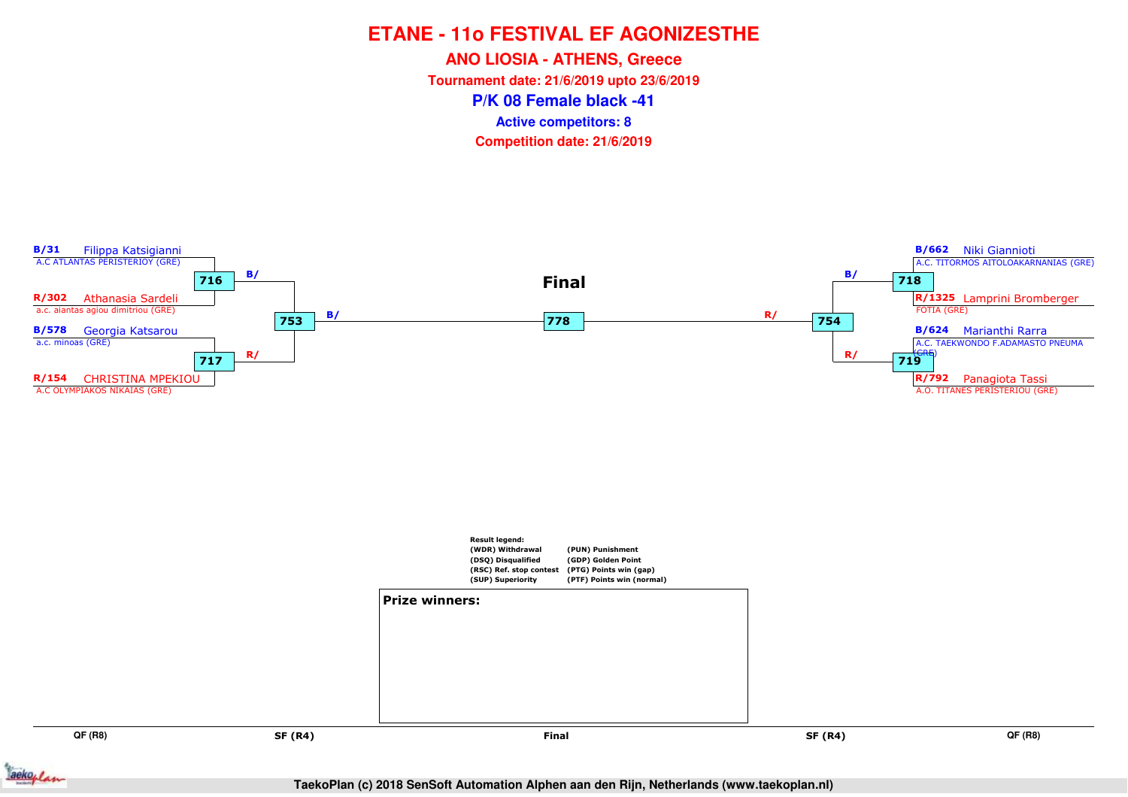**ANO LIOSIA - ATHENS, Greece**

**Tournament date: 21/6/2019 upto 23/6/2019**

**P/K 08 Female black -41**

**Active competitors: 8**



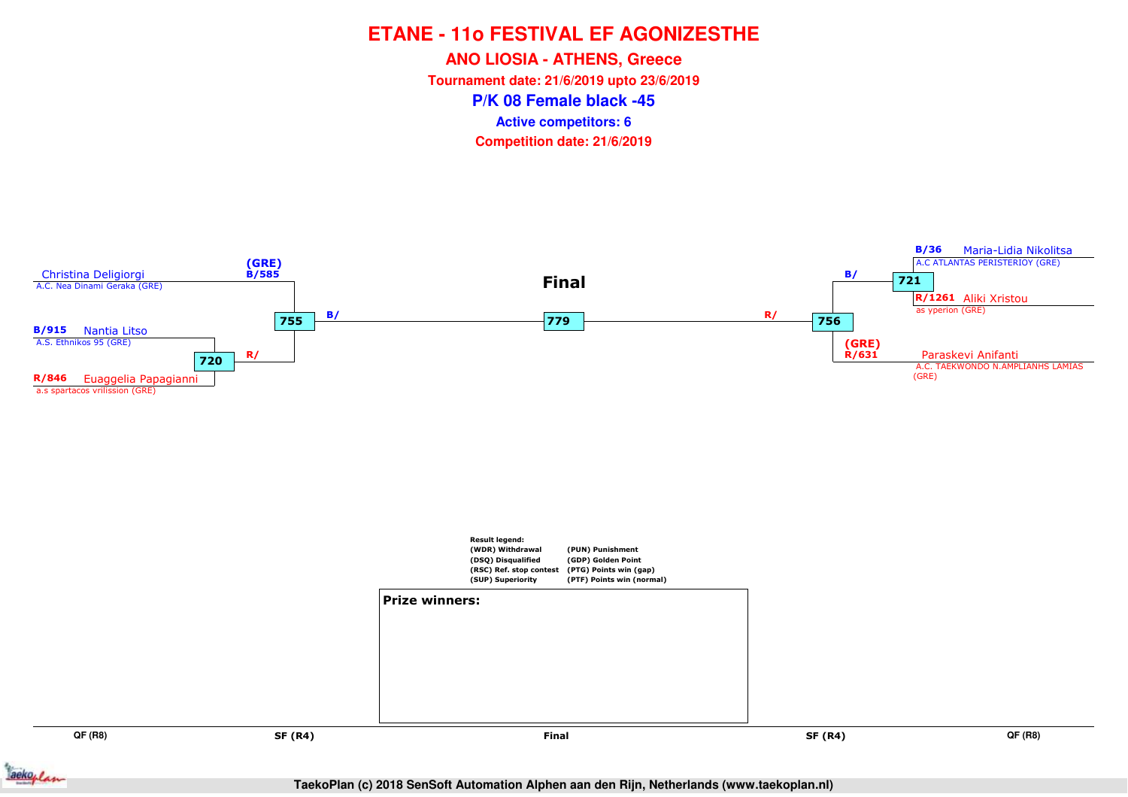**ANO LIOSIA - ATHENS, Greece**

**Tournament date: 21/6/2019 upto 23/6/2019**

**P/K 08 Female black -45**

**Active competitors: 6**



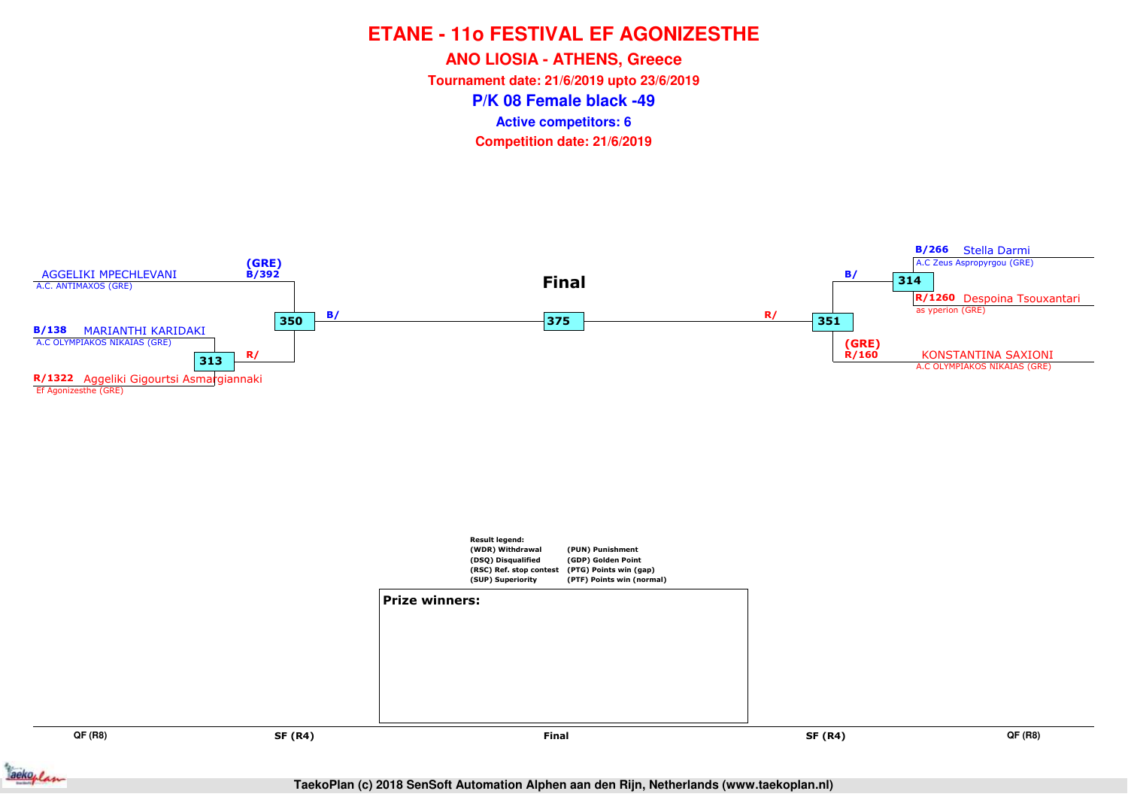**ANO LIOSIA - ATHENS, Greece**

**Tournament date: 21/6/2019 upto 23/6/2019**

**P/K 08 Female black -49**

**Active competitors: 6**



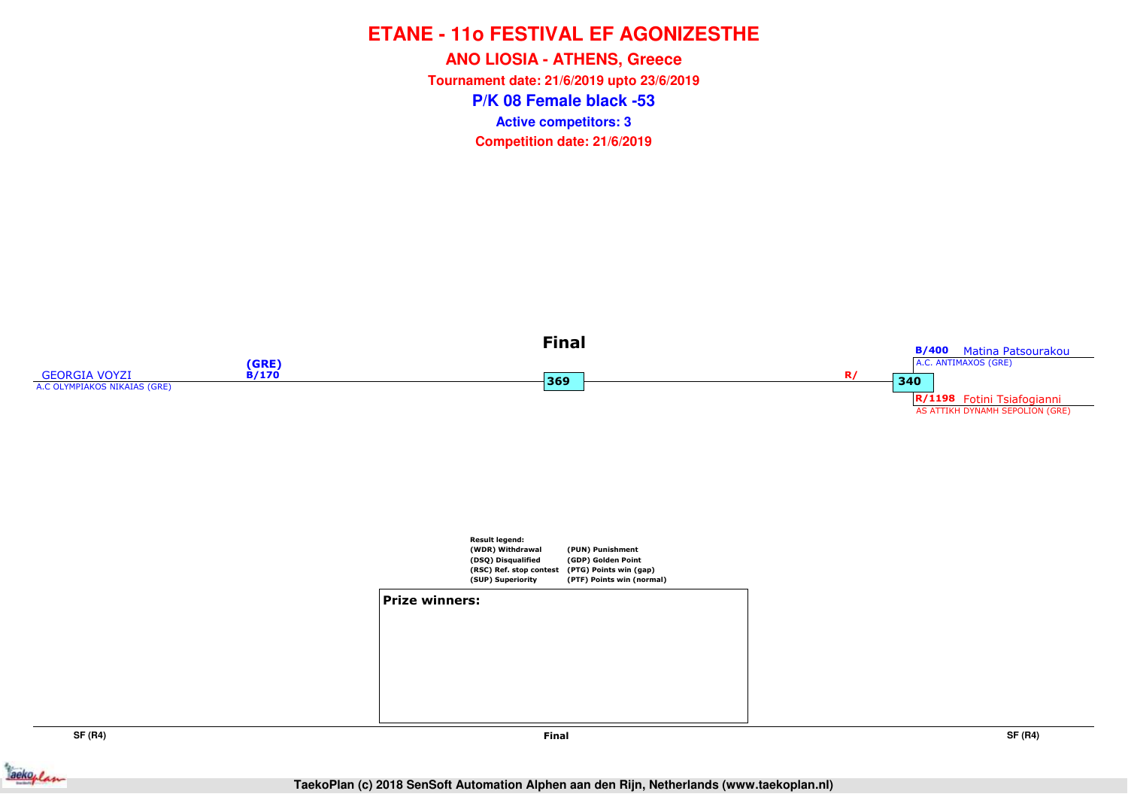**P/K 08 Female black -53ANO LIOSIA - ATHENS, Greece Tournament date: 21/6/2019 upto 23/6/2019Competition date: 21/6/2019 Active competitors: 3**





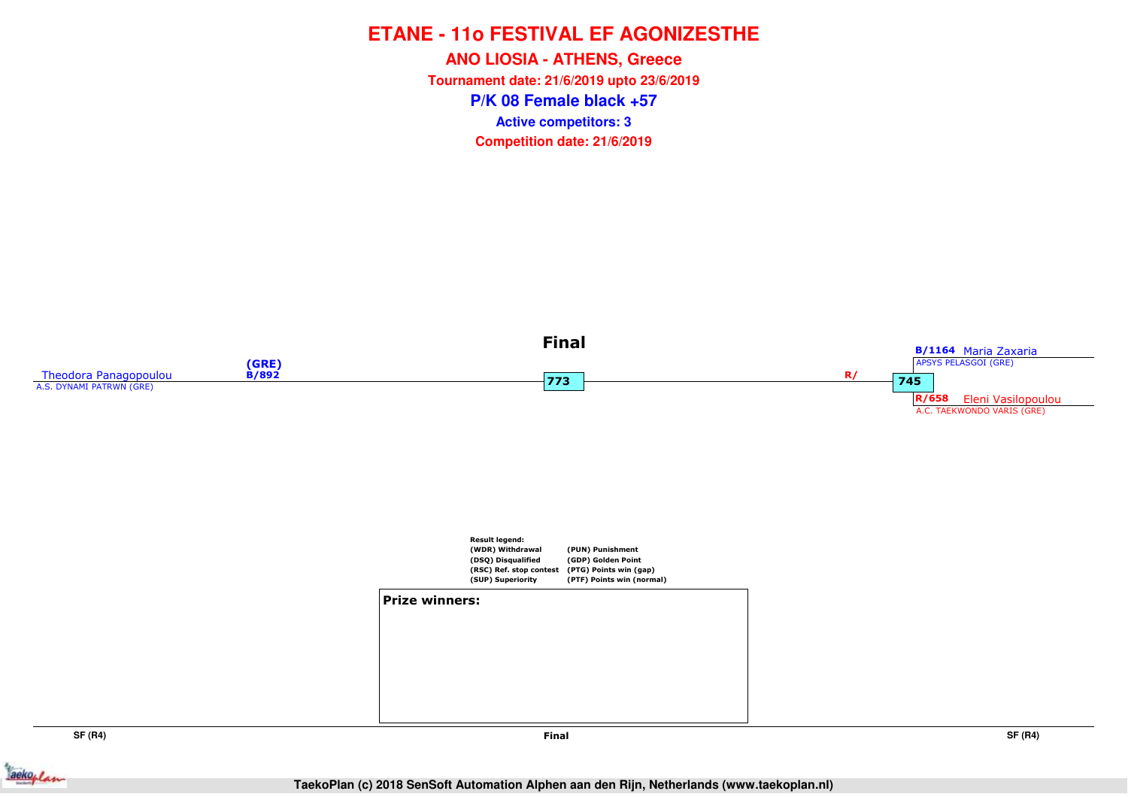**P/K 08 Female black +57ANO LIOSIA - ATHENS, Greece Tournament date: 21/6/2019 upto 23/6/2019Competition date: 21/6/2019 Active competitors: 3**



**SF (R4)**

**Final**

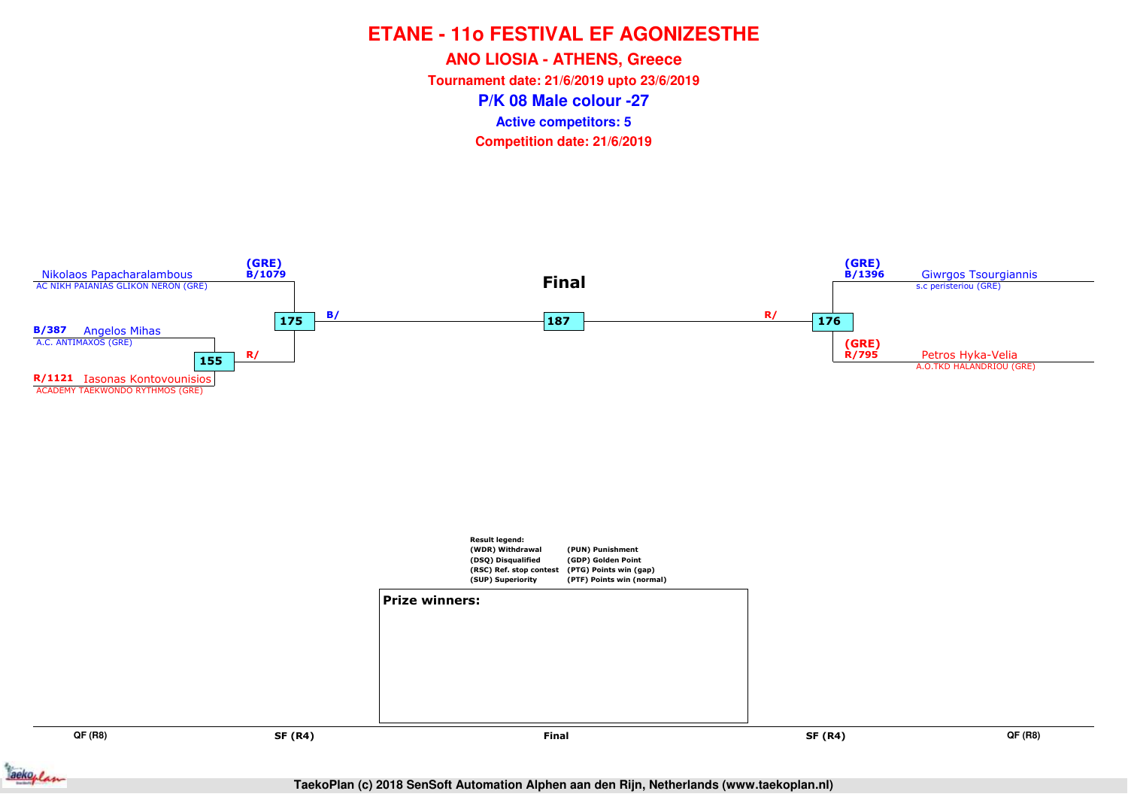**ANO LIOSIA - ATHENS, Greece**

**Tournament date: 21/6/2019 upto 23/6/2019**

**P/K 08 Male colour -27**

**Active competitors: 5**



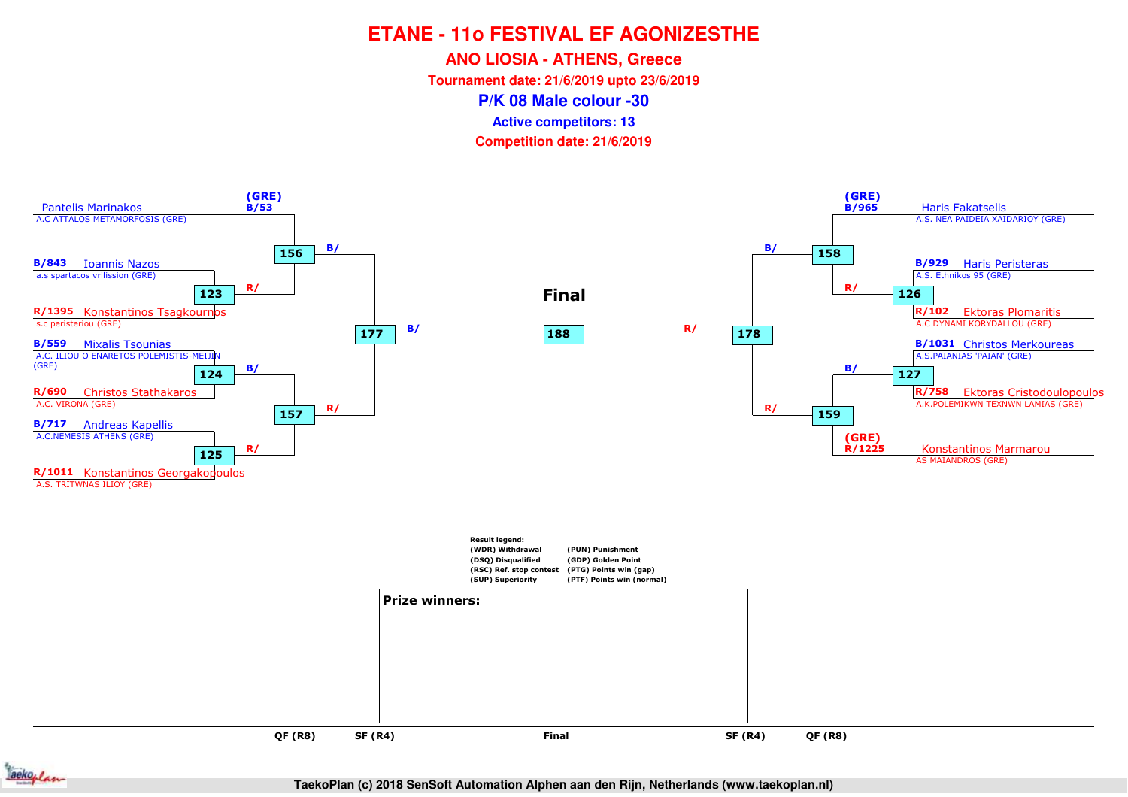**ANO LIOSIA - ATHENS, Greece**

**Tournament date: 21/6/2019 upto 23/6/2019**

**P/K 08 Male colour -30**

**Active competitors: 13**

**Competition date: 21/6/2019**





**TaekoPlan (c) 2018 SenSoft Automation Alphen aan den Rijn, Netherlands (www.taekoplan.nl)**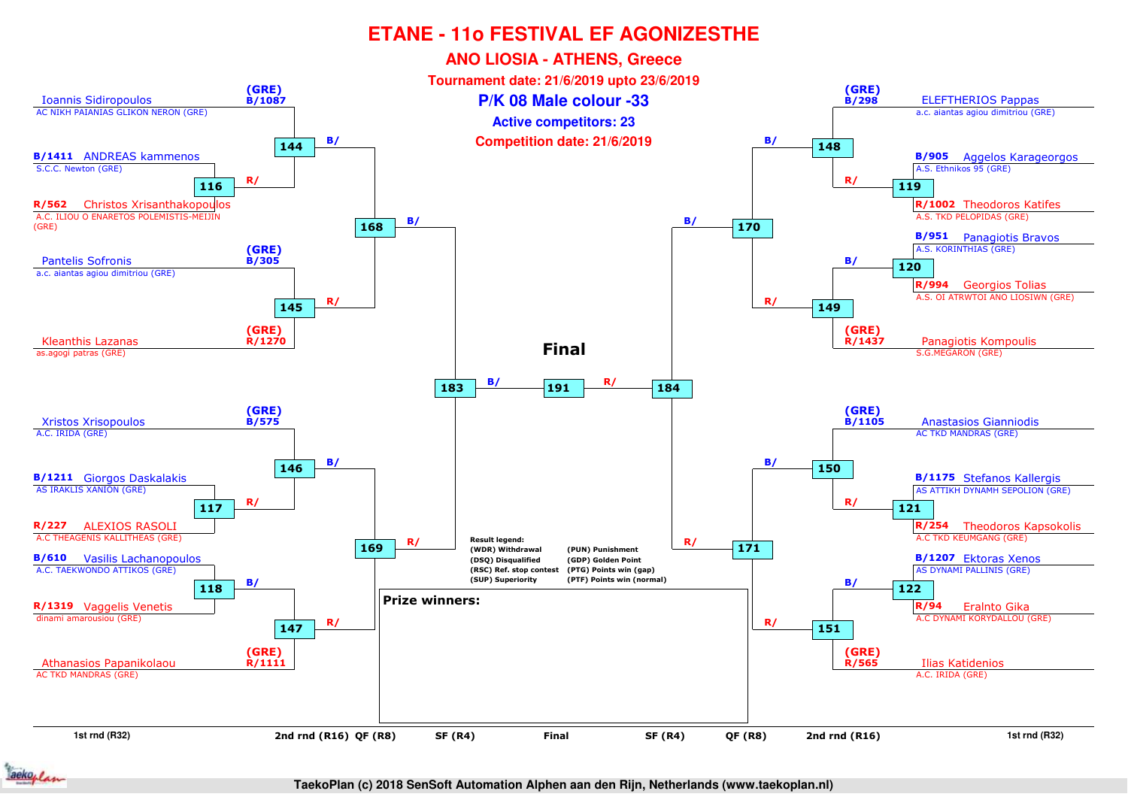

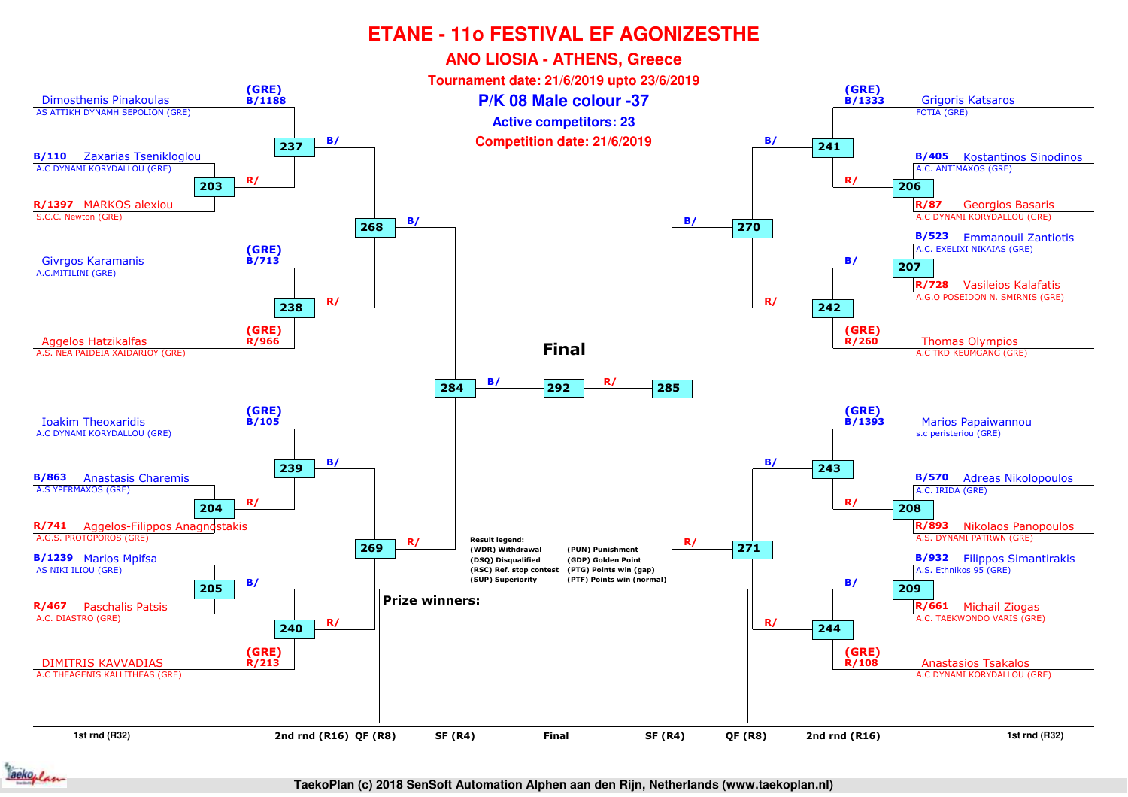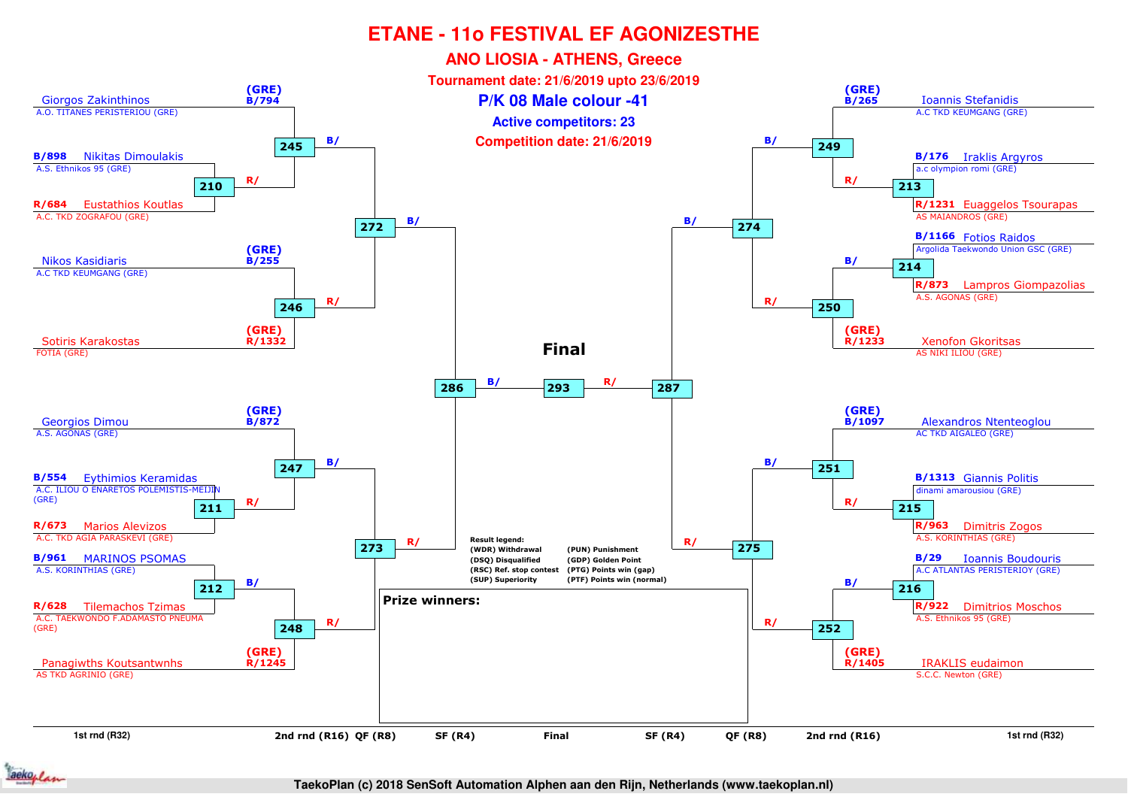

#### **TaekoPlan (c) 2018 SenSoft Automation Alphen aan den Rijn, Netherlands (www.taekoplan.nl)**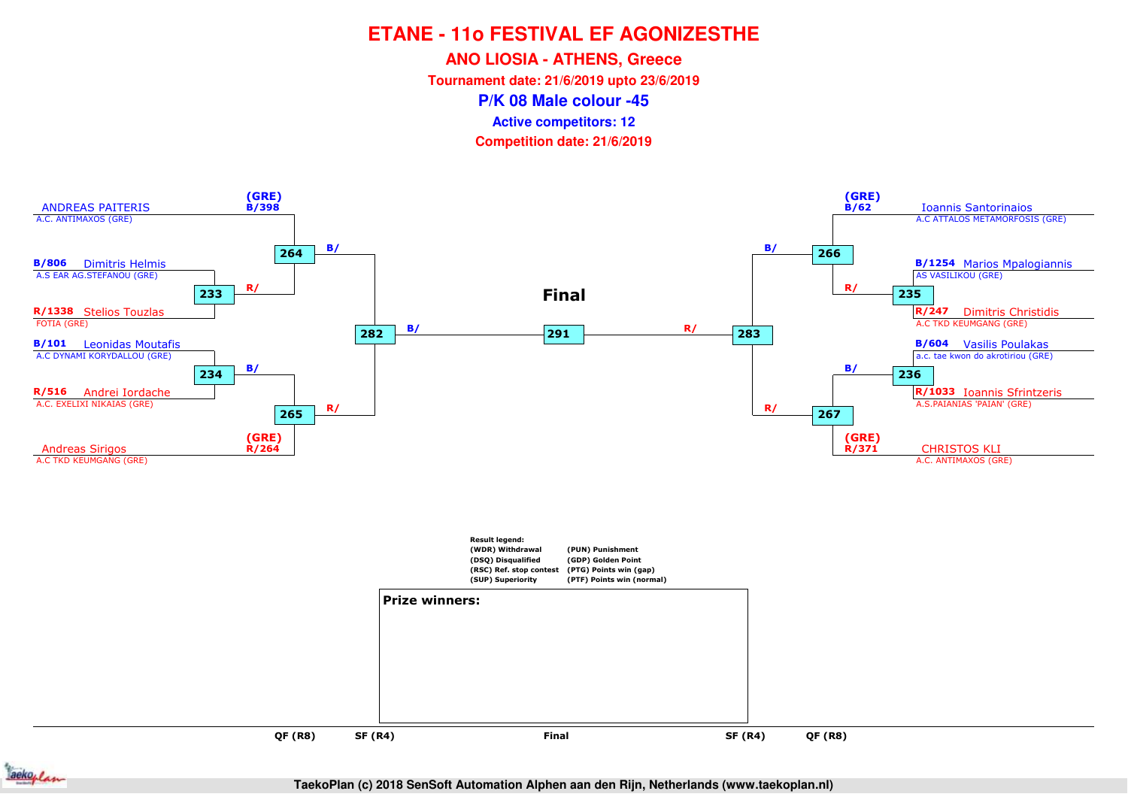**ANO LIOSIA - ATHENS, Greece**

**Tournament date: 21/6/2019 upto 23/6/2019**

**P/K 08 Male colour -45**

**Active competitors: 12**

**Competition date: 21/6/2019**



**QF (R8)QF (R8)**

**SF (R4)**



**TaekoPlan (c) 2018 SenSoft Automation Alphen aan den Rijn, Netherlands (www.taekoplan.nl)**

**Final**

and **SF (R4)** Final SF (R4)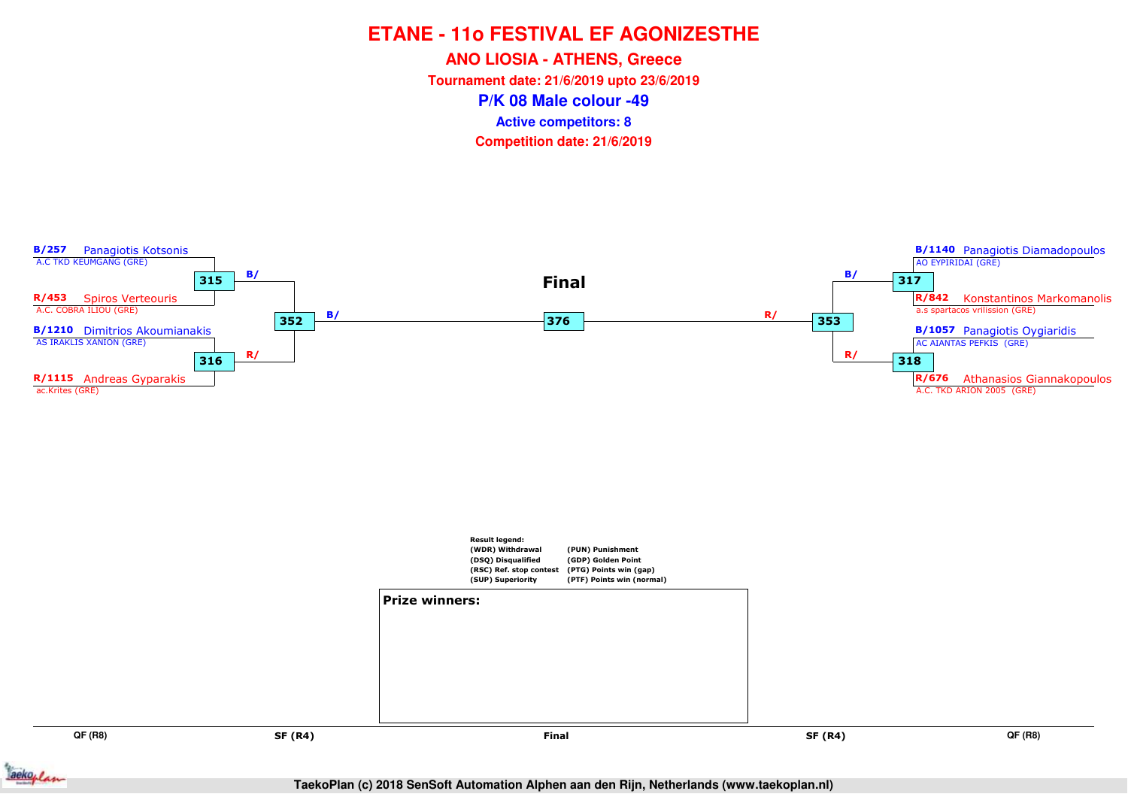**ANO LIOSIA - ATHENS, Greece**

**Tournament date: 21/6/2019 upto 23/6/2019**

**P/K 08 Male colour -49**

**Active competitors: 8**



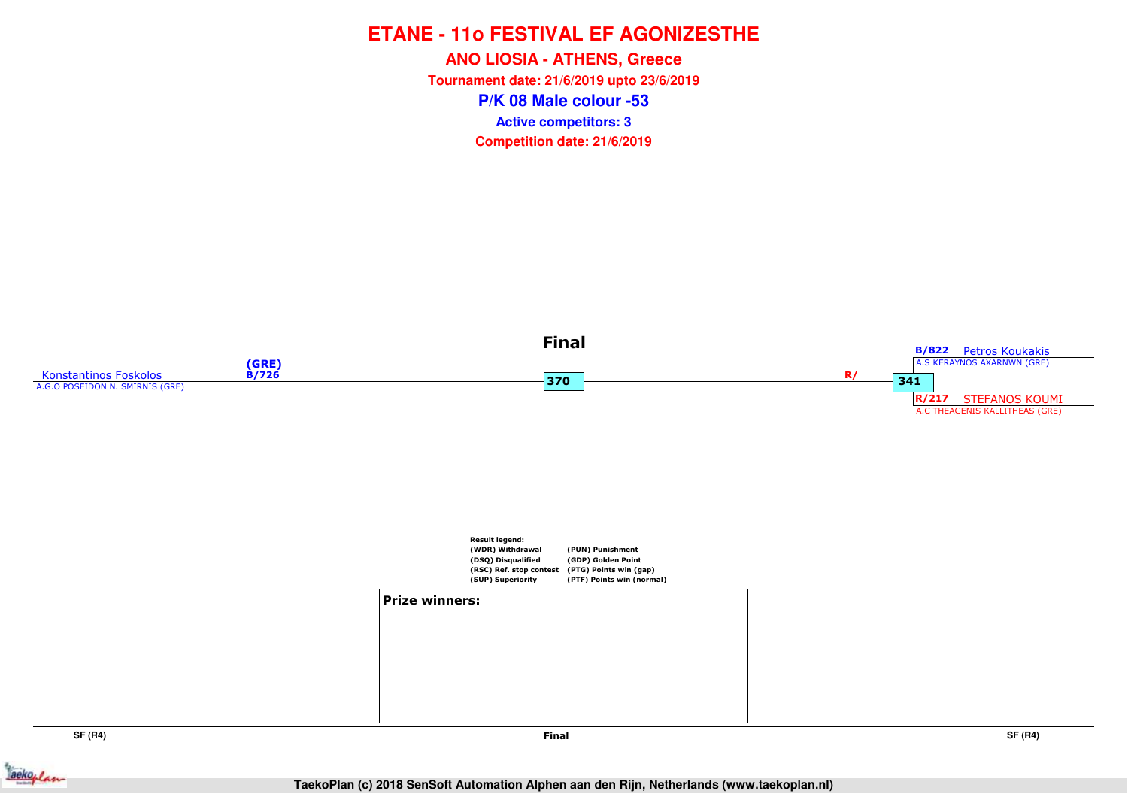**P/K 08 Male colour -53ANO LIOSIA - ATHENS, Greece Tournament date: 21/6/2019 upto 23/6/2019Competition date: 21/6/2019 Active competitors: 3**





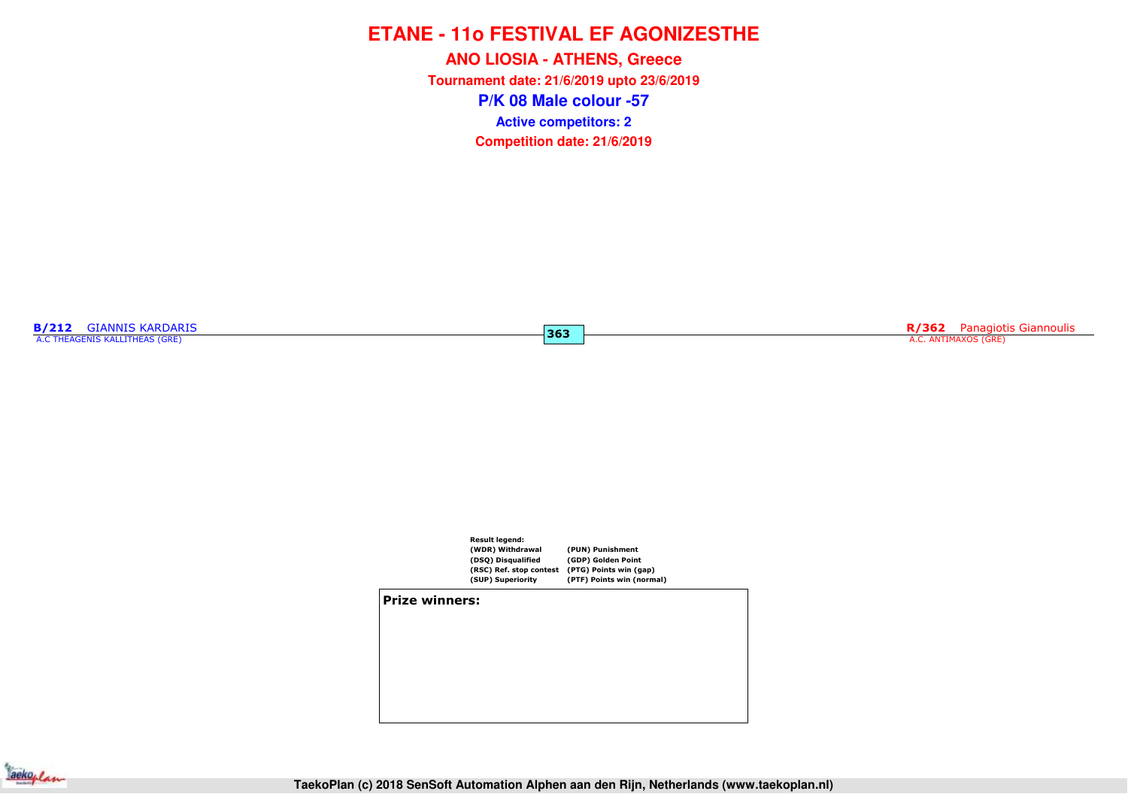**P/K 08 Male colour -57ANO LIOSIA - ATHENS, Greece Tournament date: 21/6/2019 upto 23/6/2019Competition date: 21/6/2019 Active competitors: 2**

**363**

**B/212** GIANNIS KARDARIS<br>A.C THEAGENIS KALLITHEAS (GRE)

RIS **R/362** Panagiotis Giannoulis **363**<br>The same of the same of the same of the same of the same of the same of the same of the same of the same of the same of the same of the same of the same of the same of the same of th



**Prize winners:**

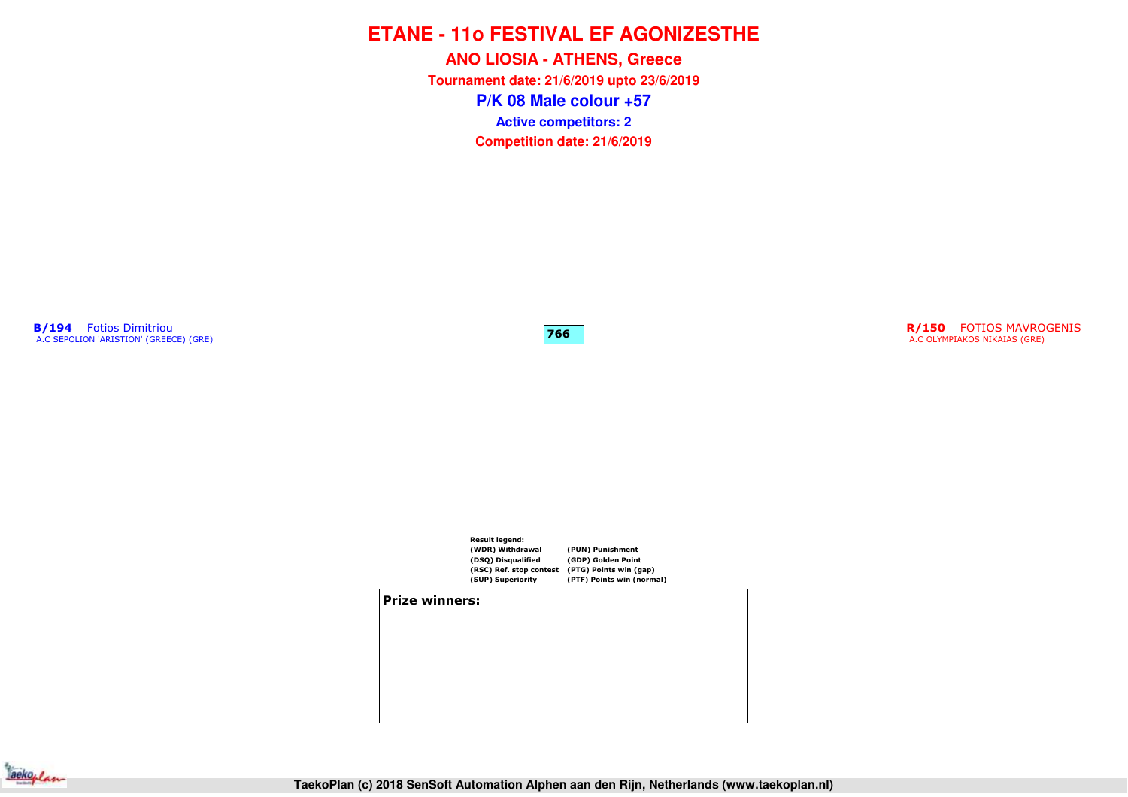**P/K 08 Male colour +57ANO LIOSIA - ATHENS, Greece Tournament date: 21/6/2019 upto 23/6/2019Competition date: 21/6/2019 Active competitors: 2**

**766**

**B/194** Fotios Dimitriou<br>A.C SEPOLION 'ARISTION' (GREECE) (GRE)

**R/150** FOTIOS MAVROGENIS A.C OLYMPIAKOS NIKAIAS (GRE)



**Prize winners:**

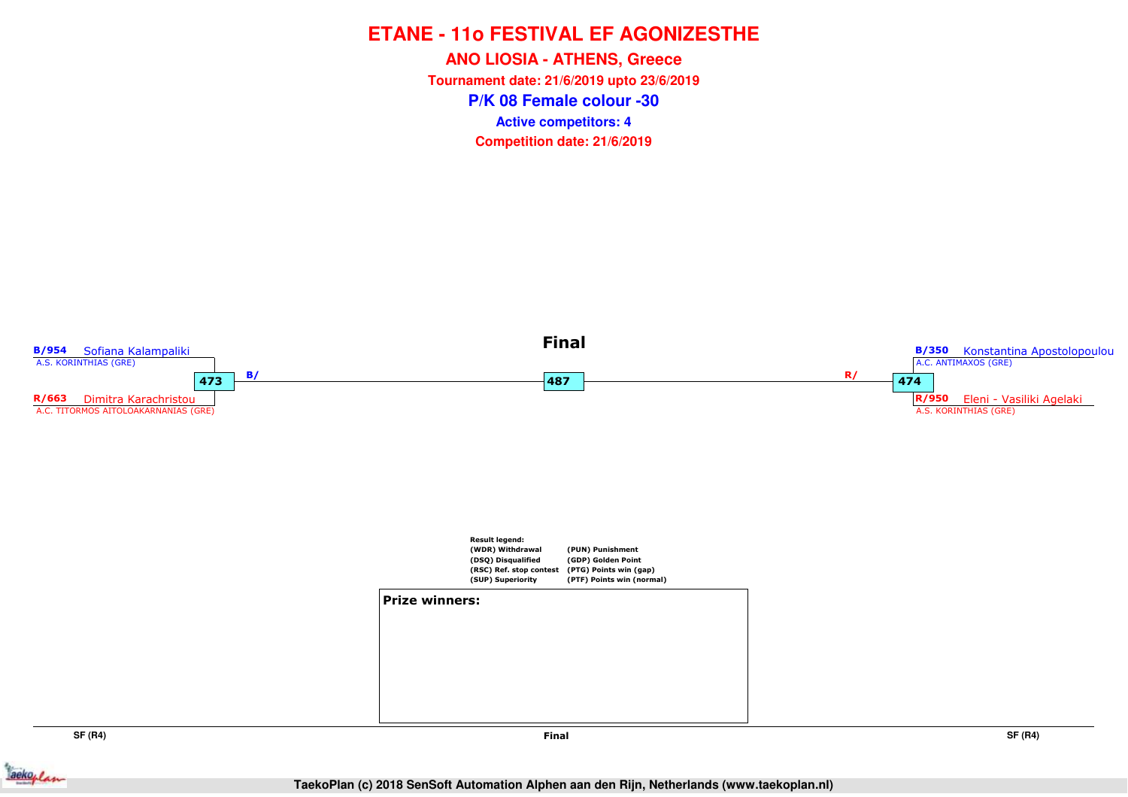**P/K 08 Female colour -30ANO LIOSIA - ATHENS, Greece Tournament date: 21/6/2019 upto 23/6/2019Competition date: 21/6/2019 Active competitors: 4**



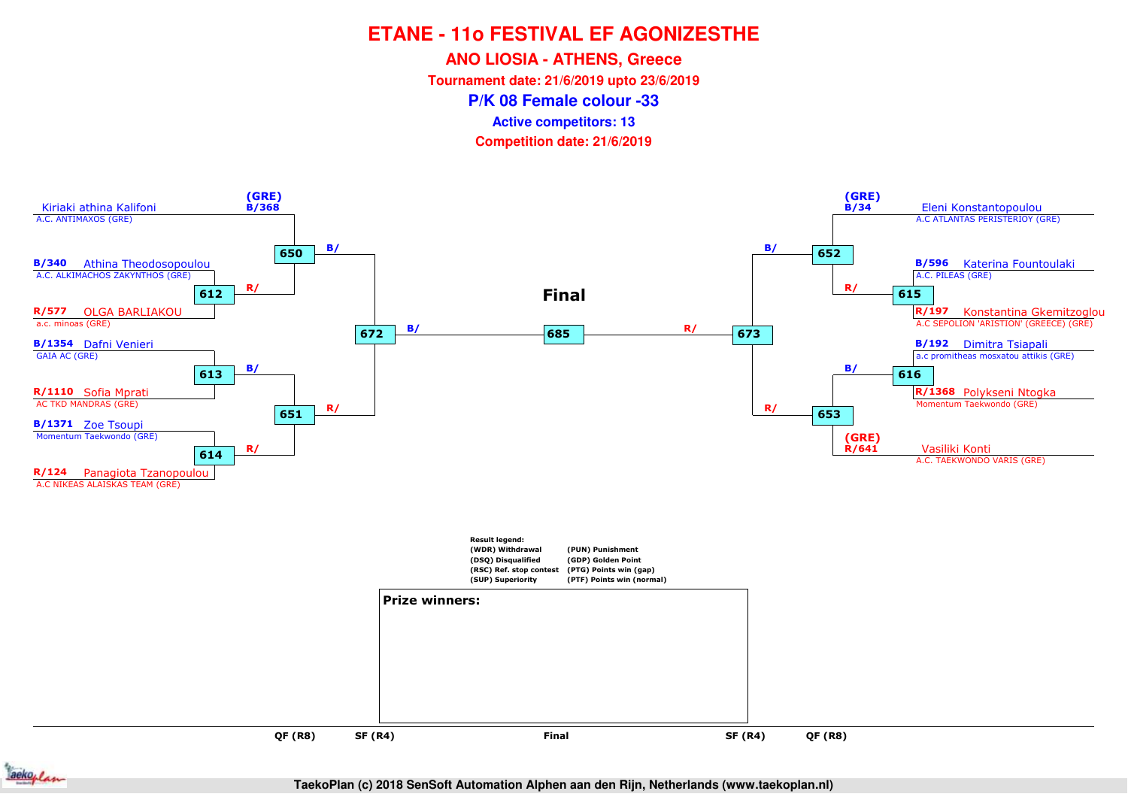**ANO LIOSIA - ATHENS, Greece**

**Tournament date: 21/6/2019 upto 23/6/2019**

**P/K 08 Female colour -33**

**Active competitors: 13**





**TaekoPlan (c) 2018 SenSoft Automation Alphen aan den Rijn, Netherlands (www.taekoplan.nl)**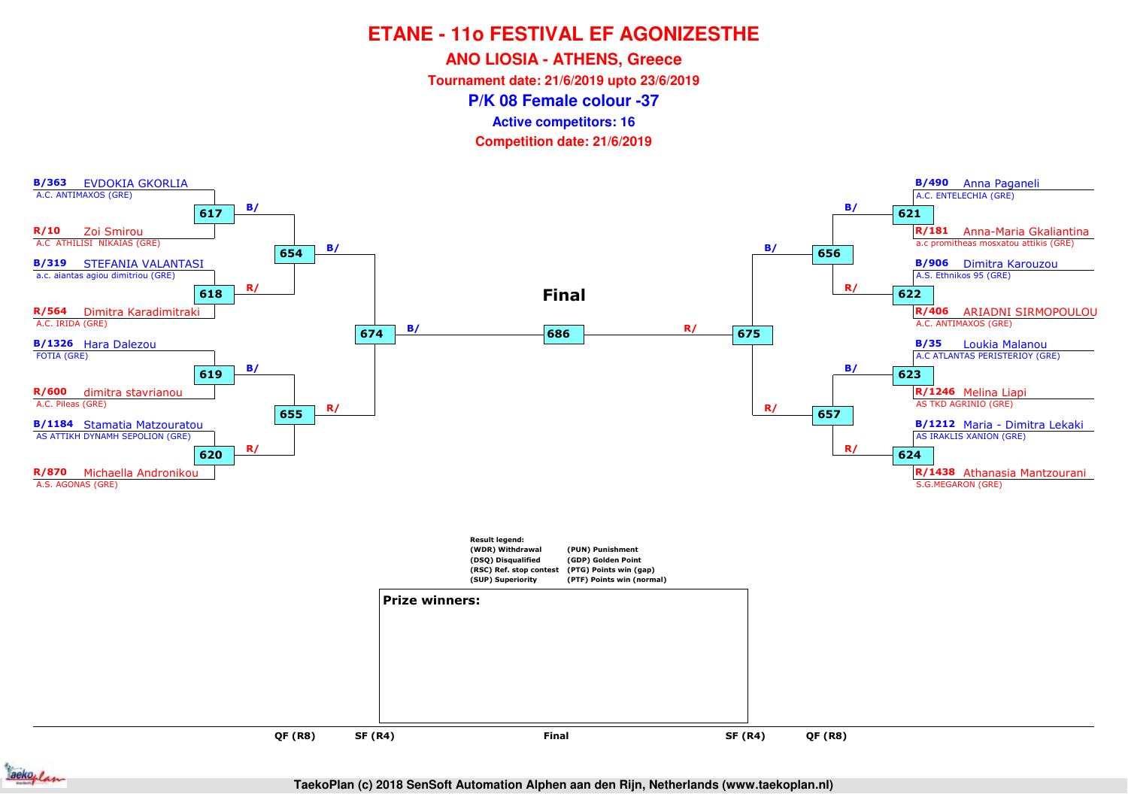**ANO LIOSIA - ATHENS, Greece**

**Tournament date: 21/6/2019 upto 23/6/2019**

**P/K 08 Female colour -37**

**Active competitors: 16**





**TaekoPlan (c) 2018 SenSoft Automation Alphen aan den Rijn, Netherlands (www.taekoplan.nl)**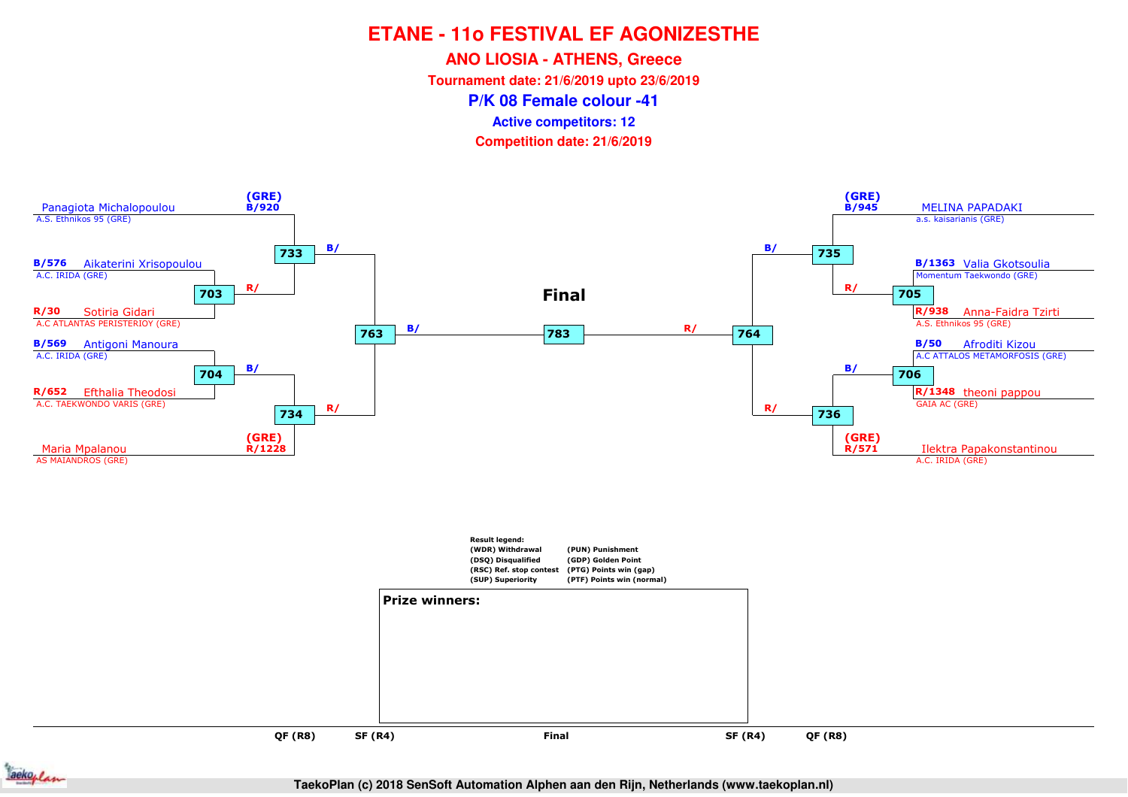**ANO LIOSIA - ATHENS, Greece**

**Tournament date: 21/6/2019 upto 23/6/2019**

**P/K 08 Female colour -41**

**Active competitors: 12**

**Competition date: 21/6/2019**







**TaekoPlan (c) 2018 SenSoft Automation Alphen aan den Rijn, Netherlands (www.taekoplan.nl)**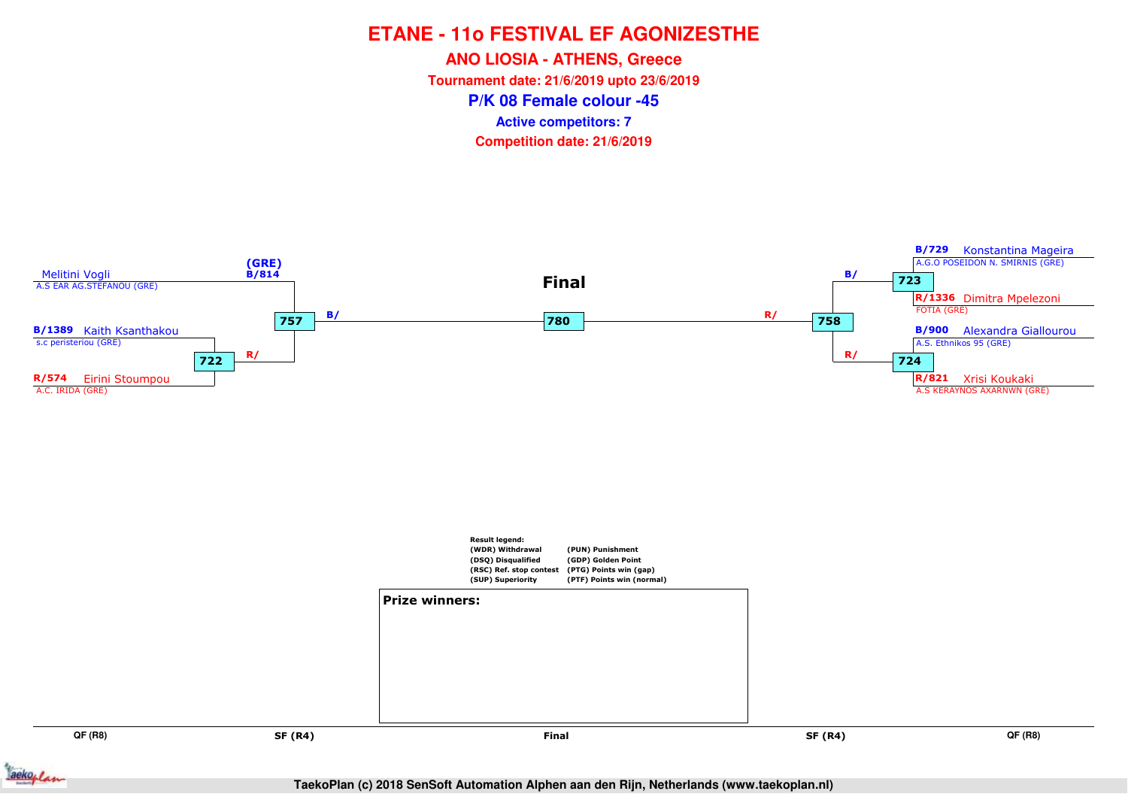**ANO LIOSIA - ATHENS, Greece**

**Tournament date: 21/6/2019 upto 23/6/2019**

**P/K 08 Female colour -45**

**Active competitors: 7**

**Competition date: 21/6/2019**



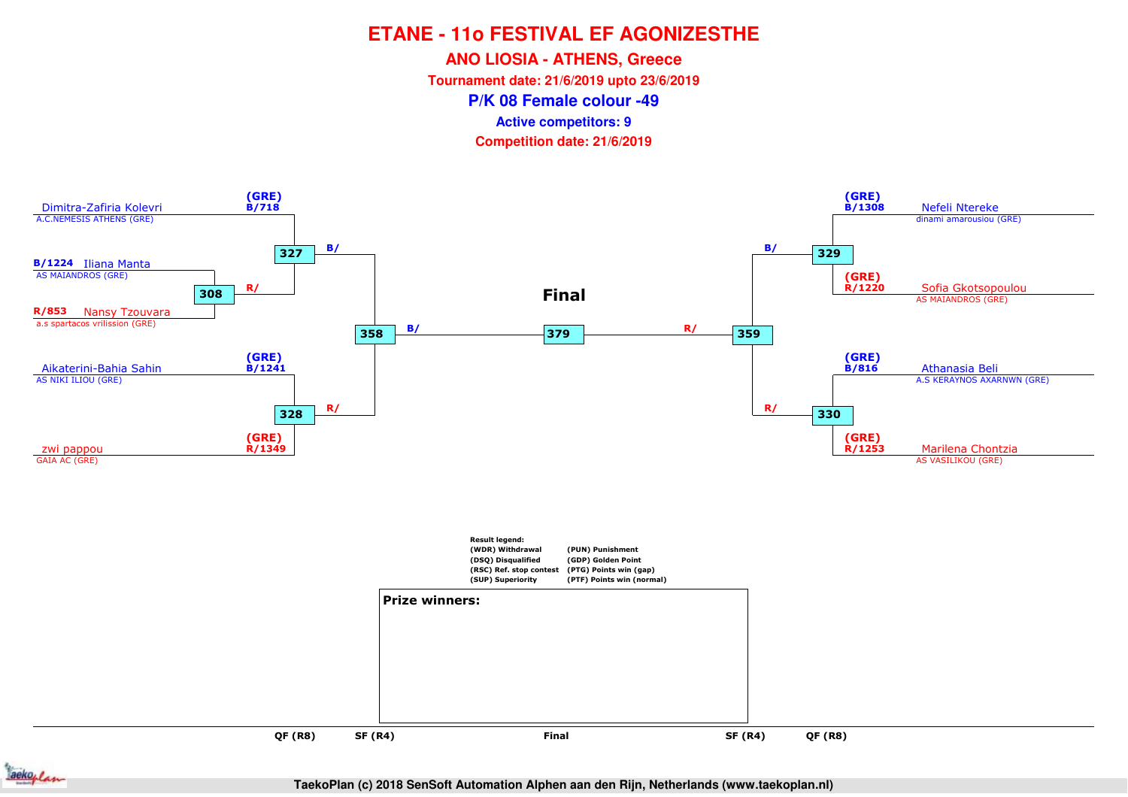**ANO LIOSIA - ATHENS, Greece**

**Tournament date: 21/6/2019 upto 23/6/2019**

**P/K 08 Female colour -49**

**Active competitors: 9**

**Competition date: 21/6/2019**



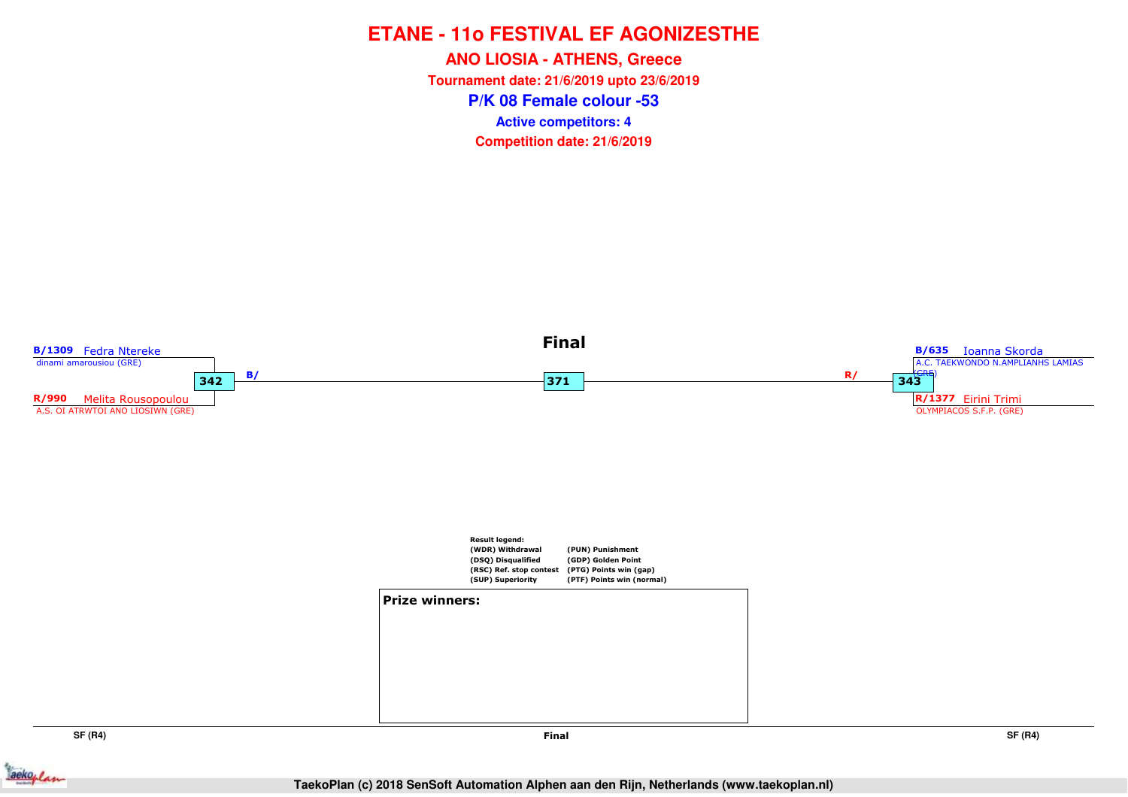**P/K 08 Female colour -53ANO LIOSIA - ATHENS, Greece Tournament date: 21/6/2019 upto 23/6/2019Competition date: 21/6/2019 Active competitors: 4**



**SF (R4)**

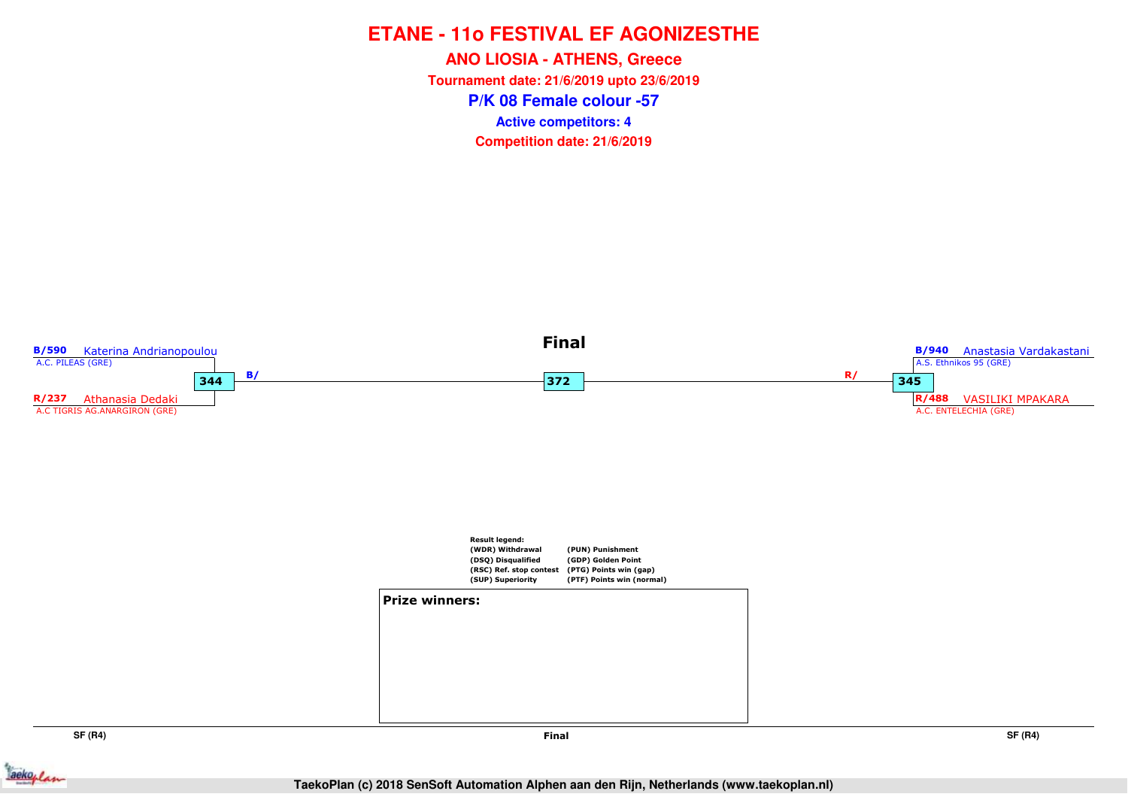**P/K 08 Female colour -57ANO LIOSIA - ATHENS, Greece Tournament date: 21/6/2019 upto 23/6/2019Competition date: 21/6/2019 Active competitors: 4**



**SF (R4)**